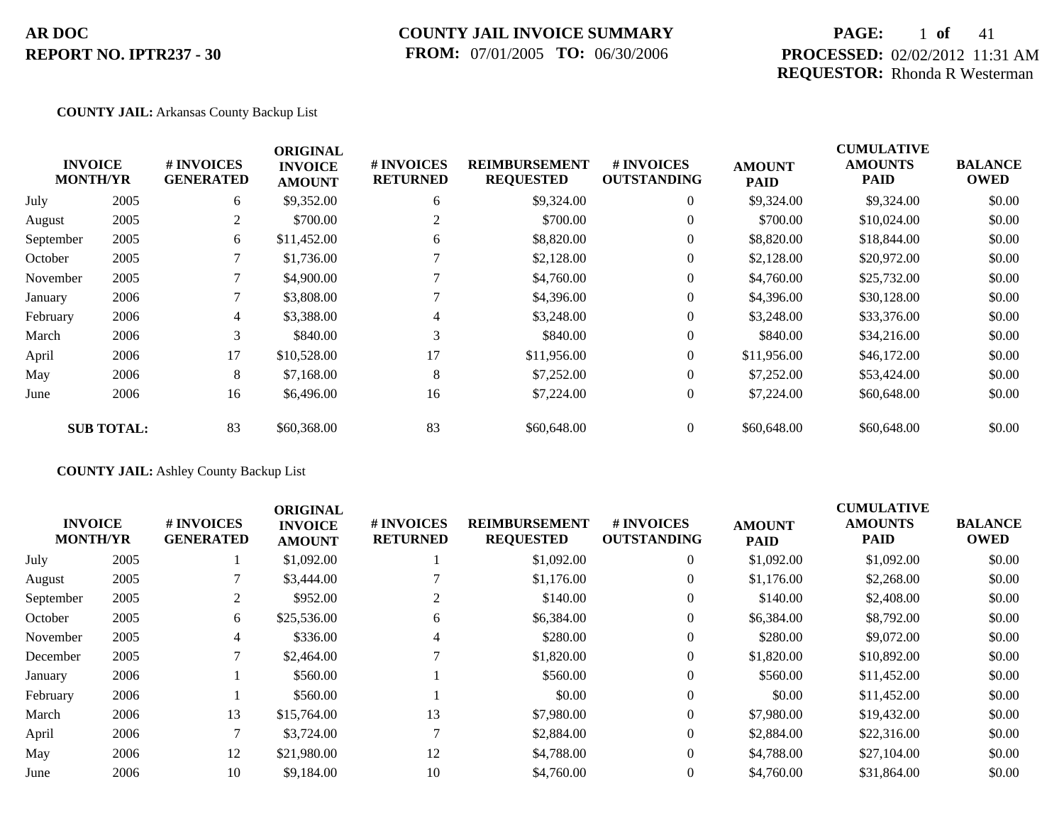## **COUNTY JAIL INVOICE SUMMARY FROM:** 07/01/2005 **TO:** 06/30/2006

## **PAGE:** 1 **of** 41 **PROCESSED:** 02/02/2012 11:31 AM **REQUESTOR:** Rhonda R Westerman

### **COUNTY JAIL:** Arkansas County Backup List

|          | # INVOICES<br><b>GENERATED</b>                                      | <b>INVOICE</b><br><b>AMOUNT</b> | # INVOICES<br><b>RETURNED</b> | <b>REIMBURSEMENT</b><br><b>REQUESTED</b> | # INVOICES<br><b>OUTSTANDING</b> | <b>AMOUNT</b><br><b>PAID</b> | <b>AMOUNTS</b><br><b>PAID</b> | <b>BALANCE</b><br><b>OWED</b> |
|----------|---------------------------------------------------------------------|---------------------------------|-------------------------------|------------------------------------------|----------------------------------|------------------------------|-------------------------------|-------------------------------|
| 2005     | 6                                                                   | \$9,352.00                      | 6                             | \$9,324.00                               | $\overline{0}$                   | \$9,324.00                   | \$9,324.00                    | \$0.00                        |
| 2005     | 2                                                                   | \$700.00                        | 2                             | \$700.00                                 | $\overline{0}$                   | \$700.00                     | \$10,024.00                   | \$0.00                        |
| 2005     | 6                                                                   | \$11,452.00                     | 6                             | \$8,820.00                               | $\overline{0}$                   | \$8,820.00                   | \$18,844.00                   | \$0.00                        |
| 2005     |                                                                     | \$1,736.00                      |                               | \$2,128.00                               | $\overline{0}$                   | \$2,128.00                   | \$20,972.00                   | \$0.00                        |
| 2005     |                                                                     | \$4,900.00                      |                               | \$4,760.00                               | $\overline{0}$                   | \$4,760.00                   | \$25,732.00                   | \$0.00                        |
| 2006     |                                                                     | \$3,808.00                      |                               | \$4,396.00                               | $\overline{0}$                   | \$4,396.00                   | \$30,128.00                   | \$0.00                        |
| 2006     | $\overline{4}$                                                      | \$3,388.00                      | 4                             | \$3,248.00                               | $\overline{0}$                   | \$3,248.00                   | \$33,376.00                   | \$0.00                        |
| 2006     | 3                                                                   | \$840.00                        | 3                             | \$840.00                                 | $\overline{0}$                   | \$840.00                     | \$34,216.00                   | \$0.00                        |
| 2006     | 17                                                                  | \$10,528.00                     | 17                            | \$11,956.00                              | $\overline{0}$                   | \$11,956.00                  | \$46,172.00                   | \$0.00                        |
| 2006     | 8                                                                   | \$7,168.00                      | 8                             | \$7,252.00                               | $\overline{0}$                   | \$7,252.00                   | \$53,424.00                   | \$0.00                        |
| 2006     | 16                                                                  | \$6,496.00                      | 16                            | \$7,224.00                               | $\overline{0}$                   | \$7,224.00                   | \$60,648.00                   | \$0.00                        |
|          | 83                                                                  | \$60,368.00                     | 83                            | \$60,648.00                              | $\overline{0}$                   | \$60,648.00                  | \$60,648.00                   | \$0.00                        |
| November | <b>INVOICE</b><br><b>MONTH/YR</b><br>September<br><b>SUB TOTAL:</b> |                                 | <b>ORIGINAL</b>               |                                          |                                  |                              |                               | <b>CUMULATIVE</b>             |

## **COUNTY JAIL:** Ashley County Backup List

| <b>INVOICE</b><br><b>MONTH/YR</b> |      | # INVOICES<br><b>GENERATED</b> | <b>ORIGINAL</b><br><b>INVOICE</b><br><b>AMOUNT</b> | # INVOICES<br><b>RETURNED</b> | <b>REIMBURSEMENT</b><br><b>REQUESTED</b> | <b># INVOICES</b><br><b>OUTSTANDING</b> | <b>AMOUNT</b><br><b>PAID</b> | <b>CUMULATIVE</b><br><b>AMOUNTS</b><br><b>PAID</b> | <b>BALANCE</b><br><b>OWED</b> |
|-----------------------------------|------|--------------------------------|----------------------------------------------------|-------------------------------|------------------------------------------|-----------------------------------------|------------------------------|----------------------------------------------------|-------------------------------|
| July                              | 2005 |                                | \$1,092.00                                         |                               | \$1,092.00                               | $\overline{0}$                          | \$1,092.00                   | \$1,092.00                                         | \$0.00                        |
| August                            | 2005 |                                | \$3,444.00                                         |                               | \$1,176.00                               | $\Omega$                                | \$1,176.00                   | \$2,268.00                                         | \$0.00                        |
| September                         | 2005 |                                | \$952.00                                           | 2                             | \$140.00                                 | $\overline{0}$                          | \$140.00                     | \$2,408.00                                         | \$0.00                        |
| October                           | 2005 | 6                              | \$25,536.00                                        | 6                             | \$6,384.00                               | $\Omega$                                | \$6,384.00                   | \$8,792.00                                         | \$0.00                        |
| November                          | 2005 | 4                              | \$336.00                                           | 4                             | \$280.00                                 | $\Omega$                                | \$280.00                     | \$9,072.00                                         | \$0.00                        |
| December                          | 2005 |                                | \$2,464.00                                         | $\mathbf{\tau}$               | \$1,820.00                               | $\overline{0}$                          | \$1,820.00                   | \$10,892.00                                        | \$0.00                        |
| January                           | 2006 |                                | \$560.00                                           |                               | \$560.00                                 | $\Omega$                                | \$560.00                     | \$11,452.00                                        | \$0.00                        |
| February                          | 2006 |                                | \$560.00                                           |                               | \$0.00                                   | $\overline{0}$                          | \$0.00                       | \$11,452.00                                        | \$0.00                        |
| March                             | 2006 | 13                             | \$15,764.00                                        | 13                            | \$7,980.00                               | $\Omega$                                | \$7,980.00                   | \$19,432.00                                        | \$0.00                        |
| April                             | 2006 |                                | \$3,724.00                                         |                               | \$2,884.00                               | $\overline{0}$                          | \$2,884.00                   | \$22,316.00                                        | \$0.00                        |
| May                               | 2006 | 12                             | \$21,980.00                                        | 12                            | \$4,788.00                               | $\overline{0}$                          | \$4,788.00                   | \$27,104.00                                        | \$0.00                        |
| June                              | 2006 | 10                             | \$9,184.00                                         | 10                            | \$4,760.00                               | $\Omega$                                | \$4,760.00                   | \$31,864.00                                        | \$0.00                        |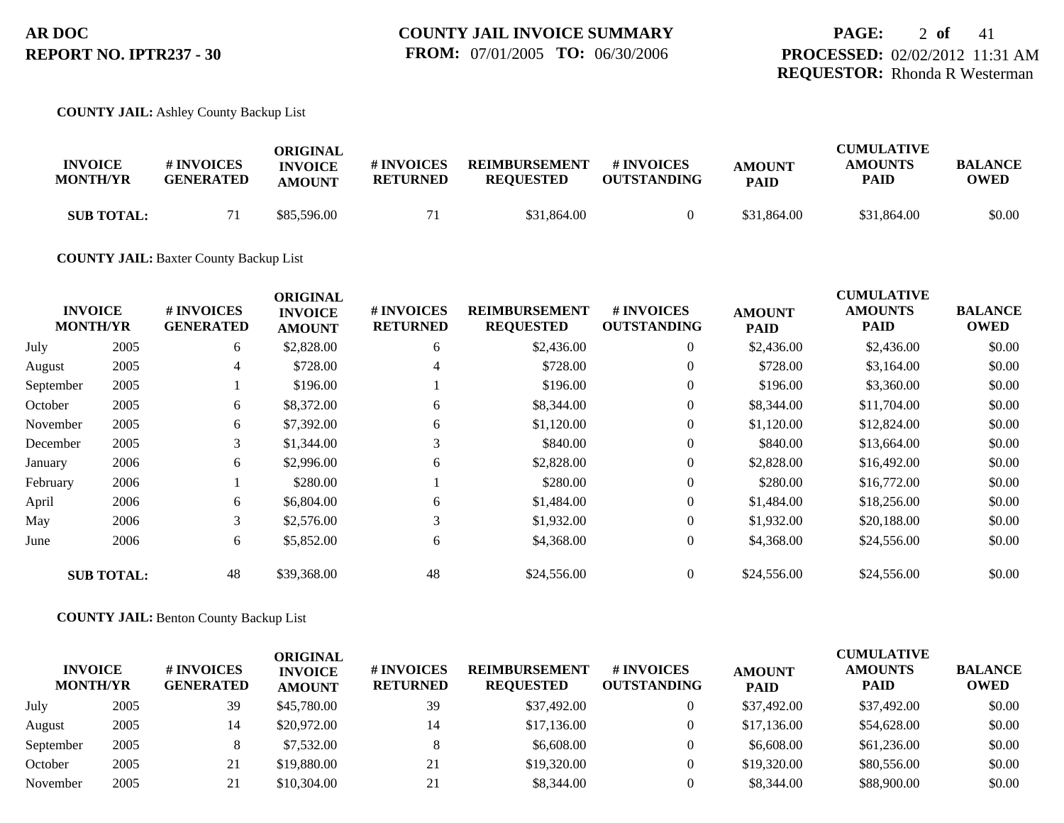# **PAGE:** 2 **of** 41 **PROCESSED:** 02/02/2012 11:31 AM **REQUESTOR:** Rhonda R Westerman

## **COUNTY JAIL:** Ashley County Backup List

| <b>INVOICE</b>    | # INVOICES       | ORIGINAL<br><b>INVOICE</b> | # INVOICES      | <b>REIMBURSEMENT</b> | # INVOICES         | <b>AMOUNT</b> | <b>CUMULATIVE</b><br><b>AMOUNTS</b> | <b>BALANCE</b> |
|-------------------|------------------|----------------------------|-----------------|----------------------|--------------------|---------------|-------------------------------------|----------------|
| <b>MONTH/YR</b>   | <b>GENERATED</b> | <b>AMOUNT</b>              | <b>RETURNED</b> | <b>REOUESTED</b>     | <b>OUTSTANDING</b> | <b>PAID</b>   | PAID                                | OWED           |
| <b>SUB TOTAL:</b> |                  | \$85,596.00                |                 | \$31,864.00          |                    | \$31,864.00   | \$31,864.00                         | \$0.00         |

### **COUNTY JAIL:** Baxter County Backup List

|           | <b>INVOICE</b>    | # INVOICES       | <b>ORIGINAL</b><br><b>INVOICE</b> | # INVOICES      | <b>REIMBURSEMENT</b> | # INVOICES         | <b>AMOUNT</b> | <b>CUMULATIVE</b><br><b>AMOUNTS</b> | <b>BALANCE</b> |
|-----------|-------------------|------------------|-----------------------------------|-----------------|----------------------|--------------------|---------------|-------------------------------------|----------------|
|           | <b>MONTH/YR</b>   | <b>GENERATED</b> | <b>AMOUNT</b>                     | <b>RETURNED</b> | <b>REQUESTED</b>     | <b>OUTSTANDING</b> | <b>PAID</b>   | <b>PAID</b>                         | <b>OWED</b>    |
| July      | 2005              | 6                | \$2,828.00                        | 6               | \$2,436.00           | $\overline{0}$     | \$2,436.00    | \$2,436.00                          | \$0.00         |
| August    | 2005              | 4                | \$728.00                          | 4               | \$728.00             | $\overline{0}$     | \$728.00      | \$3,164.00                          | \$0.00         |
| September | 2005              |                  | \$196.00                          |                 | \$196.00             | $\theta$           | \$196.00      | \$3,360.00                          | \$0.00         |
| October   | 2005              | 6                | \$8,372.00                        | 6               | \$8,344.00           | $\overline{0}$     | \$8,344.00    | \$11,704.00                         | \$0.00         |
| November  | 2005              | 6                | \$7,392.00                        | 6               | \$1,120.00           | $\theta$           | \$1,120.00    | \$12,824.00                         | \$0.00         |
| December  | 2005              | 3                | \$1,344.00                        | 3               | \$840.00             | $\overline{0}$     | \$840.00      | \$13,664.00                         | \$0.00         |
| January   | 2006              | 6                | \$2,996.00                        | 6               | \$2,828.00           | $\overline{0}$     | \$2,828.00    | \$16,492.00                         | \$0.00         |
| February  | 2006              |                  | \$280.00                          |                 | \$280.00             | $\overline{0}$     | \$280.00      | \$16,772.00                         | \$0.00         |
| April     | 2006              | 6                | \$6,804.00                        | 6               | \$1,484.00           | $\overline{0}$     | \$1,484.00    | \$18,256.00                         | \$0.00         |
| May       | 2006              | 3                | \$2,576.00                        | 3               | \$1,932.00           | $\overline{0}$     | \$1,932.00    | \$20,188.00                         | \$0.00         |
| June      | 2006              | 6                | \$5,852.00                        | 6               | \$4,368.00           | $\boldsymbol{0}$   | \$4,368.00    | \$24,556.00                         | \$0.00         |
|           | <b>SUB TOTAL:</b> | 48               | \$39,368.00                       | 48              | \$24,556.00          | $\overline{0}$     | \$24,556.00   | \$24,556.00                         | \$0.00         |

## **COUNTY JAIL:** Benton County Backup List

| <b>INVOICE</b><br><b>MONTH/YR</b> |      | # INVOICES<br><b>GENERATED</b> | ORIGINAL<br><b>INVOICE</b><br><b>AMOUNT</b> | <b># INVOICES</b><br><b>RETURNED</b> | <b>REIMBURSEMENT</b><br><b>REQUESTED</b> | <b>#INVOICES</b><br><b>OUTSTANDING</b> | <b>AMOUNT</b><br><b>PAID</b> | <b>CUMULATIVE</b><br><b>AMOUNTS</b><br><b>PAID</b> | <b>BALANCE</b><br><b>OWED</b> |
|-----------------------------------|------|--------------------------------|---------------------------------------------|--------------------------------------|------------------------------------------|----------------------------------------|------------------------------|----------------------------------------------------|-------------------------------|
| July                              | 2005 | 39                             | \$45,780.00                                 | 39                                   | \$37,492.00                              |                                        | \$37,492.00                  | \$37,492.00                                        | \$0.00                        |
| August                            | 2005 | 14                             | \$20,972.00                                 | 14                                   | \$17,136.00                              |                                        | \$17,136.00                  | \$54,628.00                                        | \$0.00                        |
| September                         | 2005 |                                | \$7,532.00                                  |                                      | \$6,608.00                               |                                        | \$6,608.00                   | \$61,236.00                                        | \$0.00                        |
| October                           | 2005 | 21                             | \$19,880.00                                 | 21                                   | \$19,320.00                              |                                        | \$19,320.00                  | \$80,556.00                                        | \$0.00                        |
| November                          | 2005 | 21                             | \$10,304.00                                 | 21                                   | \$8,344.00                               |                                        | \$8,344.00                   | \$88,900.00                                        | \$0.00                        |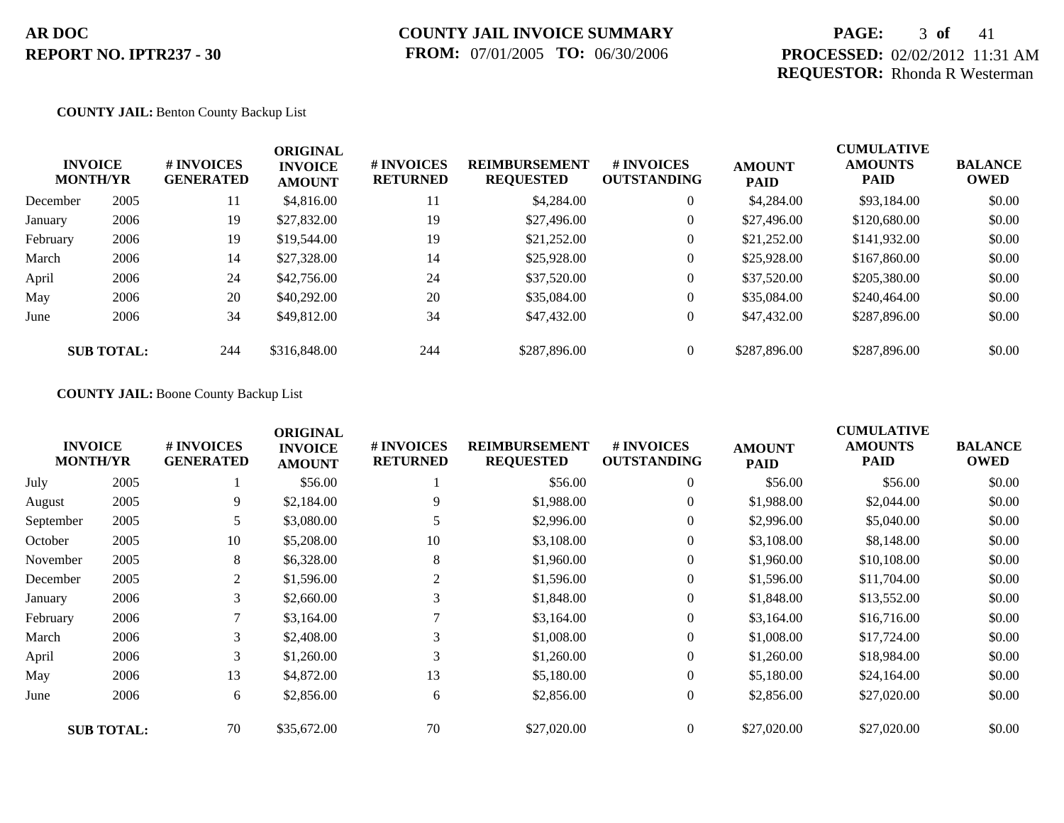## **PAGE:** 3 **of** 41 **PROCESSED:** 02/02/2012 11:31 AM **REQUESTOR:** Rhonda R Westerman

### **COUNTY JAIL:** Benton County Backup List

| <b>MONTH/YR</b> | <b>INVOICE</b>    | # INVOICES<br><b>GENERATED</b> | <b>ORIGINAL</b><br><b>INVOICE</b><br><b>AMOUNT</b> | # INVOICES<br><b>RETURNED</b> | <b>REIMBURSEMENT</b><br><b>REQUESTED</b> | <b>#INVOICES</b><br><b>OUTSTANDING</b> | <b>AMOUNT</b><br><b>PAID</b> | <b>CUMULATIVE</b><br><b>AMOUNTS</b><br><b>PAID</b> | <b>BALANCE</b><br><b>OWED</b> |
|-----------------|-------------------|--------------------------------|----------------------------------------------------|-------------------------------|------------------------------------------|----------------------------------------|------------------------------|----------------------------------------------------|-------------------------------|
| December        | 2005              | 11                             | \$4,816.00                                         | 11                            | \$4,284.00                               | $\overline{0}$                         | \$4,284.00                   | \$93,184.00                                        | \$0.00                        |
| January         | 2006              | 19                             | \$27,832.00                                        | 19                            | \$27,496.00                              | $\overline{0}$                         | \$27,496.00                  | \$120,680.00                                       | \$0.00                        |
| February        | 2006              | 19                             | \$19,544.00                                        | 19                            | \$21,252.00                              | $\overline{0}$                         | \$21,252.00                  | \$141,932.00                                       | \$0.00                        |
| March           | 2006              | 14                             | \$27,328.00                                        | 14                            | \$25,928.00                              | $\overline{0}$                         | \$25,928.00                  | \$167,860.00                                       | \$0.00                        |
| April           | 2006              | 24                             | \$42,756.00                                        | 24                            | \$37,520.00                              | $\overline{0}$                         | \$37,520.00                  | \$205,380.00                                       | \$0.00                        |
| May             | 2006              | 20                             | \$40,292.00                                        | 20                            | \$35,084.00                              | $\overline{0}$                         | \$35,084.00                  | \$240,464.00                                       | \$0.00                        |
| June            | 2006              | 34                             | \$49,812.00                                        | 34                            | \$47,432.00                              | $\overline{0}$                         | \$47,432.00                  | \$287,896.00                                       | \$0.00                        |
|                 | <b>SUB TOTAL:</b> | 244                            | \$316,848.00                                       | 244                           | \$287,896.00                             | $\overline{0}$                         | \$287,896.00                 | \$287,896.00                                       | \$0.00                        |

## **COUNTY JAIL:** Boone County Backup List

|           | <b>INVOICE</b><br><b>MONTH/YR</b> | # INVOICES<br><b>GENERATED</b> | <b>ORIGINAL</b><br><b>INVOICE</b><br><b>AMOUNT</b> | # INVOICES<br><b>RETURNED</b> | <b>REIMBURSEMENT</b><br><b>REQUESTED</b> | <b>#INVOICES</b><br><b>OUTSTANDING</b> | <b>AMOUNT</b><br><b>PAID</b> | <b>CUMULATIVE</b><br><b>AMOUNTS</b><br><b>PAID</b> | <b>BALANCE</b><br><b>OWED</b> |
|-----------|-----------------------------------|--------------------------------|----------------------------------------------------|-------------------------------|------------------------------------------|----------------------------------------|------------------------------|----------------------------------------------------|-------------------------------|
| July      | 2005                              |                                | \$56.00                                            |                               | \$56.00                                  | $\overline{0}$                         | \$56.00                      | \$56.00                                            | \$0.00                        |
| August    | 2005                              | 9                              | \$2,184.00                                         | 9                             | \$1,988.00                               | $\overline{0}$                         | \$1,988.00                   | \$2,044.00                                         | \$0.00                        |
| September | 2005                              | 5                              | \$3,080.00                                         |                               | \$2,996.00                               | $\overline{0}$                         | \$2,996.00                   | \$5,040.00                                         | \$0.00                        |
| October   | 2005                              | 10                             | \$5,208.00                                         | 10                            | \$3,108.00                               | $\overline{0}$                         | \$3,108.00                   | \$8,148.00                                         | \$0.00                        |
| November  | 2005                              | 8                              | \$6,328.00                                         | 8                             | \$1,960.00                               | $\overline{0}$                         | \$1,960.00                   | \$10,108.00                                        | \$0.00                        |
| December  | 2005                              | 2                              | \$1,596.00                                         | 2                             | \$1,596.00                               | $\overline{0}$                         | \$1,596.00                   | \$11,704.00                                        | \$0.00                        |
| January   | 2006                              | 3                              | \$2,660.00                                         | 3                             | \$1,848.00                               | $\boldsymbol{0}$                       | \$1,848.00                   | \$13,552.00                                        | \$0.00                        |
| February  | 2006                              |                                | \$3,164.00                                         |                               | \$3,164.00                               | $\overline{0}$                         | \$3,164.00                   | \$16,716.00                                        | \$0.00                        |
| March     | 2006                              | 3                              | \$2,408.00                                         | 3                             | \$1,008.00                               | $\overline{0}$                         | \$1,008.00                   | \$17,724.00                                        | \$0.00                        |
| April     | 2006                              | 3                              | \$1,260.00                                         | 3                             | \$1,260.00                               | $\boldsymbol{0}$                       | \$1,260.00                   | \$18,984.00                                        | \$0.00                        |
| May       | 2006                              | 13                             | \$4,872.00                                         | 13                            | \$5,180.00                               | $\overline{0}$                         | \$5,180.00                   | \$24,164.00                                        | \$0.00                        |
| June      | 2006                              | 6                              | \$2,856.00                                         | 6                             | \$2,856.00                               | $\overline{0}$                         | \$2,856.00                   | \$27,020.00                                        | \$0.00                        |
|           | <b>SUB TOTAL:</b>                 | 70                             | \$35,672.00                                        | 70                            | \$27,020.00                              | $\overline{0}$                         | \$27,020.00                  | \$27,020.00                                        | \$0.00                        |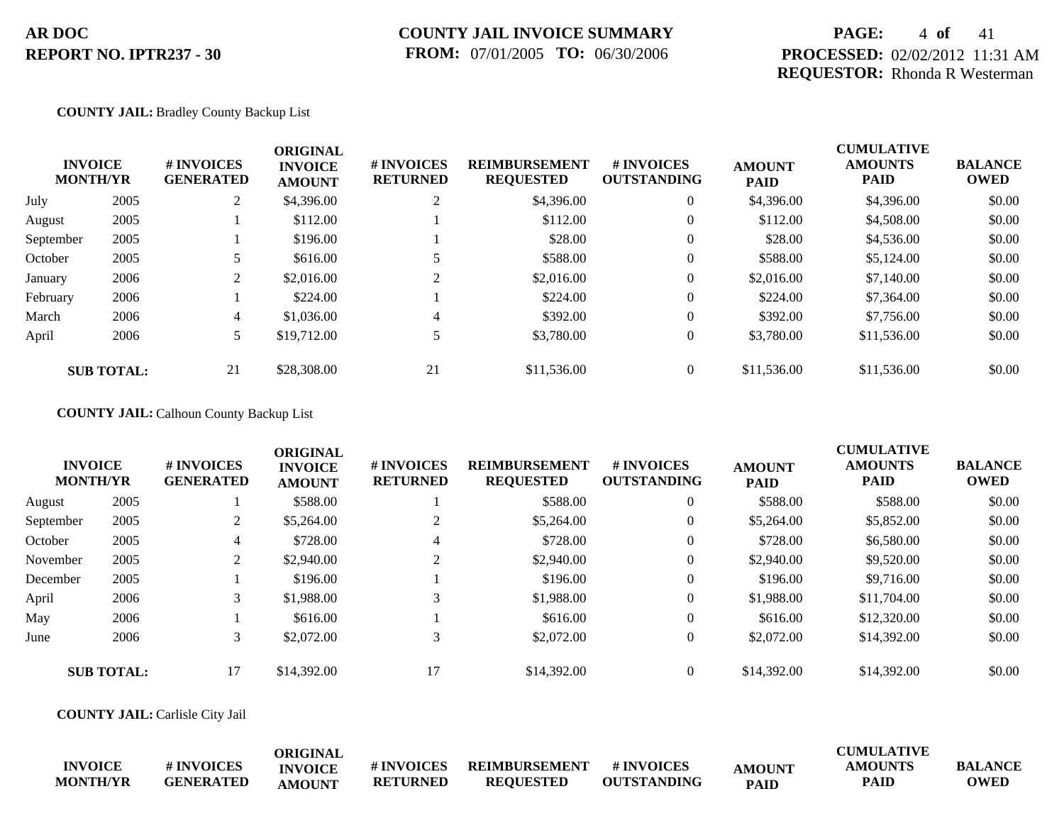## **COUNTY JAIL INVOICE SUMMARY FROM:** 07/01/2005 **TO:** 06/30/2006

## **PAGE:** 4 **of** 41 **PROCESSED:** 02/02/2012 11:31 AM **REQUESTOR:** Rhonda R Westerman

### **COUNTY JAIL:** Bradley County Backup List

|           | <b>INVOICE</b><br><b>MONTH/YR</b> | # INVOICES<br><b>GENERATED</b> | <b>ORIGINAL</b><br><b>INVOICE</b><br><b>AMOUNT</b> | # INVOICES<br><b>RETURNED</b> | <b>REIMBURSEMENT</b><br><b>REQUESTED</b> | # INVOICES<br><b>OUTSTANDING</b> | <b>AMOUNT</b><br><b>PAID</b> | <b>CUMULATIVE</b><br><b>AMOUNTS</b><br><b>PAID</b> | <b>BALANCE</b><br><b>OWED</b> |
|-----------|-----------------------------------|--------------------------------|----------------------------------------------------|-------------------------------|------------------------------------------|----------------------------------|------------------------------|----------------------------------------------------|-------------------------------|
| July      | 2005                              | $\overline{L}$                 | \$4,396.00                                         | $\sim$                        | \$4,396.00                               | $\theta$                         | \$4,396.00                   | \$4,396.00                                         | \$0.00                        |
| August    | 2005                              |                                | \$112.00                                           |                               | \$112.00                                 | $\theta$                         | \$112.00                     | \$4,508.00                                         | \$0.00                        |
| September | 2005                              |                                | \$196.00                                           |                               | \$28.00                                  | $\theta$                         | \$28.00                      | \$4,536.00                                         | \$0.00                        |
| October   | 2005                              |                                | \$616.00                                           |                               | \$588.00                                 | $\theta$                         | \$588.00                     | \$5,124.00                                         | \$0.00                        |
| January   | 2006                              |                                | \$2,016.00                                         | 2                             | \$2,016.00                               | $\theta$                         | \$2,016.00                   | \$7,140.00                                         | \$0.00                        |
| February  | 2006                              |                                | \$224.00                                           |                               | \$224.00                                 | $\theta$                         | \$224.00                     | \$7,364.00                                         | \$0.00                        |
| March     | 2006                              | 4                              | \$1,036.00                                         | 4                             | \$392.00                                 | $\overline{0}$                   | \$392.00                     | \$7,756.00                                         | \$0.00                        |
| April     | 2006                              | 5                              | \$19,712.00                                        | 5                             | \$3,780.00                               | $\overline{0}$                   | \$3,780.00                   | \$11,536.00                                        | \$0.00                        |
|           | <b>SUB TOTAL:</b>                 | 21                             | \$28,308.00                                        | 21                            | \$11,536.00                              | $\overline{0}$                   | \$11,536.00                  | \$11,536.00                                        | \$0.00                        |

### **COUNTY JAIL:** Calhoun County Backup List

|           | <b>INVOICE</b><br><b>MONTH/YR</b> | <b>#INVOICES</b><br><b>GENERATED</b> | <b>ORIGINAL</b><br><b>INVOICE</b><br><b>AMOUNT</b> | # INVOICES<br><b>RETURNED</b> | <b>REIMBURSEMENT</b><br><b>REQUESTED</b> | # INVOICES<br><b>OUTSTANDING</b> | <b>AMOUNT</b><br><b>PAID</b> | <b>CUMULATIVE</b><br><b>AMOUNTS</b><br><b>PAID</b> | <b>BALANCE</b><br><b>OWED</b> |
|-----------|-----------------------------------|--------------------------------------|----------------------------------------------------|-------------------------------|------------------------------------------|----------------------------------|------------------------------|----------------------------------------------------|-------------------------------|
| August    | 2005                              |                                      | \$588.00                                           |                               | \$588.00                                 | $\theta$                         | \$588.00                     | \$588.00                                           | \$0.00                        |
| September | 2005                              |                                      | \$5,264.00                                         |                               | \$5,264.00                               | $\theta$                         | \$5,264.00                   | \$5,852.00                                         | \$0.00                        |
| October   | 2005                              | 4                                    | \$728.00                                           | 4                             | \$728.00                                 | $\theta$                         | \$728.00                     | \$6,580.00                                         | \$0.00                        |
| November  | 2005                              | 2                                    | \$2,940.00                                         |                               | \$2,940.00                               | $\theta$                         | \$2,940.00                   | \$9,520.00                                         | \$0.00                        |
| December  | 2005                              |                                      | \$196.00                                           |                               | \$196.00                                 | $\theta$                         | \$196.00                     | \$9,716.00                                         | \$0.00                        |
| April     | 2006                              | 3                                    | \$1,988.00                                         | 3                             | \$1,988.00                               | $\overline{0}$                   | \$1,988.00                   | \$11,704.00                                        | \$0.00                        |
| May       | 2006                              |                                      | \$616.00                                           |                               | \$616.00                                 | $\overline{0}$                   | \$616.00                     | \$12,320.00                                        | \$0.00                        |
| June      | 2006                              | 3                                    | \$2,072.00                                         | 3                             | \$2,072.00                               | $\theta$                         | \$2,072.00                   | \$14,392.00                                        | \$0.00                        |
|           | <b>SUB TOTAL:</b>                 | 17                                   | \$14,392.00                                        | 17                            | \$14,392.00                              | $\theta$                         | \$14,392.00                  | \$14,392.00                                        | \$0.00                        |

**COUNTY JAIL:** Carlisle City Jail

|                 |                   | ORIGINAL       |                   |                  |                    |               | <b>CUMULATIVE</b> |                |
|-----------------|-------------------|----------------|-------------------|------------------|--------------------|---------------|-------------------|----------------|
| <b>INVOICE</b>  | <b># INVOICES</b> | <b>INVOICE</b> | <b># INVOICES</b> | REIMBURSEMENT    | # INVOICES         | <b>AMOUNT</b> | <b>AMOUNTS</b>    | <b>BALANCE</b> |
| <b>MONTH/YR</b> | <b>GENERATED</b>  | <b>AMOUNT</b>  | <b>RETURNED</b>   | <b>REQUESTED</b> | <b>OUTSTANDING</b> | <b>PAID</b>   | <b>PAID</b>       | <b>OWED</b>    |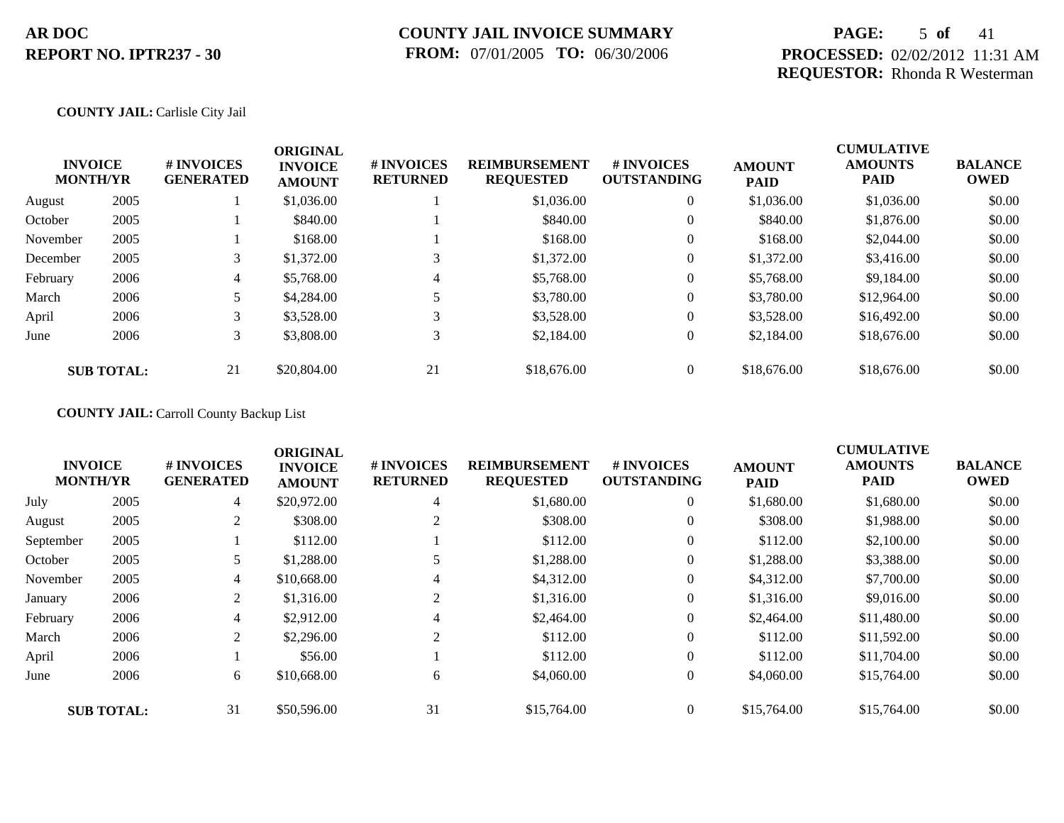## **PAGE:** 5 **of** 41 **PROCESSED:** 02/02/2012 11:31 AM **REQUESTOR:** Rhonda R Westerman

### **COUNTY JAIL:** Carlisle City Jail

|          | <b>INVOICE</b><br><b>MONTH/YR</b> | # INVOICES<br><b>GENERATED</b> | <b>ORIGINAL</b><br><b>INVOICE</b><br><b>AMOUNT</b> | # INVOICES<br><b>RETURNED</b> | <b>REIMBURSEMENT</b><br><b>REQUESTED</b> | # INVOICES<br><b>OUTSTANDING</b> | <b>AMOUNT</b><br><b>PAID</b> | <b>CUMULATIVE</b><br><b>AMOUNTS</b><br>PAID | <b>BALANCE</b><br><b>OWED</b> |
|----------|-----------------------------------|--------------------------------|----------------------------------------------------|-------------------------------|------------------------------------------|----------------------------------|------------------------------|---------------------------------------------|-------------------------------|
| August   | 2005                              |                                | \$1,036.00                                         |                               | \$1,036.00                               | $\overline{0}$                   | \$1,036.00                   | \$1,036.00                                  | \$0.00                        |
| October  | 2005                              |                                | \$840.00                                           |                               | \$840.00                                 | $\overline{0}$                   | \$840.00                     | \$1,876.00                                  | \$0.00                        |
| November | 2005                              |                                | \$168.00                                           |                               | \$168.00                                 | $\overline{0}$                   | \$168.00                     | \$2,044.00                                  | \$0.00                        |
| December | 2005                              |                                | \$1,372.00                                         | 3                             | \$1,372.00                               | $\overline{0}$                   | \$1,372.00                   | \$3,416.00                                  | \$0.00                        |
| February | 2006                              | 4                              | \$5,768.00                                         | 4                             | \$5,768.00                               | $\overline{0}$                   | \$5,768.00                   | \$9,184.00                                  | \$0.00                        |
| March    | 2006                              |                                | \$4,284.00                                         |                               | \$3,780.00                               | $\overline{0}$                   | \$3,780.00                   | \$12,964.00                                 | \$0.00                        |
| April    | 2006                              | 3                              | \$3,528.00                                         | 3                             | \$3,528.00                               | $\overline{0}$                   | \$3,528.00                   | \$16,492.00                                 | \$0.00                        |
| June     | 2006                              | 3                              | \$3,808.00                                         | 3                             | \$2,184.00                               | $\overline{0}$                   | \$2,184.00                   | \$18,676.00                                 | \$0.00                        |
|          | <b>SUB TOTAL:</b>                 | 21                             | \$20,804.00                                        | 21                            | \$18,676.00                              | $\theta$                         | \$18,676.00                  | \$18,676.00                                 | \$0.00                        |

## **COUNTY JAIL:** Carroll County Backup List

| <b>INVOICE</b><br><b>MONTH/YR</b> |                   | # INVOICES<br><b>GENERATED</b> | <b>ORIGINAL</b><br><b>INVOICE</b><br><b>AMOUNT</b> | # INVOICES<br><b>RETURNED</b> | <b>REIMBURSEMENT</b><br><b>REQUESTED</b> | # INVOICES<br><b>OUTSTANDING</b> | <b>AMOUNT</b><br><b>PAID</b> | <b>CUMULATIVE</b><br><b>AMOUNTS</b><br>PAID | <b>BALANCE</b><br><b>OWED</b> |
|-----------------------------------|-------------------|--------------------------------|----------------------------------------------------|-------------------------------|------------------------------------------|----------------------------------|------------------------------|---------------------------------------------|-------------------------------|
| July                              | 2005              | 4                              | \$20,972.00                                        | 4                             | \$1,680.00                               | $\overline{0}$                   | \$1,680.00                   | \$1,680.00                                  | \$0.00                        |
| August                            | 2005              | 2                              | \$308.00                                           | 2                             | \$308.00                                 | $\overline{0}$                   | \$308.00                     | \$1,988.00                                  | \$0.00                        |
| September                         | 2005              |                                | \$112.00                                           |                               | \$112.00                                 | $\overline{0}$                   | \$112.00                     | \$2,100.00                                  | \$0.00                        |
| October                           | 2005              | 5                              | \$1,288.00                                         |                               | \$1,288.00                               | $\overline{0}$                   | \$1,288.00                   | \$3,388.00                                  | \$0.00                        |
| November                          | 2005              | 4                              | \$10,668.00                                        | 4                             | \$4,312.00                               | $\overline{0}$                   | \$4,312.00                   | \$7,700.00                                  | \$0.00                        |
| January                           | 2006              | 2                              | \$1,316.00                                         | 2                             | \$1,316.00                               | $\overline{0}$                   | \$1,316.00                   | \$9,016.00                                  | \$0.00                        |
| February                          | 2006              | 4                              | \$2,912.00                                         | 4                             | \$2,464.00                               | $\overline{0}$                   | \$2,464.00                   | \$11,480.00                                 | \$0.00                        |
| March                             | 2006              | 2                              | \$2,296.00                                         | 2                             | \$112.00                                 | $\Omega$                         | \$112.00                     | \$11,592.00                                 | \$0.00                        |
| April                             | 2006              |                                | \$56.00                                            |                               | \$112.00                                 | $\overline{0}$                   | \$112.00                     | \$11,704.00                                 | \$0.00                        |
| June                              | 2006              | 6                              | \$10,668.00                                        | 6                             | \$4,060.00                               | $\overline{0}$                   | \$4,060.00                   | \$15,764.00                                 | \$0.00                        |
|                                   | <b>SUB TOTAL:</b> | 31                             | \$50,596.00                                        | 31                            | \$15,764.00                              | $\overline{0}$                   | \$15,764.00                  | \$15,764.00                                 | \$0.00                        |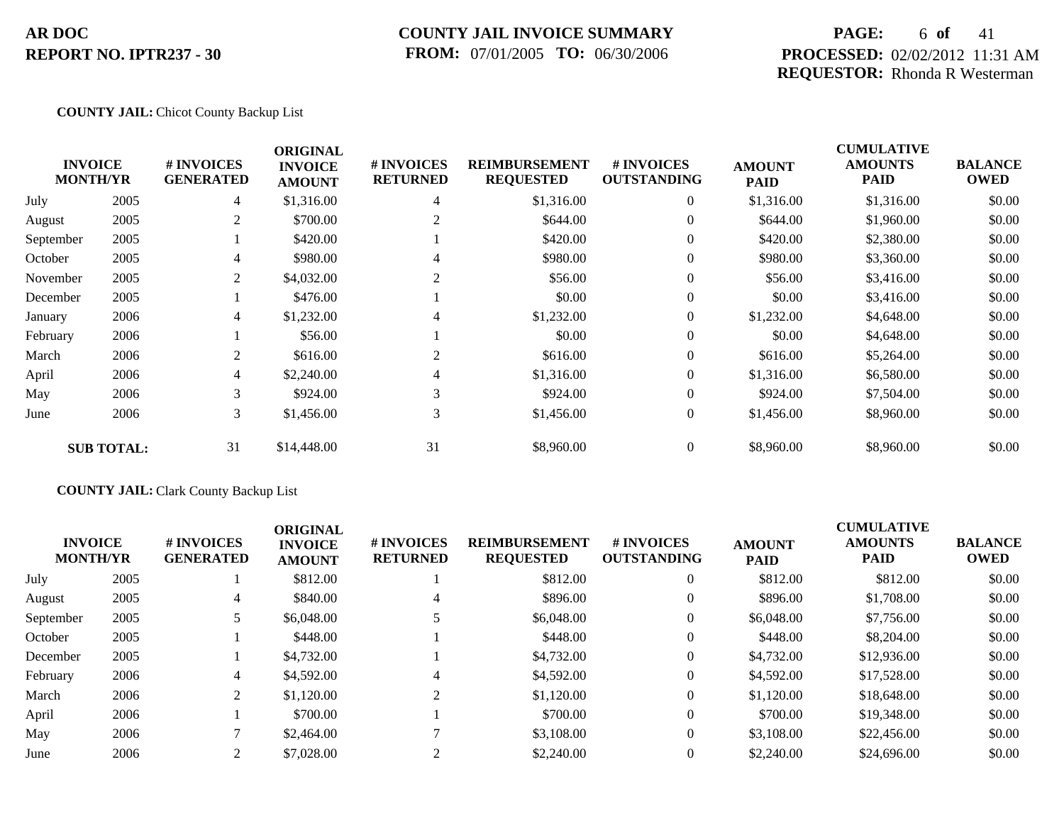## **COUNTY JAIL INVOICE SUMMARY FROM:** 07/01/2005 **TO:** 06/30/2006

## **PAGE:** 6 **of** 41 **PROCESSED:** 02/02/2012 11:31 AM **REQUESTOR:** Rhonda R Westerman

### **COUNTY JAIL:** Chicot County Backup List

|           | <b>INVOICE</b><br><b>MONTH/YR</b> | # INVOICES<br><b>GENERATED</b> | <b>ORIGINAL</b><br><b>INVOICE</b><br><b>AMOUNT</b> | # INVOICES<br><b>RETURNED</b> | <b>REIMBURSEMENT</b><br><b>REQUESTED</b> | # INVOICES<br><b>OUTSTANDING</b> | <b>AMOUNT</b><br><b>PAID</b> | <b>CUMULATIVE</b><br><b>AMOUNTS</b><br>PAID | <b>BALANCE</b><br><b>OWED</b> |
|-----------|-----------------------------------|--------------------------------|----------------------------------------------------|-------------------------------|------------------------------------------|----------------------------------|------------------------------|---------------------------------------------|-------------------------------|
| July      | 2005                              | $\overline{4}$                 | \$1,316.00                                         | 4                             | \$1,316.00                               | $\overline{0}$                   | \$1,316.00                   | \$1,316.00                                  | \$0.00                        |
| August    | 2005                              | 2                              | \$700.00                                           | 2                             | \$644.00                                 | $\overline{0}$                   | \$644.00                     | \$1,960.00                                  | \$0.00                        |
| September | 2005                              |                                | \$420.00                                           |                               | \$420.00                                 | $\overline{0}$                   | \$420.00                     | \$2,380.00                                  | \$0.00                        |
| October   | 2005                              | $\overline{4}$                 | \$980.00                                           | 4                             | \$980.00                                 | $\overline{0}$                   | \$980.00                     | \$3,360.00                                  | \$0.00                        |
| November  | 2005                              | 2                              | \$4,032.00                                         | 2                             | \$56.00                                  | $\overline{0}$                   | \$56.00                      | \$3,416.00                                  | \$0.00                        |
| December  | 2005                              |                                | \$476.00                                           |                               | \$0.00                                   | $\theta$                         | \$0.00                       | \$3,416.00                                  | \$0.00                        |
| January   | 2006                              | 4                              | \$1,232.00                                         | 4                             | \$1,232.00                               | $\theta$                         | \$1,232.00                   | \$4,648.00                                  | \$0.00                        |
| February  | 2006                              |                                | \$56.00                                            |                               | \$0.00                                   | $\overline{0}$                   | \$0.00                       | \$4,648.00                                  | \$0.00                        |
| March     | 2006                              | 2                              | \$616.00                                           | $\overline{2}$                | \$616.00                                 | $\overline{0}$                   | \$616.00                     | \$5,264.00                                  | \$0.00                        |
| April     | 2006                              | $\overline{4}$                 | \$2,240.00                                         | 4                             | \$1,316.00                               | $\overline{0}$                   | \$1,316.00                   | \$6,580.00                                  | \$0.00                        |
| May       | 2006                              | 3                              | \$924.00                                           | 3                             | \$924.00                                 | $\overline{0}$                   | \$924.00                     | \$7,504.00                                  | \$0.00                        |
| June      | 2006                              | 3                              | \$1,456.00                                         | 3                             | \$1,456.00                               | $\overline{0}$                   | \$1,456.00                   | \$8,960.00                                  | \$0.00                        |
|           | <b>SUB TOTAL:</b>                 | 31                             | \$14,448.00                                        | 31                            | \$8,960.00                               | $\overline{0}$                   | \$8,960.00                   | \$8,960.00                                  | \$0.00                        |

## **COUNTY JAIL:** Clark County Backup List

| <b>INVOICE</b><br><b>MONTH/YR</b> |      | # INVOICES<br><b>GENERATED</b> | <b>ORIGINAL</b><br><b>INVOICE</b><br><b>AMOUNT</b> | # INVOICES<br><b>RETURNED</b> | <b>REIMBURSEMENT</b><br><b>REQUESTED</b> | <b>#INVOICES</b><br><b>OUTSTANDING</b> | <b>AMOUNT</b><br><b>PAID</b> | <b>CUMULATIVE</b><br><b>AMOUNTS</b><br><b>PAID</b> | <b>BALANCE</b><br><b>OWED</b> |
|-----------------------------------|------|--------------------------------|----------------------------------------------------|-------------------------------|------------------------------------------|----------------------------------------|------------------------------|----------------------------------------------------|-------------------------------|
| July                              | 2005 |                                | \$812.00                                           |                               | \$812.00                                 | $\overline{0}$                         | \$812.00                     | \$812.00                                           | \$0.00                        |
| August                            | 2005 | 4                              | \$840.00                                           | 4                             | \$896.00                                 | $\overline{0}$                         | \$896.00                     | \$1,708.00                                         | \$0.00                        |
| September                         | 2005 |                                | \$6,048.00                                         |                               | \$6,048.00                               | $\overline{0}$                         | \$6,048.00                   | \$7,756.00                                         | \$0.00                        |
| October                           | 2005 |                                | \$448.00                                           |                               | \$448.00                                 | 0                                      | \$448.00                     | \$8,204.00                                         | \$0.00                        |
| December                          | 2005 |                                | \$4,732.00                                         |                               | \$4,732.00                               | $\overline{0}$                         | \$4,732.00                   | \$12,936.00                                        | \$0.00                        |
| February                          | 2006 | $\overline{4}$                 | \$4,592.00                                         |                               | \$4,592.00                               | 0                                      | \$4,592.00                   | \$17,528.00                                        | \$0.00                        |
| March                             | 2006 | 2                              | \$1,120.00                                         | ↑                             | \$1,120.00                               | $\overline{0}$                         | \$1,120.00                   | \$18,648.00                                        | \$0.00                        |
| April                             | 2006 |                                | \$700.00                                           |                               | \$700.00                                 | $\overline{0}$                         | \$700.00                     | \$19,348.00                                        | \$0.00                        |
| May                               | 2006 |                                | \$2,464.00                                         |                               | \$3,108.00                               | $\overline{0}$                         | \$3,108.00                   | \$22,456.00                                        | \$0.00                        |
| June                              | 2006 |                                | \$7,028.00                                         | $\sim$                        | \$2,240.00                               | $\overline{0}$                         | \$2,240.00                   | \$24,696.00                                        | \$0.00                        |
|                                   |      |                                |                                                    |                               |                                          |                                        |                              |                                                    |                               |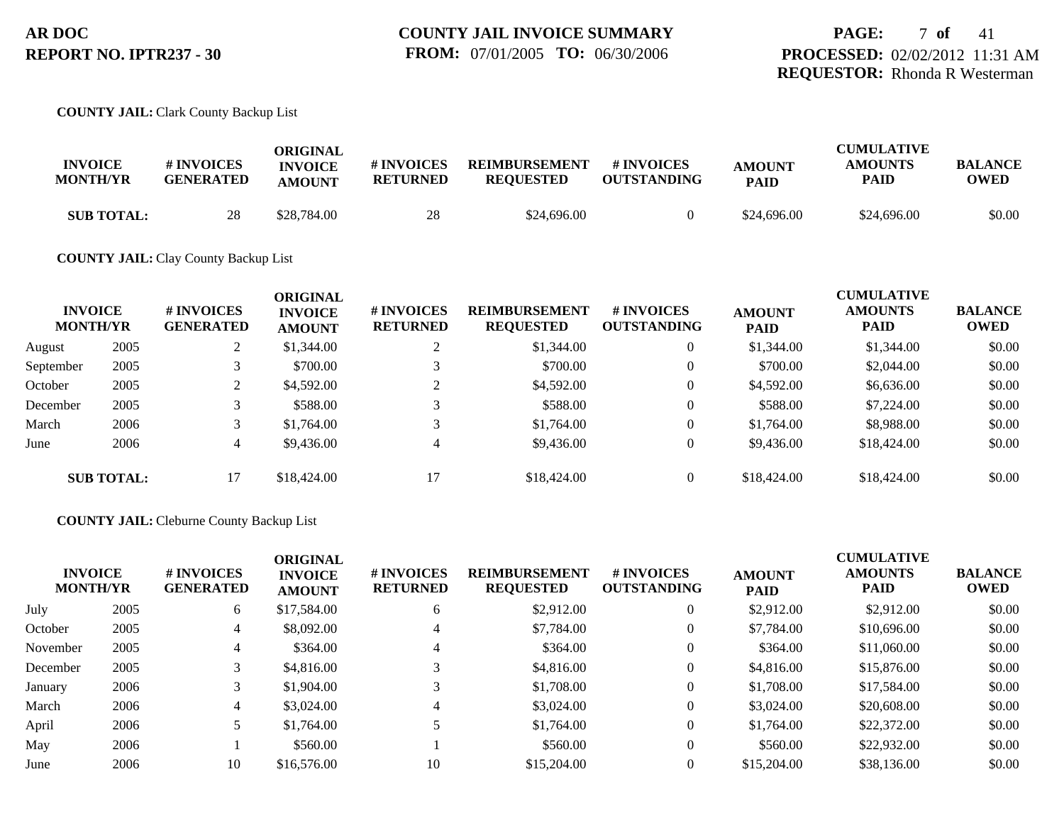# **PAGE:** 7 **of** 41 **PROCESSED:** 02/02/2012 11:31 AM **REQUESTOR:** Rhonda R Westerman

### **COUNTY JAIL:** Clark County Backup List

|                   |                  | ORIGINAL       |                 |                      |                    |               | <b>CUMULATIVE</b> |                |
|-------------------|------------------|----------------|-----------------|----------------------|--------------------|---------------|-------------------|----------------|
| <b>INVOICE</b>    | <b>#INVOICES</b> | <b>INVOICE</b> | # INVOICES      | <b>REIMBURSEMENT</b> | # INVOICES         | <b>AMOUNT</b> | <b>AMOUNTS</b>    | <b>BALANCE</b> |
| <b>MONTH/YR</b>   | <b>GENERATED</b> | <b>AMOUNT</b>  | <b>RETURNED</b> | <b>REOUESTED</b>     | <b>OUTSTANDING</b> | <b>PAID</b>   | PAID              | OWED           |
| <b>SUB TOTAL:</b> | 28               | \$28,784.00    | 28              | \$24,696.00          |                    | \$24,696.00   | \$24,696.00       | \$0.00         |

## **COUNTY JAIL:** Clay County Backup List

| <b>INVOICE</b><br><b>MONTH/YR</b> |                   | # INVOICES<br><b>GENERATED</b> | <b>ORIGINAL</b><br><b>INVOICE</b><br><b>AMOUNT</b> | # INVOICES<br><b>RETURNED</b> | <b>REIMBURSEMENT</b><br><b>REQUESTED</b> | # INVOICES<br><b>OUTSTANDING</b> | <b>AMOUNT</b><br><b>PAID</b> | <b>CUMULATIVE</b><br><b>AMOUNTS</b><br><b>PAID</b> | <b>BALANCE</b><br><b>OWED</b> |
|-----------------------------------|-------------------|--------------------------------|----------------------------------------------------|-------------------------------|------------------------------------------|----------------------------------|------------------------------|----------------------------------------------------|-------------------------------|
| August                            | 2005              | $\angle$                       | \$1,344.00                                         |                               | \$1,344.00                               | $\overline{0}$                   | \$1,344.00                   | \$1,344.00                                         | \$0.00                        |
| September                         | 2005              |                                | \$700.00                                           |                               | \$700.00                                 | $\overline{0}$                   | \$700.00                     | \$2,044.00                                         | \$0.00                        |
| October                           | 2005              | ◠                              | \$4,592.00                                         |                               | \$4,592.00                               | $\overline{0}$                   | \$4,592.00                   | \$6,636.00                                         | \$0.00                        |
| December                          | 2005              |                                | \$588.00                                           |                               | \$588.00                                 | $\overline{0}$                   | \$588.00                     | \$7,224.00                                         | \$0.00                        |
| March                             | 2006              |                                | \$1,764.00                                         |                               | \$1,764.00                               | $\overline{0}$                   | \$1,764.00                   | \$8,988.00                                         | \$0.00                        |
| June                              | 2006              | $\overline{4}$                 | \$9,436.00                                         | 4                             | \$9,436.00                               | $\overline{0}$                   | \$9,436.00                   | \$18,424.00                                        | \$0.00                        |
|                                   | <b>SUB TOTAL:</b> | 17                             | \$18,424.00                                        | 17                            | \$18,424.00                              | $\overline{0}$                   | \$18,424.00                  | \$18,424.00                                        | \$0.00                        |

### **COUNTY JAIL:** Cleburne County Backup List

|          | <b>INVOICE</b><br><b>MONTH/YR</b> | <b>#INVOICES</b><br><b>GENERATED</b> | <b>ORIGINAL</b><br><b>INVOICE</b><br><b>AMOUNT</b> | # INVOICES<br><b>RETURNED</b> | <b>REIMBURSEMENT</b><br><b>REQUESTED</b> | # INVOICES<br><b>OUTSTANDING</b> | <b>AMOUNT</b><br><b>PAID</b> | <b>CUMULATIVE</b><br><b>AMOUNTS</b><br><b>PAID</b> | <b>BALANCE</b><br><b>OWED</b> |
|----------|-----------------------------------|--------------------------------------|----------------------------------------------------|-------------------------------|------------------------------------------|----------------------------------|------------------------------|----------------------------------------------------|-------------------------------|
| July     | 2005                              | 6                                    | \$17,584.00                                        | 6                             | \$2,912.00                               | $\Omega$                         | \$2,912.00                   | \$2,912.00                                         | \$0.00                        |
| October  | 2005                              | 4                                    | \$8,092.00                                         | $\overline{4}$                | \$7,784.00                               | $\mathbf{0}$                     | \$7,784.00                   | \$10,696.00                                        | \$0.00                        |
| November | 2005                              |                                      | \$364.00                                           | 4                             | \$364.00                                 | $\theta$                         | \$364.00                     | \$11,060.00                                        | \$0.00                        |
| December | 2005                              |                                      | \$4,816.00                                         |                               | \$4,816.00                               | $\mathbf{0}$                     | \$4,816.00                   | \$15,876.00                                        | \$0.00                        |
| January  | 2006                              |                                      | \$1,904.00                                         | 3                             | \$1,708.00                               | $\theta$                         | \$1,708.00                   | \$17,584.00                                        | \$0.00                        |
| March    | 2006                              | 4                                    | \$3,024.00                                         | 4                             | \$3,024.00                               | $\Omega$                         | \$3,024.00                   | \$20,608.00                                        | \$0.00                        |
| April    | 2006                              |                                      | \$1,764.00                                         |                               | \$1,764.00                               | $\mathbf{0}$                     | \$1,764.00                   | \$22,372.00                                        | \$0.00                        |
| May      | 2006                              |                                      | \$560.00                                           |                               | \$560.00                                 | $\mathbf{0}$                     | \$560.00                     | \$22,932.00                                        | \$0.00                        |
| June     | 2006                              | 10                                   | \$16,576.00                                        | 10                            | \$15,204.00                              |                                  | \$15,204.00                  | \$38,136.00                                        | \$0.00                        |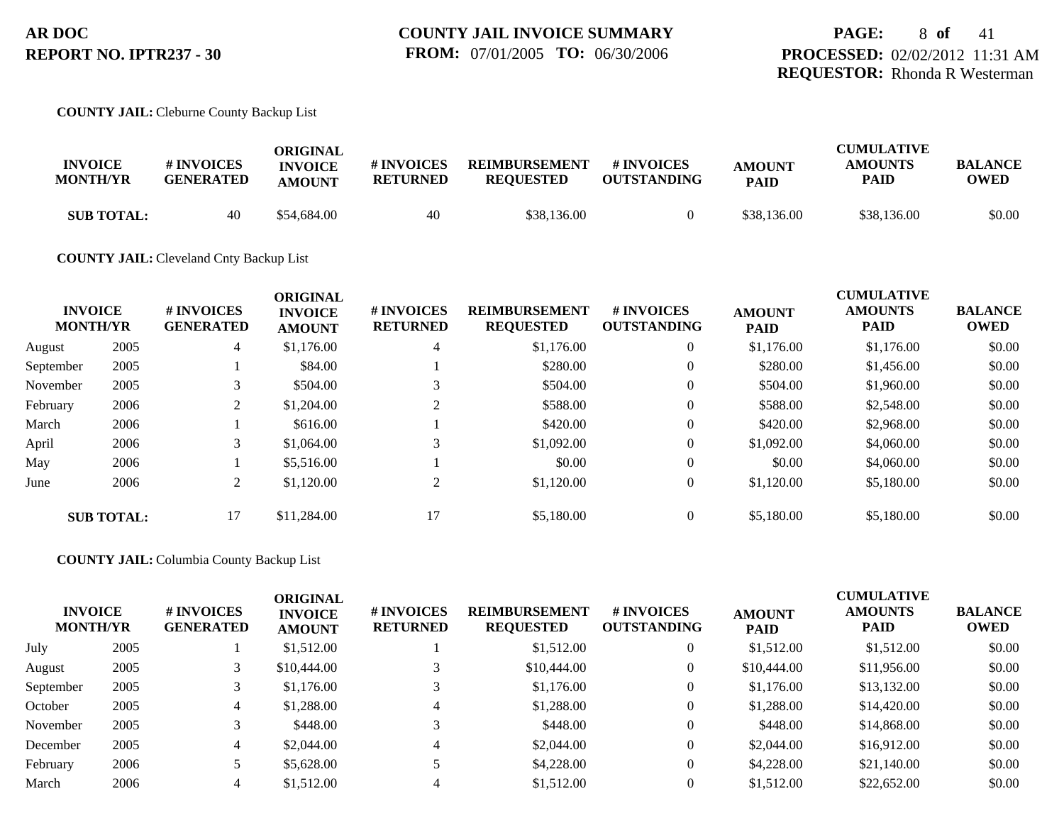#### **COUNTY JAIL:** Cleburne County Backup List

| <b>INVOICE</b><br><b>MONTH/YR</b> | # INVOICES<br><b>GENERATED</b> | ORIGINAL<br><b>INVOICE</b><br><b>AMOUNT</b> | # INVOICES<br><b>RETURNED</b> | <b>REIMBURSEMENT</b><br><b>REOUESTED</b> | # INVOICES<br><b>OUTSTANDING</b> | <b>AMOUNT</b><br><b>PAID</b> | <b>CUMULATIVE</b><br><b>AMOUNTS</b><br>PAID | <b>BALANCE</b><br>OWED |
|-----------------------------------|--------------------------------|---------------------------------------------|-------------------------------|------------------------------------------|----------------------------------|------------------------------|---------------------------------------------|------------------------|
| <b>SUB TOTAL:</b>                 | 40                             | \$54.684.00                                 | 40                            | \$38,136.00                              |                                  | \$38,136.00                  | \$38,136.00                                 | \$0.00                 |

### **COUNTY JAIL:** Cleveland Cnty Backup List

|           | <b>INVOICE</b><br><b>MONTH/YR</b> | # INVOICES<br><b>GENERATED</b> | <b>ORIGINAL</b><br><b>INVOICE</b><br><b>AMOUNT</b> | # INVOICES<br><b>RETURNED</b> | <b>REIMBURSEMENT</b><br><b>REQUESTED</b> | # INVOICES<br><b>OUTSTANDING</b> | <b>AMOUNT</b><br><b>PAID</b> | <b>CUMULATIVE</b><br><b>AMOUNTS</b><br><b>PAID</b> | <b>BALANCE</b><br><b>OWED</b> |
|-----------|-----------------------------------|--------------------------------|----------------------------------------------------|-------------------------------|------------------------------------------|----------------------------------|------------------------------|----------------------------------------------------|-------------------------------|
| August    | 2005                              | $\overline{4}$                 | \$1,176.00                                         | 4                             | \$1,176.00                               | $\overline{0}$                   | \$1,176.00                   | \$1,176.00                                         | \$0.00                        |
| September | 2005                              |                                | \$84.00                                            |                               | \$280.00                                 | $\overline{0}$                   | \$280.00                     | \$1,456.00                                         | \$0.00                        |
| November  | 2005                              |                                | \$504.00                                           |                               | \$504.00                                 | $\overline{0}$                   | \$504.00                     | \$1,960.00                                         | \$0.00                        |
| February  | 2006                              | 2                              | \$1,204.00                                         |                               | \$588.00                                 | $\overline{0}$                   | \$588.00                     | \$2,548.00                                         | \$0.00                        |
| March     | 2006                              |                                | \$616.00                                           |                               | \$420.00                                 | $\overline{0}$                   | \$420.00                     | \$2,968.00                                         | \$0.00                        |
| April     | 2006                              | 3                              | \$1,064.00                                         | 3                             | \$1,092.00                               | $\theta$                         | \$1,092.00                   | \$4,060.00                                         | \$0.00                        |
| May       | 2006                              |                                | \$5,516.00                                         |                               | \$0.00                                   | $\theta$                         | \$0.00                       | \$4,060.00                                         | \$0.00                        |
| June      | 2006                              | 2                              | \$1,120.00                                         | 2                             | \$1,120.00                               | $\theta$                         | \$1,120.00                   | \$5,180.00                                         | \$0.00                        |
|           | <b>SUB TOTAL:</b>                 | 17                             | \$11,284.00                                        | 17                            | \$5,180.00                               | $\overline{0}$                   | \$5,180.00                   | \$5,180.00                                         | \$0.00                        |

### **COUNTY JAIL:** Columbia County Backup List

| <b>INVOICE</b><br><b>MONTH/YR</b> |      | <b># INVOICES</b><br><b>GENERATED</b> | <b>ORIGINAL</b><br><b>INVOICE</b><br><b>AMOUNT</b> | # INVOICES<br><b>RETURNED</b> | <b>REIMBURSEMENT</b><br><b>REQUESTED</b> | # INVOICES<br><b>OUTSTANDING</b> | <b>AMOUNT</b><br><b>PAID</b> | <b>CUMULATIVE</b><br><b>AMOUNTS</b><br><b>PAID</b> | <b>BALANCE</b><br><b>OWED</b> |
|-----------------------------------|------|---------------------------------------|----------------------------------------------------|-------------------------------|------------------------------------------|----------------------------------|------------------------------|----------------------------------------------------|-------------------------------|
| July                              | 2005 |                                       | \$1,512.00                                         |                               | \$1,512.00                               | 0                                | \$1,512.00                   | \$1,512.00                                         | \$0.00                        |
| August                            | 2005 |                                       | \$10,444.00                                        |                               | \$10,444.00                              | 0                                | \$10,444.00                  | \$11,956.00                                        | \$0.00                        |
| September                         | 2005 |                                       | \$1,176.00                                         |                               | \$1,176.00                               | $\mathbf{0}$                     | \$1,176.00                   | \$13,132.00                                        | \$0.00                        |
| October                           | 2005 | 4                                     | \$1,288.00                                         |                               | \$1,288.00                               | $\mathbf{0}$                     | \$1,288.00                   | \$14,420.00                                        | \$0.00                        |
| November                          | 2005 |                                       | \$448.00                                           |                               | \$448.00                                 | $\mathbf{0}$                     | \$448.00                     | \$14,868.00                                        | \$0.00                        |
| December                          | 2005 | 4                                     | \$2,044.00                                         |                               | \$2,044.00                               | $\mathbf{0}$                     | \$2,044.00                   | \$16,912.00                                        | \$0.00                        |
| February                          | 2006 |                                       | \$5,628.00                                         |                               | \$4,228.00                               | $\theta$                         | \$4,228.00                   | \$21,140.00                                        | \$0.00                        |
| March                             | 2006 |                                       | \$1,512.00                                         |                               | \$1,512.00                               |                                  | \$1,512.00                   | \$22,652.00                                        | \$0.00                        |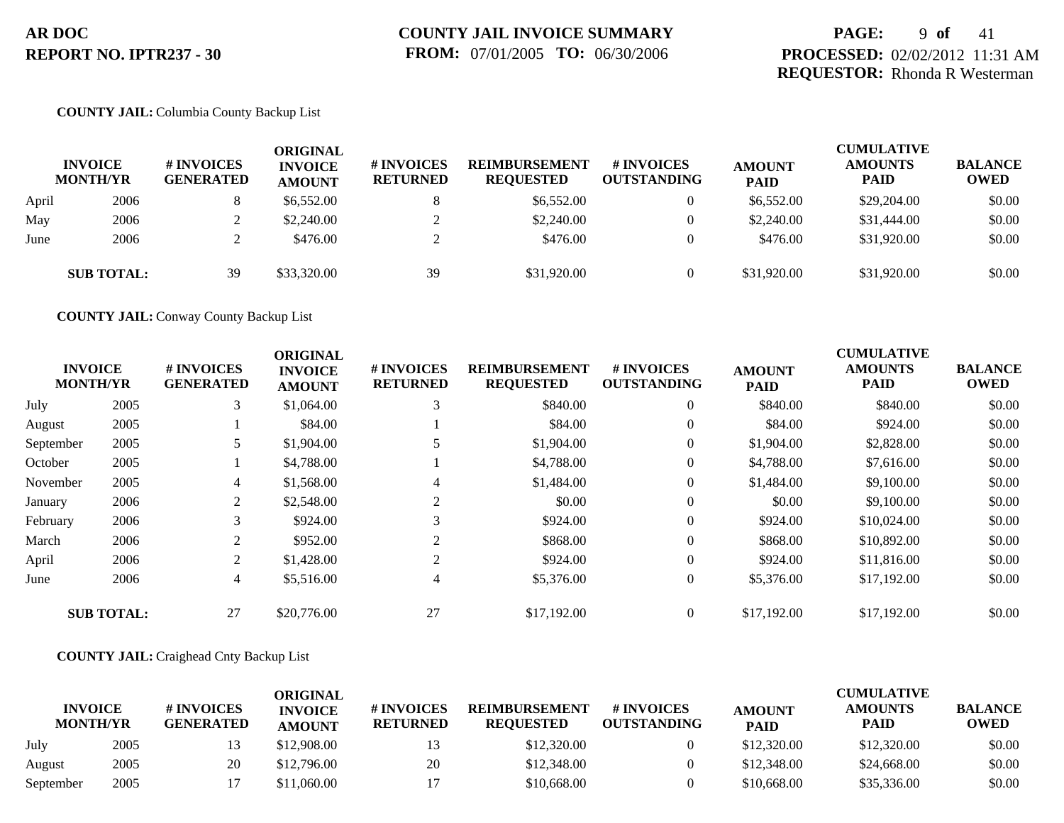## **PAGE:** 9 **of** 41 **PROCESSED:** 02/02/2012 11:31 AM **REQUESTOR:** Rhonda R Westerman

## **COUNTY JAIL:** Columbia County Backup List

|       | <b>INVOICE</b><br><b>MONTH/YR</b> | # INVOICES<br><b>GENERATED</b> | ORIGINAL<br><b>INVOICE</b><br><b>AMOUNT</b> | # INVOICES<br><b>RETURNED</b> | <b>REIMBURSEMENT</b><br><b>REQUESTED</b> | # INVOICES<br><b>OUTSTANDING</b> | <b>AMOUNT</b><br><b>PAID</b> | <b>CUMULATIVE</b><br><b>AMOUNTS</b><br><b>PAID</b> | <b>BALANCE</b><br><b>OWED</b> |
|-------|-----------------------------------|--------------------------------|---------------------------------------------|-------------------------------|------------------------------------------|----------------------------------|------------------------------|----------------------------------------------------|-------------------------------|
| April | 2006                              |                                | \$6,552.00                                  |                               | \$6,552.00                               | $\overline{0}$                   | \$6,552.00                   | \$29,204.00                                        | \$0.00                        |
| May   | 2006                              | ∠                              | \$2,240.00                                  |                               | \$2,240.00                               | $\overline{0}$                   | \$2,240.00                   | \$31,444.00                                        | \$0.00                        |
| June  | 2006                              |                                | \$476.00                                    |                               | \$476.00                                 | $\theta$                         | \$476.00                     | \$31,920.00                                        | \$0.00                        |
|       | <b>SUB TOTAL:</b>                 | 39                             | \$33,320.00                                 | 39                            | \$31,920.00                              | $\theta$                         | \$31,920.00                  | \$31,920.00                                        | \$0.00                        |

**COUNTY JAIL:** Conway County Backup List

|           | <b>INVOICE</b><br><b>MONTH/YR</b> | # INVOICES<br><b>GENERATED</b> | <b>ORIGINAL</b><br><b>INVOICE</b><br><b>AMOUNT</b> | # INVOICES<br><b>RETURNED</b> | <b>REIMBURSEMENT</b><br><b>REQUESTED</b> | <b>#INVOICES</b><br><b>OUTSTANDING</b> | <b>AMOUNT</b><br><b>PAID</b> | <b>CUMULATIVE</b><br><b>AMOUNTS</b><br><b>PAID</b> | <b>BALANCE</b><br><b>OWED</b> |
|-----------|-----------------------------------|--------------------------------|----------------------------------------------------|-------------------------------|------------------------------------------|----------------------------------------|------------------------------|----------------------------------------------------|-------------------------------|
| July      | 2005                              | 3                              | \$1,064.00                                         | 3                             | \$840.00                                 | $\overline{0}$                         | \$840.00                     | \$840.00                                           | \$0.00                        |
| August    | 2005                              |                                | \$84.00                                            |                               | \$84.00                                  | $\overline{0}$                         | \$84.00                      | \$924.00                                           | \$0.00                        |
| September | 2005                              | 5                              | \$1,904.00                                         | 5                             | \$1,904.00                               | $\overline{0}$                         | \$1,904.00                   | \$2,828.00                                         | \$0.00                        |
| October   | 2005                              |                                | \$4,788.00                                         |                               | \$4,788.00                               | $\overline{0}$                         | \$4,788.00                   | \$7.616.00                                         | \$0.00                        |
| November  | 2005                              | $\overline{4}$                 | \$1,568.00                                         | 4                             | \$1,484.00                               | $\overline{0}$                         | \$1,484.00                   | \$9,100.00                                         | \$0.00                        |
| January   | 2006                              | 2                              | \$2,548.00                                         | 2                             | \$0.00                                   | $\overline{0}$                         | \$0.00                       | \$9,100.00                                         | \$0.00                        |
| February  | 2006                              | 3                              | \$924.00                                           | 3                             | \$924.00                                 | $\overline{0}$                         | \$924.00                     | \$10,024.00                                        | \$0.00                        |
| March     | 2006                              | 2                              | \$952.00                                           | 2                             | \$868.00                                 | $\overline{0}$                         | \$868.00                     | \$10,892.00                                        | \$0.00                        |
| April     | 2006                              | 2                              | \$1,428.00                                         | 2                             | \$924.00                                 | $\overline{0}$                         | \$924.00                     | \$11,816.00                                        | \$0.00                        |
| June      | 2006                              | $\overline{4}$                 | \$5,516.00                                         | $\overline{4}$                | \$5,376.00                               | $\overline{0}$                         | \$5,376.00                   | \$17,192.00                                        | \$0.00                        |
|           | <b>SUB TOTAL:</b>                 | 27                             | \$20,776.00                                        | 27                            | \$17,192,00                              | $\overline{0}$                         | \$17,192.00                  | \$17,192.00                                        | \$0.00                        |

### **COUNTY JAIL:** Craighead Cnty Backup List

|                                   |      |                                | ORIGINAL                        |                               |                                          |                                        |                              | CUMULATIVE             |                               |
|-----------------------------------|------|--------------------------------|---------------------------------|-------------------------------|------------------------------------------|----------------------------------------|------------------------------|------------------------|-------------------------------|
| <b>INVOICE</b><br><b>MONTH/YR</b> |      | # INVOICES<br><b>GENERATED</b> | <b>INVOICE</b><br><b>AMOUNT</b> | # INVOICES<br><b>RETURNED</b> | <b>REIMBURSEMENT</b><br><b>REOUESTED</b> | <b>#INVOICES</b><br><b>OUTSTANDING</b> | <b>AMOUNT</b><br><b>PAID</b> | <b>AMOUNTS</b><br>PAID | <b>BALANCE</b><br><b>OWED</b> |
| July                              | 2005 |                                | \$12,908.00                     | 13                            | \$12,320.00                              |                                        | \$12,320.00                  | \$12,320.00            | \$0.00                        |
| August                            | 2005 | 20                             | \$12,796.00                     | 20                            | \$12,348.00                              |                                        | \$12,348.00                  | \$24,668.00            | \$0.00                        |
| September                         | 2005 |                                | \$11,060.00                     |                               | \$10,668.00                              |                                        | \$10,668.00                  | \$35,336.00            | \$0.00                        |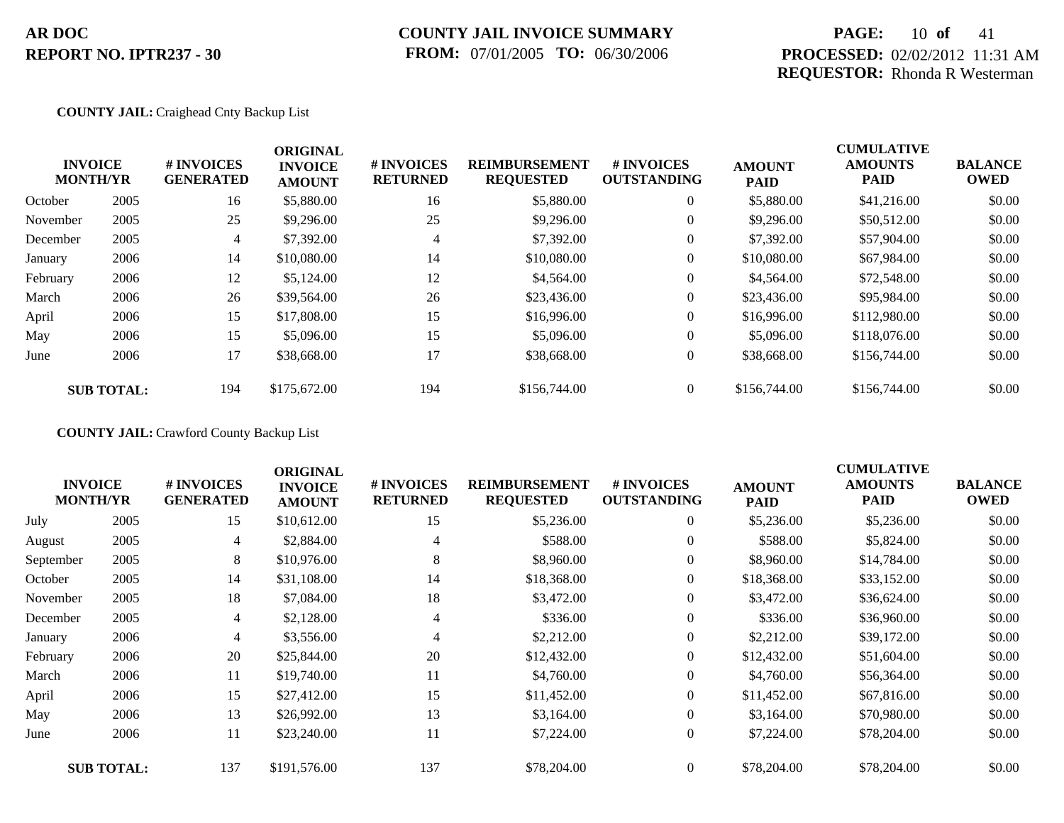# **COUNTY JAIL INVOICE SUMMARY FROM:** 07/01/2005 **TO:** 06/30/2006

## **PAGE:** 10 **of** 41 **PROCESSED:** 02/02/2012 11:31 AM **REQUESTOR:** Rhonda R Westerman

### **COUNTY JAIL:** Craighead Cnty Backup List

|          | <b>INVOICE</b><br><b>MONTH/YR</b> | # INVOICES<br><b>GENERATED</b> | <b>ORIGINAL</b><br><b>INVOICE</b><br><b>AMOUNT</b> | # INVOICES<br><b>RETURNED</b> | <b>REIMBURSEMENT</b><br><b>REQUESTED</b> | <b>#INVOICES</b><br><b>OUTSTANDING</b> | <b>AMOUNT</b><br><b>PAID</b> | <b>CUMULATIVE</b><br><b>AMOUNTS</b><br><b>PAID</b> | <b>BALANCE</b><br><b>OWED</b> |
|----------|-----------------------------------|--------------------------------|----------------------------------------------------|-------------------------------|------------------------------------------|----------------------------------------|------------------------------|----------------------------------------------------|-------------------------------|
| October  | 2005                              | 16                             | \$5,880.00                                         | 16                            | \$5,880.00                               | $\overline{0}$                         | \$5,880.00                   | \$41,216.00                                        | \$0.00                        |
| November | 2005                              | 25                             | \$9,296.00                                         | 25                            | \$9,296.00                               | $\overline{0}$                         | \$9,296.00                   | \$50,512.00                                        | \$0.00                        |
| December | 2005                              | $\overline{4}$                 | \$7,392.00                                         | 4                             | \$7,392.00                               | $\overline{0}$                         | \$7,392.00                   | \$57,904.00                                        | \$0.00                        |
| January  | 2006                              | 14                             | \$10,080.00                                        | 14                            | \$10,080.00                              | $\overline{0}$                         | \$10,080.00                  | \$67,984.00                                        | \$0.00                        |
| February | 2006                              | 12                             | \$5,124.00                                         | 12                            | \$4,564.00                               | $\overline{0}$                         | \$4,564.00                   | \$72,548.00                                        | \$0.00                        |
| March    | 2006                              | 26                             | \$39,564.00                                        | 26                            | \$23,436.00                              | $\overline{0}$                         | \$23,436.00                  | \$95,984.00                                        | \$0.00                        |
| April    | 2006                              | 15                             | \$17,808.00                                        | 15                            | \$16,996.00                              | $\overline{0}$                         | \$16,996.00                  | \$112,980.00                                       | \$0.00                        |
| May      | 2006                              | 15                             | \$5,096.00                                         | 15                            | \$5,096.00                               | $\overline{0}$                         | \$5,096.00                   | \$118,076.00                                       | \$0.00                        |
| June     | 2006                              | 17                             | \$38,668.00                                        | 17                            | \$38,668.00                              | $\overline{0}$                         | \$38,668.00                  | \$156,744.00                                       | \$0.00                        |
|          | <b>SUB TOTAL:</b>                 | 194                            | \$175,672.00                                       | 194                           | \$156,744.00                             | $\overline{0}$                         | \$156,744.00                 | \$156,744.00                                       | \$0.00                        |

**COUNTY JAIL:** Crawford County Backup List

|           | <b>INVOICE</b><br><b>MONTH/YR</b> | # INVOICES<br><b>GENERATED</b> | <b>ORIGINAL</b><br><b>INVOICE</b><br><b>AMOUNT</b> | # INVOICES<br><b>RETURNED</b> | <b>REIMBURSEMENT</b><br><b>REQUESTED</b> | # INVOICES<br><b>OUTSTANDING</b> | <b>AMOUNT</b><br><b>PAID</b> | <b>CUMULATIVE</b><br><b>AMOUNTS</b><br><b>PAID</b> | <b>BALANCE</b><br><b>OWED</b> |
|-----------|-----------------------------------|--------------------------------|----------------------------------------------------|-------------------------------|------------------------------------------|----------------------------------|------------------------------|----------------------------------------------------|-------------------------------|
| July      | 2005                              | 15                             | \$10,612.00                                        | 15                            | \$5,236.00                               | $\overline{0}$                   | \$5,236.00                   | \$5,236.00                                         | \$0.00                        |
| August    | 2005                              | 4                              | \$2,884.00                                         | 4                             | \$588.00                                 | $\overline{0}$                   | \$588.00                     | \$5,824.00                                         | \$0.00                        |
| September | 2005                              | 8                              | \$10,976.00                                        | 8                             | \$8,960.00                               | $\overline{0}$                   | \$8,960.00                   | \$14,784.00                                        | \$0.00                        |
| October   | 2005                              | 14                             | \$31,108.00                                        | 14                            | \$18,368.00                              | $\overline{0}$                   | \$18,368.00                  | \$33,152.00                                        | \$0.00                        |
| November  | 2005                              | 18                             | \$7,084.00                                         | 18                            | \$3,472.00                               | $\overline{0}$                   | \$3,472.00                   | \$36,624.00                                        | \$0.00                        |
| December  | 2005                              | 4                              | \$2,128.00                                         | 4                             | \$336.00                                 | $\overline{0}$                   | \$336.00                     | \$36,960.00                                        | \$0.00                        |
| January   | 2006                              | 4                              | \$3,556.00                                         | 4                             | \$2,212.00                               | $\boldsymbol{0}$                 | \$2,212.00                   | \$39,172.00                                        | \$0.00                        |
| February  | 2006                              | 20                             | \$25,844.00                                        | 20                            | \$12,432.00                              | $\boldsymbol{0}$                 | \$12,432.00                  | \$51,604.00                                        | \$0.00                        |
| March     | 2006                              | 11                             | \$19,740.00                                        | 11                            | \$4,760.00                               | $\overline{0}$                   | \$4,760.00                   | \$56,364.00                                        | \$0.00                        |
| April     | 2006                              | 15                             | \$27,412.00                                        | 15                            | \$11,452.00                              | $\overline{0}$                   | \$11,452.00                  | \$67,816.00                                        | \$0.00                        |
| May       | 2006                              | 13                             | \$26,992.00                                        | 13                            | \$3,164.00                               | $\overline{0}$                   | \$3,164.00                   | \$70,980.00                                        | \$0.00                        |
| June      | 2006                              | 11                             | \$23,240.00                                        | 11                            | \$7,224.00                               | $\boldsymbol{0}$                 | \$7,224.00                   | \$78,204.00                                        | \$0.00                        |
|           | <b>SUB TOTAL:</b>                 | 137                            | \$191,576.00                                       | 137                           | \$78,204.00                              | $\overline{0}$                   | \$78,204.00                  | \$78,204.00                                        | \$0.00                        |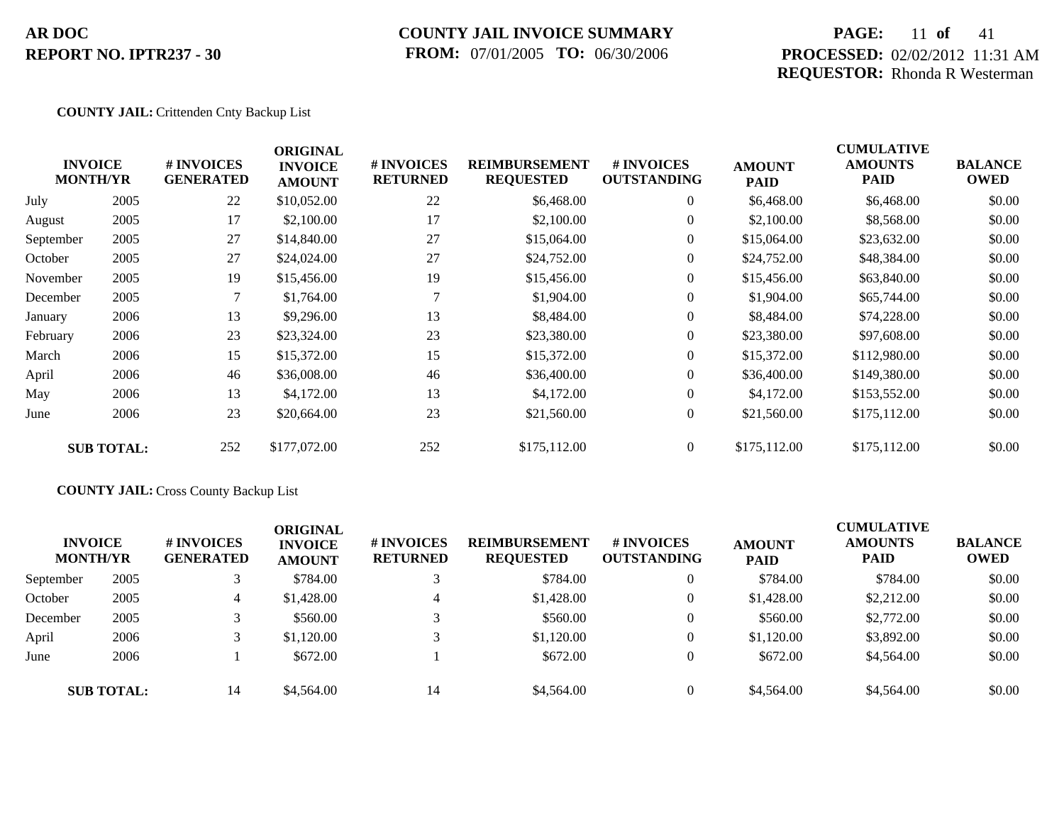## **COUNTY JAIL INVOICE SUMMARY FROM:** 07/01/2005 **TO:** 06/30/2006

## **PAGE:** 11 **of** 41 **PROCESSED:** 02/02/2012 11:31 AM **REQUESTOR:** Rhonda R Westerman

### **COUNTY JAIL:** Crittenden Cnty Backup List

|           | <b>INVOICE</b><br><b>MONTH/YR</b> | # INVOICES<br><b>GENERATED</b> | <b>ORIGINAL</b><br><b>INVOICE</b><br><b>AMOUNT</b> | # INVOICES<br><b>RETURNED</b> | <b>REIMBURSEMENT</b><br><b>REQUESTED</b> | <b># INVOICES</b><br><b>OUTSTANDING</b> | <b>AMOUNT</b><br><b>PAID</b> | <b>CUMULATIVE</b><br><b>AMOUNTS</b><br>PAID | <b>BALANCE</b><br><b>OWED</b> |
|-----------|-----------------------------------|--------------------------------|----------------------------------------------------|-------------------------------|------------------------------------------|-----------------------------------------|------------------------------|---------------------------------------------|-------------------------------|
| July      | 2005                              | 22                             | \$10,052.00                                        | 22                            | \$6,468.00                               | $\overline{0}$                          | \$6,468.00                   | \$6,468.00                                  | \$0.00                        |
| August    | 2005                              | 17                             | \$2,100.00                                         | 17                            | \$2,100.00                               | $\overline{0}$                          | \$2,100.00                   | \$8,568.00                                  | \$0.00                        |
| September | 2005                              | 27                             | \$14,840.00                                        | 27                            | \$15,064.00                              | $\overline{0}$                          | \$15,064.00                  | \$23,632.00                                 | \$0.00                        |
| October   | 2005                              | 27                             | \$24,024.00                                        | 27                            | \$24,752.00                              | $\overline{0}$                          | \$24,752.00                  | \$48,384.00                                 | \$0.00                        |
| November  | 2005                              | 19                             | \$15,456.00                                        | 19                            | \$15,456.00                              | $\overline{0}$                          | \$15,456.00                  | \$63,840.00                                 | \$0.00                        |
| December  | 2005                              |                                | \$1,764.00                                         |                               | \$1,904.00                               | $\overline{0}$                          | \$1,904.00                   | \$65,744.00                                 | \$0.00                        |
| January   | 2006                              | 13                             | \$9,296.00                                         | 13                            | \$8,484.00                               | $\overline{0}$                          | \$8,484.00                   | \$74,228.00                                 | \$0.00                        |
| February  | 2006                              | 23                             | \$23,324.00                                        | 23                            | \$23,380.00                              | $\overline{0}$                          | \$23,380.00                  | \$97,608.00                                 | \$0.00                        |
| March     | 2006                              | 15                             | \$15,372.00                                        | 15                            | \$15,372.00                              | $\overline{0}$                          | \$15,372.00                  | \$112,980.00                                | \$0.00                        |
| April     | 2006                              | 46                             | \$36,008.00                                        | 46                            | \$36,400.00                              | $\theta$                                | \$36,400.00                  | \$149,380.00                                | \$0.00                        |
| May       | 2006                              | 13                             | \$4,172.00                                         | 13                            | \$4,172.00                               | $\overline{0}$                          | \$4,172.00                   | \$153,552.00                                | \$0.00                        |
| June      | 2006                              | 23                             | \$20,664.00                                        | 23                            | \$21,560.00                              | $\overline{0}$                          | \$21,560.00                  | \$175,112.00                                | \$0.00                        |
|           | <b>SUB TOTAL:</b>                 | 252                            | \$177,072.00                                       | 252                           | \$175,112.00                             | $\overline{0}$                          | \$175,112.00                 | \$175,112.00                                | \$0.00                        |

## **COUNTY JAIL:** Cross County Backup List

| <b>INVOICE</b><br><b>MONTH/YR</b> |                   | # INVOICES<br><b>GENERATED</b> | <b>ORIGINAL</b><br><b>INVOICE</b><br><b>AMOUNT</b> | # INVOICES<br><b>RETURNED</b> | <b>REIMBURSEMENT</b><br><b>REQUESTED</b> | <b>#INVOICES</b><br><b>OUTSTANDING</b> | <b>AMOUNT</b><br><b>PAID</b> | <b>CUMULATIVE</b><br><b>AMOUNTS</b><br>PAID | <b>BALANCE</b><br><b>OWED</b> |
|-----------------------------------|-------------------|--------------------------------|----------------------------------------------------|-------------------------------|------------------------------------------|----------------------------------------|------------------------------|---------------------------------------------|-------------------------------|
| September                         | 2005              |                                | \$784.00                                           |                               | \$784.00                                 | $\overline{0}$                         | \$784.00                     | \$784.00                                    | \$0.00                        |
| October                           | 2005              | 4                              | \$1,428.00                                         | 4                             | \$1,428.00                               | $\theta$                               | \$1,428.00                   | \$2,212.00                                  | \$0.00                        |
| December                          | 2005              |                                | \$560.00                                           |                               | \$560.00                                 | $\theta$                               | \$560.00                     | \$2,772.00                                  | \$0.00                        |
| April                             | 2006              |                                | \$1,120.00                                         |                               | \$1,120.00                               | $\theta$                               | \$1,120.00                   | \$3,892.00                                  | \$0.00                        |
| June                              | 2006              |                                | \$672.00                                           |                               | \$672.00                                 | $\Omega$                               | \$672.00                     | \$4,564.00                                  | \$0.00                        |
|                                   | <b>SUB TOTAL:</b> | 14                             | \$4,564.00                                         | 14                            | \$4,564.00                               | $\Omega$                               | \$4,564.00                   | \$4,564.00                                  | \$0.00                        |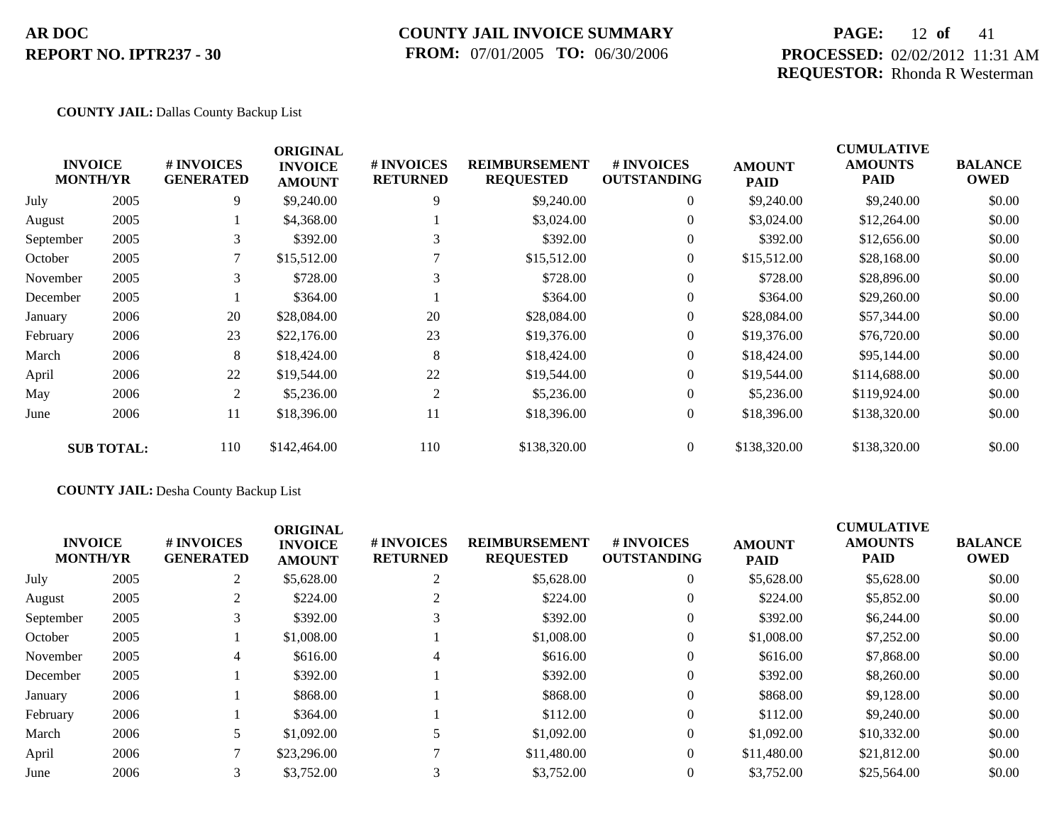## **COUNTY JAIL INVOICE SUMMARY FROM:** 07/01/2005 **TO:** 06/30/2006

## **PAGE:** 12 **of** 41 **PROCESSED:** 02/02/2012 11:31 AM **REQUESTOR:** Rhonda R Westerman

### **COUNTY JAIL:** Dallas County Backup List

|           | <b>INVOICE</b><br><b>MONTH/YR</b> | # INVOICES<br><b>GENERATED</b> | <b>ORIGINAL</b><br><b>INVOICE</b><br><b>AMOUNT</b> | # INVOICES<br><b>RETURNED</b> | <b>REIMBURSEMENT</b><br><b>REQUESTED</b> | # INVOICES<br><b>OUTSTANDING</b> | <b>AMOUNT</b><br><b>PAID</b> | <b>CUMULATIVE</b><br><b>AMOUNTS</b><br><b>PAID</b> | <b>BALANCE</b><br><b>OWED</b> |
|-----------|-----------------------------------|--------------------------------|----------------------------------------------------|-------------------------------|------------------------------------------|----------------------------------|------------------------------|----------------------------------------------------|-------------------------------|
| July      | 2005                              | 9                              | \$9,240.00                                         | 9                             | \$9,240.00                               | $\overline{0}$                   | \$9,240.00                   | \$9,240.00                                         | \$0.00                        |
| August    | 2005                              |                                | \$4,368.00                                         |                               | \$3,024.00                               | $\overline{0}$                   | \$3,024.00                   | \$12,264.00                                        | \$0.00                        |
| September | 2005                              | 3                              | \$392.00                                           |                               | \$392.00                                 | $\theta$                         | \$392.00                     | \$12,656.00                                        | \$0.00                        |
| October   | 2005                              |                                | \$15,512.00                                        |                               | \$15,512.00                              | $\overline{0}$                   | \$15,512.00                  | \$28,168.00                                        | \$0.00                        |
| November  | 2005                              | 3                              | \$728.00                                           | 3                             | \$728.00                                 | $\overline{0}$                   | \$728.00                     | \$28,896.00                                        | \$0.00                        |
| December  | 2005                              |                                | \$364.00                                           |                               | \$364.00                                 | $\overline{0}$                   | \$364.00                     | \$29,260.00                                        | \$0.00                        |
| January   | 2006                              | 20                             | \$28,084.00                                        | 20                            | \$28,084.00                              | $\overline{0}$                   | \$28,084.00                  | \$57,344.00                                        | \$0.00                        |
| February  | 2006                              | 23                             | \$22,176.00                                        | 23                            | \$19,376.00                              | $\overline{0}$                   | \$19,376.00                  | \$76,720.00                                        | \$0.00                        |
| March     | 2006                              | 8                              | \$18,424.00                                        | 8                             | \$18,424.00                              | $\overline{0}$                   | \$18,424.00                  | \$95,144.00                                        | \$0.00                        |
| April     | 2006                              | 22                             | \$19,544.00                                        | 22                            | \$19,544.00                              | $\theta$                         | \$19,544.00                  | \$114,688.00                                       | \$0.00                        |
| May       | 2006                              | 2                              | \$5,236.00                                         | 2                             | \$5,236.00                               | $\overline{0}$                   | \$5,236.00                   | \$119,924.00                                       | \$0.00                        |
| June      | 2006                              | 11                             | \$18,396.00                                        | 11                            | \$18,396.00                              | $\overline{0}$                   | \$18,396.00                  | \$138,320.00                                       | \$0.00                        |
|           | <b>SUB TOTAL:</b>                 | 110                            | \$142,464.00                                       | 110                           | \$138,320.00                             | $\overline{0}$                   | \$138,320.00                 | \$138,320.00                                       | \$0.00                        |

## **COUNTY JAIL:** Desha County Backup List

| <b>INVOICE</b><br><b>MONTH/YR</b> |      | # INVOICES<br><b>GENERATED</b> | <b>ORIGINAL</b><br><b>INVOICE</b><br><b>AMOUNT</b> | # INVOICES<br><b>RETURNED</b> | <b>REIMBURSEMENT</b><br><b>REQUESTED</b> | <b>#INVOICES</b><br><b>OUTSTANDING</b> | <b>AMOUNT</b><br><b>PAID</b> | <b>CUMULATIVE</b><br><b>AMOUNTS</b><br><b>PAID</b> | <b>BALANCE</b><br><b>OWED</b> |
|-----------------------------------|------|--------------------------------|----------------------------------------------------|-------------------------------|------------------------------------------|----------------------------------------|------------------------------|----------------------------------------------------|-------------------------------|
| July                              | 2005 | 2                              | \$5,628.00                                         |                               | \$5,628.00                               | $\theta$                               | \$5,628.00                   | \$5,628.00                                         | \$0.00                        |
| August                            | 2005 | 2                              | \$224.00                                           |                               | \$224.00                                 | $\theta$                               | \$224.00                     | \$5,852.00                                         | \$0.00                        |
| September                         | 2005 | 3                              | \$392.00                                           |                               | \$392.00                                 | $\boldsymbol{0}$                       | \$392.00                     | \$6,244.00                                         | \$0.00                        |
| October                           | 2005 |                                | \$1,008.00                                         |                               | \$1,008.00                               | $\theta$                               | \$1,008.00                   | \$7,252.00                                         | \$0.00                        |
| November                          | 2005 | 4                              | \$616.00                                           | 4                             | \$616.00                                 | $\overline{0}$                         | \$616.00                     | \$7,868.00                                         | \$0.00                        |
| December                          | 2005 |                                | \$392.00                                           |                               | \$392.00                                 | $\Omega$                               | \$392.00                     | \$8,260.00                                         | \$0.00                        |
| January                           | 2006 |                                | \$868.00                                           |                               | \$868.00                                 | $\Omega$                               | \$868.00                     | \$9,128.00                                         | \$0.00                        |
| February                          | 2006 |                                | \$364.00                                           |                               | \$112.00                                 | $\theta$                               | \$112.00                     | \$9,240.00                                         | \$0.00                        |
| March                             | 2006 | 5                              | \$1,092.00                                         |                               | \$1,092.00                               | $\theta$                               | \$1,092.00                   | \$10,332.00                                        | \$0.00                        |
| April                             | 2006 |                                | \$23,296.00                                        |                               | \$11,480.00                              | $\Omega$                               | \$11,480.00                  | \$21,812.00                                        | \$0.00                        |
| June                              | 2006 | 3                              | \$3,752.00                                         |                               | \$3,752.00                               |                                        | \$3,752.00                   | \$25,564.00                                        | \$0.00                        |
|                                   |      |                                |                                                    |                               |                                          |                                        |                              |                                                    |                               |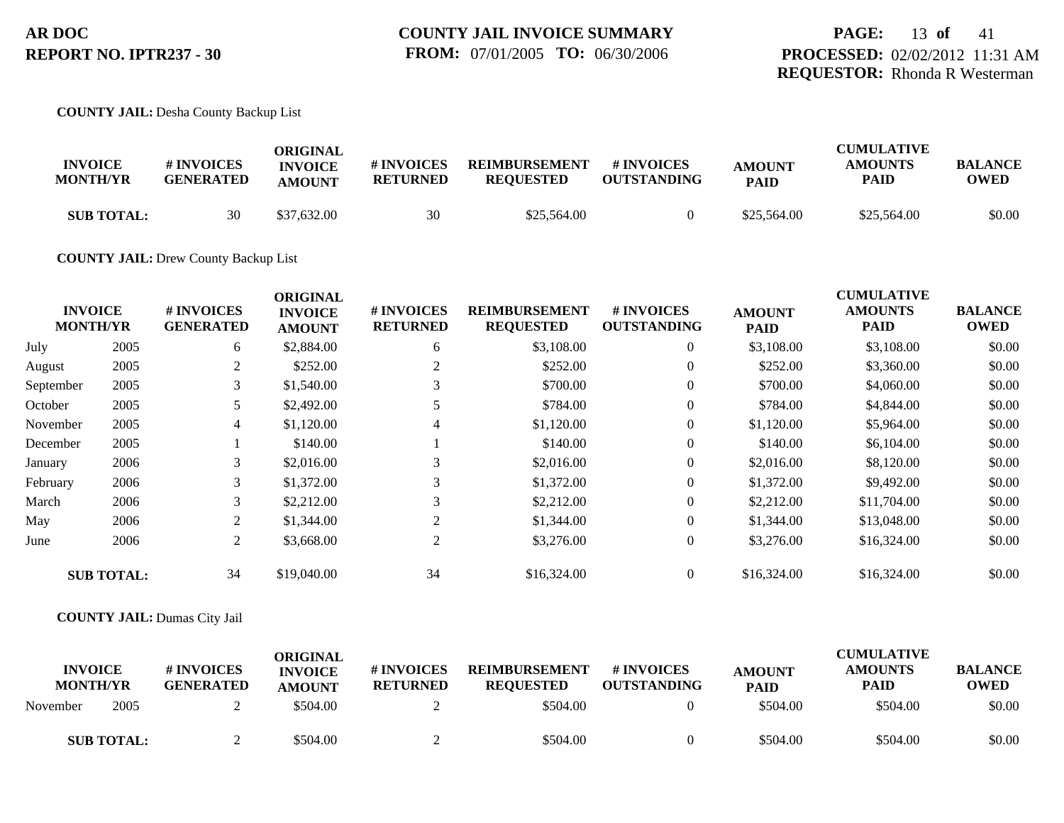## **PAGE:** 13 **of** 41 **PROCESSED:** 02/02/2012 11:31 AM **REQUESTOR:** Rhonda R Westerman

### **COUNTY JAIL:** Desha County Backup List

| <b>INVOICE</b><br><b>MONTH/YR</b> | <b>#INVOICES</b><br><b>GENERATED</b> | ORIGINAL<br><b>INVOICE</b><br><b>AMOUNT</b> | # INVOICES<br><b>RETURNED</b> | <b>REIMBURSEMENT</b><br><b>REOUESTED</b> | # INVOICES<br><b>OUTSTANDING</b> | <b>AMOUNT</b><br><b>PAID</b> | <b>CUMULATIVE</b><br><b>AMOUNTS</b><br>PAID | <b>BALANCE</b><br>OWED |
|-----------------------------------|--------------------------------------|---------------------------------------------|-------------------------------|------------------------------------------|----------------------------------|------------------------------|---------------------------------------------|------------------------|
| <b>SUB TOTAL:</b>                 | 30                                   | \$37.632.00                                 | 30                            | \$25,564.00                              |                                  | \$25,564.00                  | \$25,564.00                                 | \$0.00                 |

### **COUNTY JAIL:** Drew County Backup List

|           |                                   |                                | <b>ORIGINAL</b>                 |                               |                                          |                                  |                              | <b>CUMULATIVE</b>      |                               |
|-----------|-----------------------------------|--------------------------------|---------------------------------|-------------------------------|------------------------------------------|----------------------------------|------------------------------|------------------------|-------------------------------|
|           | <b>INVOICE</b><br><b>MONTH/YR</b> | # INVOICES<br><b>GENERATED</b> | <b>INVOICE</b><br><b>AMOUNT</b> | # INVOICES<br><b>RETURNED</b> | <b>REIMBURSEMENT</b><br><b>REQUESTED</b> | # INVOICES<br><b>OUTSTANDING</b> | <b>AMOUNT</b><br><b>PAID</b> | <b>AMOUNTS</b><br>PAID | <b>BALANCE</b><br><b>OWED</b> |
| July      | 2005                              | 6                              | \$2,884.00                      | 6                             | \$3,108.00                               | $\overline{0}$                   | \$3,108.00                   | \$3,108.00             | \$0.00                        |
| August    | 2005                              | 2                              | \$252.00                        |                               | \$252.00                                 | $\overline{0}$                   | \$252.00                     | \$3,360.00             | \$0.00                        |
| September | 2005                              | 3                              | \$1,540.00                      | 3                             | \$700.00                                 | $\overline{0}$                   | \$700.00                     | \$4,060.00             | \$0.00                        |
| October   | 2005                              | 5                              | \$2,492.00                      |                               | \$784.00                                 | $\overline{0}$                   | \$784.00                     | \$4,844.00             | \$0.00                        |
| November  | 2005                              | $\overline{4}$                 | \$1,120.00                      | 4                             | \$1,120.00                               | $\theta$                         | \$1,120.00                   | \$5,964.00             | \$0.00                        |
| December  | 2005                              |                                | \$140.00                        |                               | \$140.00                                 | $\overline{0}$                   | \$140.00                     | \$6,104.00             | \$0.00                        |
| January   | 2006                              | 3                              | \$2,016.00                      | 3                             | \$2,016.00                               | $\overline{0}$                   | \$2,016.00                   | \$8,120.00             | \$0.00                        |
| February  | 2006                              | 3                              | \$1,372.00                      | 3                             | \$1,372.00                               | $\overline{0}$                   | \$1,372.00                   | \$9,492.00             | \$0.00                        |
| March     | 2006                              | 3                              | \$2,212.00                      | 3                             | \$2,212.00                               | $\overline{0}$                   | \$2,212.00                   | \$11,704.00            | \$0.00                        |
| May       | 2006                              | 2                              | \$1,344.00                      | 2                             | \$1,344.00                               | $\overline{0}$                   | \$1,344.00                   | \$13,048.00            | \$0.00                        |
| June      | 2006                              | $\overline{2}$                 | \$3,668.00                      | 2                             | \$3,276.00                               | $\boldsymbol{0}$                 | \$3,276.00                   | \$16,324.00            | \$0.00                        |
|           | <b>SUB TOTAL:</b>                 | 34                             | \$19,040.00                     | 34                            | \$16,324.00                              | $\overline{0}$                   | \$16,324.00                  | \$16,324.00            | \$0.00                        |

### **COUNTY JAIL:** Dumas City Jail

| <b>INVOICE</b><br><b>MONTH/YR</b> |                   | <b>#INVOICES</b><br><b>GENERATED</b> | <b>ORIGINAL</b><br><b>INVOICE</b><br><b>AMOUNT</b> | # INVOICES<br><b>RETURNED</b> | <b>REIMBURSEMENT</b><br><b>REOUESTED</b> | <b>#INVOICES</b><br><b>OUTSTANDING</b> | <b>AMOUNT</b><br><b>PAID</b> | CUMULATIVE<br><b>AMOUNTS</b><br>PAID | <b>BALANCE</b><br><b>OWED</b> |
|-----------------------------------|-------------------|--------------------------------------|----------------------------------------------------|-------------------------------|------------------------------------------|----------------------------------------|------------------------------|--------------------------------------|-------------------------------|
| November                          | 2005              |                                      | \$504.00                                           |                               | \$504.00                                 |                                        | \$504.00                     | \$504.00                             | \$0.00                        |
|                                   | <b>SUB TOTAL:</b> |                                      | \$504.00                                           |                               | \$504.00                                 |                                        | \$504.00                     | \$504.00                             | \$0.00                        |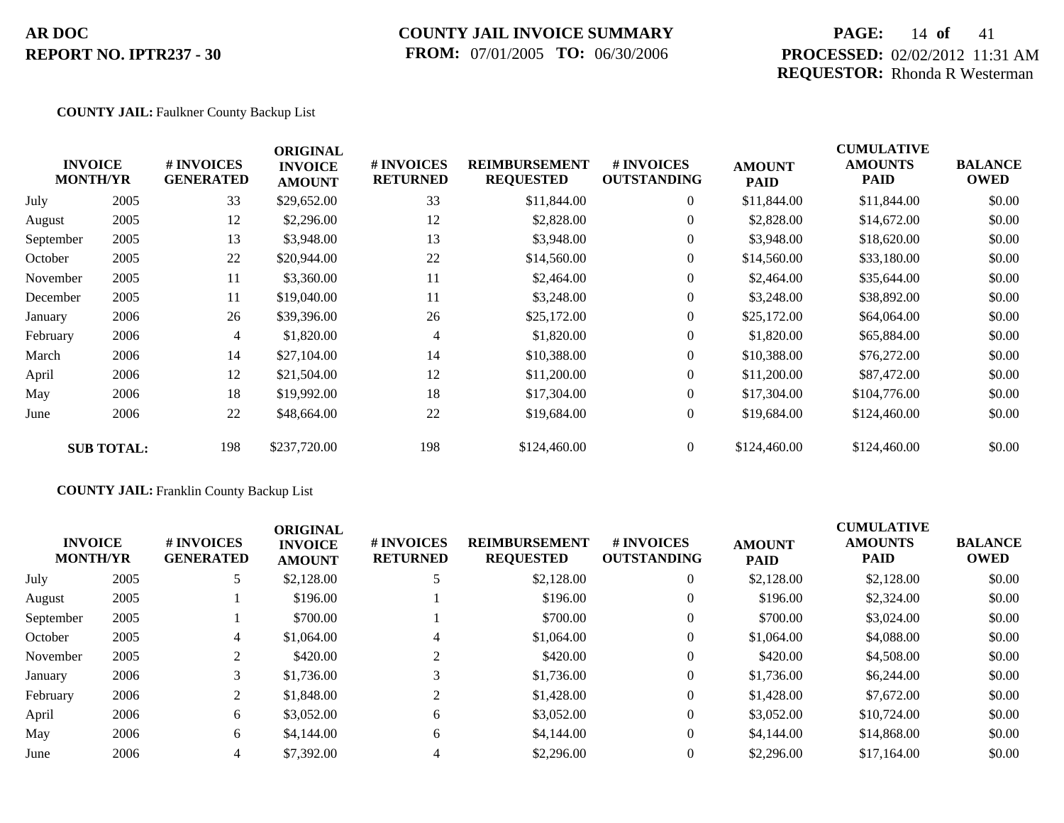## **COUNTY JAIL INVOICE SUMMARY FROM:** 07/01/2005 **TO:** 06/30/2006

## **PAGE:** 14 **of** 41 **PROCESSED:** 02/02/2012 11:31 AM **REQUESTOR:** Rhonda R Westerman

### **COUNTY JAIL:** Faulkner County Backup List

|           | <b>INVOICE</b><br><b>MONTH/YR</b> | # INVOICES<br><b>GENERATED</b> | <b>ORIGINAL</b><br><b>INVOICE</b><br><b>AMOUNT</b> | # INVOICES<br><b>RETURNED</b> | <b>REIMBURSEMENT</b><br><b>REQUESTED</b> | <b>#INVOICES</b><br><b>OUTSTANDING</b> | <b>AMOUNT</b><br><b>PAID</b> | <b>CUMULATIVE</b><br><b>AMOUNTS</b><br><b>PAID</b> | <b>BALANCE</b><br><b>OWED</b> |
|-----------|-----------------------------------|--------------------------------|----------------------------------------------------|-------------------------------|------------------------------------------|----------------------------------------|------------------------------|----------------------------------------------------|-------------------------------|
| July      | 2005                              | 33                             | \$29,652.00                                        | 33                            | \$11,844.00                              | $\overline{0}$                         | \$11,844.00                  | \$11,844.00                                        | \$0.00                        |
| August    | 2005                              | 12                             | \$2,296.00                                         | 12                            | \$2,828.00                               | $\overline{0}$                         | \$2,828.00                   | \$14,672.00                                        | \$0.00                        |
| September | 2005                              | 13                             | \$3,948.00                                         | 13                            | \$3,948.00                               | $\overline{0}$                         | \$3,948.00                   | \$18,620.00                                        | \$0.00                        |
| October   | 2005                              | 22                             | \$20,944.00                                        | 22                            | \$14,560.00                              | $\overline{0}$                         | \$14,560.00                  | \$33,180.00                                        | \$0.00                        |
| November  | 2005                              | 11                             | \$3,360.00                                         | 11                            | \$2,464.00                               | $\overline{0}$                         | \$2,464.00                   | \$35,644.00                                        | \$0.00                        |
| December  | 2005                              | 11                             | \$19,040.00                                        | 11                            | \$3,248.00                               | $\overline{0}$                         | \$3,248.00                   | \$38,892.00                                        | \$0.00                        |
| January   | 2006                              | 26                             | \$39,396.00                                        | 26                            | \$25,172.00                              | $\overline{0}$                         | \$25,172.00                  | \$64,064.00                                        | \$0.00                        |
| February  | 2006                              | 4                              | \$1,820.00                                         | 4                             | \$1,820.00                               | $\overline{0}$                         | \$1,820.00                   | \$65,884.00                                        | \$0.00                        |
| March     | 2006                              | 14                             | \$27,104.00                                        | 14                            | \$10,388.00                              | $\overline{0}$                         | \$10,388.00                  | \$76,272.00                                        | \$0.00                        |
| April     | 2006                              | 12                             | \$21,504.00                                        | 12                            | \$11,200.00                              | $\overline{0}$                         | \$11,200.00                  | \$87,472.00                                        | \$0.00                        |
| May       | 2006                              | 18                             | \$19,992.00                                        | 18                            | \$17,304.00                              | $\overline{0}$                         | \$17,304.00                  | \$104,776.00                                       | \$0.00                        |
| June      | 2006                              | 22                             | \$48,664.00                                        | 22                            | \$19,684.00                              | $\overline{0}$                         | \$19,684.00                  | \$124,460.00                                       | \$0.00                        |
|           | <b>SUB TOTAL:</b>                 | 198                            | \$237,720.00                                       | 198                           | \$124,460.00                             | $\overline{0}$                         | \$124,460.00                 | \$124,460.00                                       | \$0.00                        |

## **COUNTY JAIL:** Franklin County Backup List

| <b>INVOICE</b><br><b>MONTH/YR</b> |      | # INVOICES<br><b>GENERATED</b> | <b>ORIGINAL</b><br><b>INVOICE</b><br><b>AMOUNT</b> | # INVOICES<br><b>RETURNED</b> | <b>REIMBURSEMENT</b><br><b>REQUESTED</b> | # INVOICES<br><b>OUTSTANDING</b> | <b>AMOUNT</b><br><b>PAID</b> | <b>CUMULATIVE</b><br><b>AMOUNTS</b><br><b>PAID</b> | <b>BALANCE</b><br><b>OWED</b> |
|-----------------------------------|------|--------------------------------|----------------------------------------------------|-------------------------------|------------------------------------------|----------------------------------|------------------------------|----------------------------------------------------|-------------------------------|
| July                              | 2005 |                                | \$2,128.00                                         |                               | \$2,128.00                               | $\overline{0}$                   | \$2,128.00                   | \$2,128.00                                         | \$0.00                        |
| August                            | 2005 |                                | \$196.00                                           |                               | \$196.00                                 | $\overline{0}$                   | \$196.00                     | \$2,324.00                                         | \$0.00                        |
| September                         | 2005 |                                | \$700.00                                           |                               | \$700.00                                 | $\overline{0}$                   | \$700.00                     | \$3,024.00                                         | \$0.00                        |
| October                           | 2005 | 4                              | \$1,064.00                                         | 4                             | \$1,064.00                               | 0                                | \$1,064.00                   | \$4,088.00                                         | \$0.00                        |
| November                          | 2005 |                                | \$420.00                                           |                               | \$420.00                                 | $\overline{0}$                   | \$420.00                     | \$4,508.00                                         | \$0.00                        |
| January                           | 2006 |                                | \$1,736.00                                         | 3                             | \$1,736.00                               | $\overline{0}$                   | \$1,736.00                   | \$6,244.00                                         | \$0.00                        |
| February                          | 2006 | 2                              | \$1,848.00                                         |                               | \$1,428.00                               | $\overline{0}$                   | \$1,428.00                   | \$7,672.00                                         | \$0.00                        |
| April                             | 2006 | 6                              | \$3,052.00                                         | 6                             | \$3,052.00                               | $\overline{0}$                   | \$3,052.00                   | \$10,724.00                                        | \$0.00                        |
| May                               | 2006 | 6                              | \$4,144.00                                         | 6                             | \$4,144.00                               | $\overline{0}$                   | \$4,144.00                   | \$14,868,00                                        | \$0.00                        |
| June                              | 2006 | 4                              | \$7,392.00                                         |                               | \$2,296.00                               | 0                                | \$2,296.00                   | \$17,164.00                                        | \$0.00                        |
|                                   |      |                                |                                                    |                               |                                          |                                  |                              |                                                    |                               |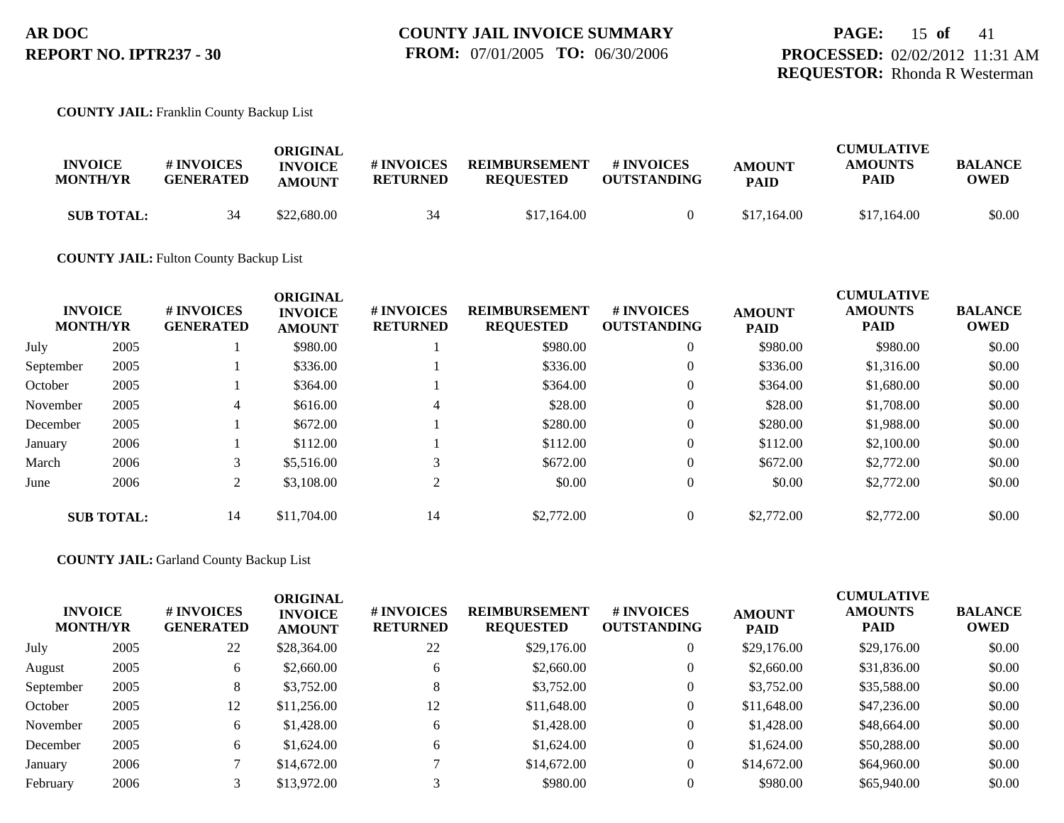**COUNTY JAIL:** Franklin County Backup List

| <b>INVOICE</b><br><b>MONTH/YR</b> | <b># INVOICES</b><br><b>GENERATED</b> | ORIGINAL<br><b>INVOICE</b><br><b>AMOUNT</b> | # INVOICES<br><b>RETURNED</b> | <b>REIMBURSEMENT</b><br><b>REOUESTED</b> | # INVOICES<br><b>OUTSTANDING</b> | <b>AMOUNT</b><br><b>PAID</b> | <b>CUMULATIVE</b><br><b>AMOUNTS</b><br>PAID | <b>BALANCE</b><br><b>OWED</b> |
|-----------------------------------|---------------------------------------|---------------------------------------------|-------------------------------|------------------------------------------|----------------------------------|------------------------------|---------------------------------------------|-------------------------------|
| <b>SUB TOTAL:</b>                 | 34                                    | \$22,680.00                                 | 34                            | \$17,164.00                              |                                  | \$17,164.00                  | \$17,164.00                                 | \$0.00                        |

**COUNTY JAIL:** Fulton County Backup List

|           | <b>INVOICE</b><br><b>MONTH/YR</b> | <b>#INVOICES</b><br><b>GENERATED</b> | <b>ORIGINAL</b><br><b>INVOICE</b><br><b>AMOUNT</b> | # INVOICES<br><b>RETURNED</b> | <b>REIMBURSEMENT</b><br><b>REQUESTED</b> | <b>#INVOICES</b><br><b>OUTSTANDING</b> | <b>AMOUNT</b><br><b>PAID</b> | <b>CUMULATIVE</b><br><b>AMOUNTS</b><br><b>PAID</b> | <b>BALANCE</b><br><b>OWED</b> |
|-----------|-----------------------------------|--------------------------------------|----------------------------------------------------|-------------------------------|------------------------------------------|----------------------------------------|------------------------------|----------------------------------------------------|-------------------------------|
| July      | 2005                              |                                      | \$980.00                                           |                               | \$980.00                                 | $\overline{0}$                         | \$980.00                     | \$980.00                                           | \$0.00                        |
| September | 2005                              |                                      | \$336.00                                           |                               | \$336.00                                 | $\overline{0}$                         | \$336.00                     | \$1,316.00                                         | \$0.00                        |
| October   | 2005                              |                                      | \$364.00                                           |                               | \$364.00                                 | $\overline{0}$                         | \$364.00                     | \$1,680.00                                         | \$0.00                        |
| November  | 2005                              | 4                                    | \$616.00                                           | 4                             | \$28.00                                  | $\overline{0}$                         | \$28.00                      | \$1,708.00                                         | \$0.00                        |
| December  | 2005                              |                                      | \$672.00                                           |                               | \$280.00                                 | $\overline{0}$                         | \$280.00                     | \$1,988.00                                         | \$0.00                        |
| January   | 2006                              |                                      | \$112.00                                           |                               | \$112.00                                 | $\overline{0}$                         | \$112.00                     | \$2,100.00                                         | \$0.00                        |
| March     | 2006                              | 3                                    | \$5,516.00                                         |                               | \$672.00                                 | $\overline{0}$                         | \$672.00                     | \$2,772.00                                         | \$0.00                        |
| June      | 2006                              | 2                                    | \$3,108.00                                         | ↑                             | \$0.00                                   | $\overline{0}$                         | \$0.00                       | \$2,772.00                                         | \$0.00                        |
|           | <b>SUB TOTAL:</b>                 | 14                                   | \$11,704.00                                        | 14                            | \$2,772.00                               | $\overline{0}$                         | \$2,772.00                   | \$2,772.00                                         | \$0.00                        |

**COUNTY JAIL:** Garland County Backup List

| <b>MONTH/YR</b> | <b>INVOICE</b> | <b># INVOICES</b><br><b>GENERATED</b> | <b>ORIGINAL</b><br><b>INVOICE</b><br><b>AMOUNT</b> | # INVOICES<br><b>RETURNED</b> | <b>REIMBURSEMENT</b><br><b>REQUESTED</b> | # INVOICES<br><b>OUTSTANDING</b> | <b>AMOUNT</b><br><b>PAID</b> | <b>CUMULATIVE</b><br><b>AMOUNTS</b><br><b>PAID</b> | <b>BALANCE</b><br><b>OWED</b> |
|-----------------|----------------|---------------------------------------|----------------------------------------------------|-------------------------------|------------------------------------------|----------------------------------|------------------------------|----------------------------------------------------|-------------------------------|
| July            | 2005           | 22                                    | \$28,364.00                                        | 22                            | \$29,176.00                              | $\theta$                         | \$29,176.00                  | \$29,176.00                                        | \$0.00                        |
| August          | 2005           | 6                                     | \$2,660.00                                         | 6                             | \$2,660.00                               | 0                                | \$2,660.00                   | \$31,836.00                                        | \$0.00                        |
| September       | 2005           | 8                                     | \$3,752.00                                         | $\circ$                       | \$3,752.00                               | $\theta$                         | \$3,752.00                   | \$35,588.00                                        | \$0.00                        |
| October         | 2005           | 12                                    | \$11,256.00                                        | 12                            | \$11,648.00                              | $\overline{0}$                   | \$11,648.00                  | \$47,236.00                                        | \$0.00                        |
| November        | 2005           | 6                                     | \$1,428.00                                         | 6                             | \$1,428.00                               | $\theta$                         | \$1,428.00                   | \$48,664.00                                        | \$0.00                        |
| December        | 2005           | 6                                     | \$1,624.00                                         | 6.                            | \$1,624.00                               | $\Omega$                         | \$1,624.00                   | \$50,288.00                                        | \$0.00                        |
| January         | 2006           |                                       | \$14,672.00                                        |                               | \$14,672.00                              | $\theta$                         | \$14,672.00                  | \$64,960.00                                        | \$0.00                        |
| February        | 2006           |                                       | \$13,972.00                                        |                               | \$980.00                                 |                                  | \$980.00                     | \$65,940.00                                        | \$0.00                        |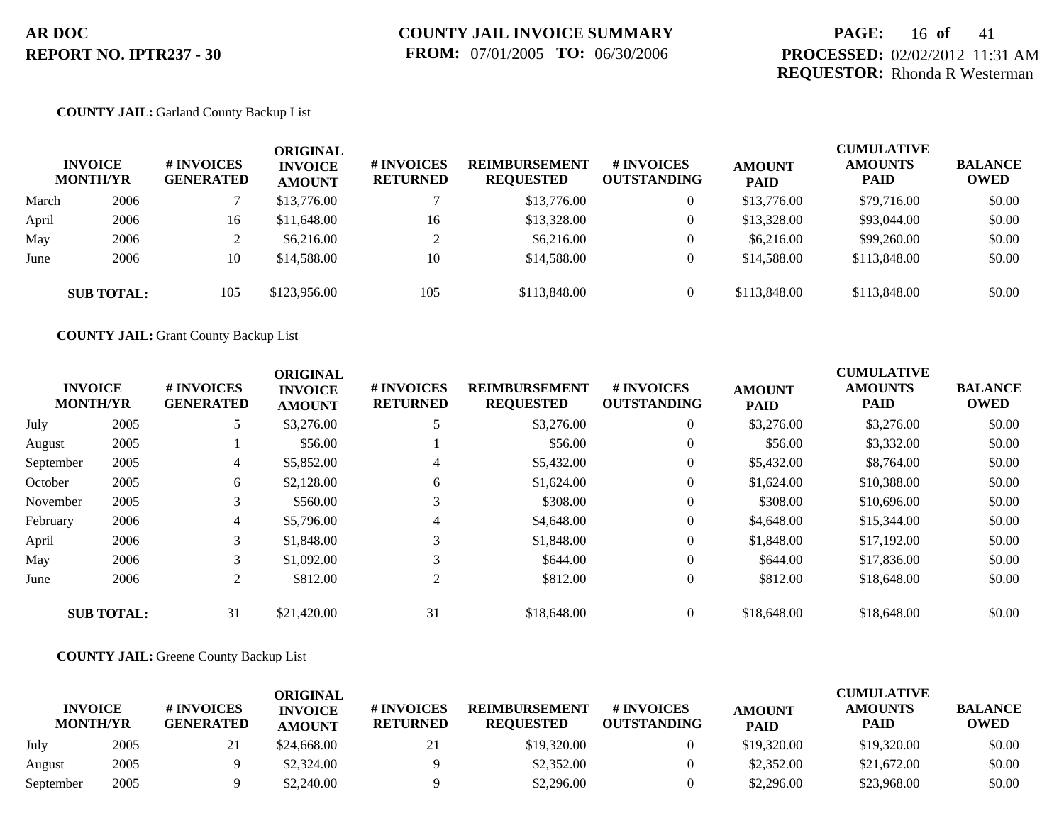## **PAGE:** 16 **of** 41 **PROCESSED:** 02/02/2012 11:31 AM **REQUESTOR:** Rhonda R Westerman

### **COUNTY JAIL:** Garland County Backup List

|       | <b>INVOICE</b><br><b>MONTH/YR</b> | # INVOICES<br><b>GENERATED</b> | ORIGINAL<br><b>INVOICE</b><br><b>AMOUNT</b> | <b># INVOICES</b><br><b>RETURNED</b> | <b>REIMBURSEMENT</b><br><b>REQUESTED</b> | # INVOICES<br><b>OUTSTANDING</b> | <b>AMOUNT</b><br><b>PAID</b> | <b>CUMULATIVE</b><br><b>AMOUNTS</b><br><b>PAID</b> | <b>BALANCE</b><br><b>OWED</b> |
|-------|-----------------------------------|--------------------------------|---------------------------------------------|--------------------------------------|------------------------------------------|----------------------------------|------------------------------|----------------------------------------------------|-------------------------------|
| March | 2006                              |                                | \$13,776.00                                 |                                      | \$13,776.00                              | $\overline{0}$                   | \$13,776.00                  | \$79,716.00                                        | \$0.00                        |
| April | 2006                              | 16                             | \$11,648.00                                 | 16                                   | \$13,328.00                              | $\overline{0}$                   | \$13,328.00                  | \$93,044.00                                        | \$0.00                        |
| May   | 2006                              |                                | \$6,216.00                                  | ◠                                    | \$6,216.00                               | $\overline{0}$                   | \$6,216.00                   | \$99,260.00                                        | \$0.00                        |
| June  | 2006                              | 10                             | \$14,588.00                                 | 10                                   | \$14,588.00                              | $\theta$                         | \$14,588.00                  | \$113,848.00                                       | \$0.00                        |
|       | <b>SUB TOTAL:</b>                 | 105                            | \$123,956.00                                | 105                                  | \$113,848.00                             | $\Omega$                         | \$113,848.00                 | \$113,848.00                                       | \$0.00                        |

**COUNTY JAIL:** Grant County Backup List

|           | <b>INVOICE</b><br><b>MONTH/YR</b> | # INVOICES<br><b>GENERATED</b> | <b>ORIGINAL</b><br><b>INVOICE</b><br><b>AMOUNT</b> | # INVOICES<br><b>RETURNED</b> | <b>REIMBURSEMENT</b><br><b>REQUESTED</b> | # INVOICES<br><b>OUTSTANDING</b> | <b>AMOUNT</b><br><b>PAID</b> | <b>CUMULATIVE</b><br><b>AMOUNTS</b><br><b>PAID</b> | <b>BALANCE</b><br><b>OWED</b> |
|-----------|-----------------------------------|--------------------------------|----------------------------------------------------|-------------------------------|------------------------------------------|----------------------------------|------------------------------|----------------------------------------------------|-------------------------------|
| July      | 2005                              | 5                              | \$3,276.00                                         |                               | \$3,276.00                               | $\overline{0}$                   | \$3,276.00                   | \$3,276.00                                         | \$0.00                        |
| August    | 2005                              |                                | \$56.00                                            |                               | \$56.00                                  | $\overline{0}$                   | \$56.00                      | \$3,332.00                                         | \$0.00                        |
| September | 2005                              | 4                              | \$5,852.00                                         | $\overline{4}$                | \$5,432.00                               | $\overline{0}$                   | \$5,432.00                   | \$8,764.00                                         | \$0.00                        |
| October   | 2005                              | 6                              | \$2,128.00                                         | 6                             | \$1,624.00                               | $\overline{0}$                   | \$1,624.00                   | \$10,388.00                                        | \$0.00                        |
| November  | 2005                              | 3                              | \$560.00                                           | 3                             | \$308.00                                 | $\overline{0}$                   | \$308.00                     | \$10,696.00                                        | \$0.00                        |
| February  | 2006                              | 4                              | \$5,796.00                                         | $\overline{4}$                | \$4,648.00                               | $\overline{0}$                   | \$4,648.00                   | \$15,344.00                                        | \$0.00                        |
| April     | 2006                              | 3                              | \$1,848.00                                         | 3                             | \$1,848.00                               | $\overline{0}$                   | \$1,848.00                   | \$17,192.00                                        | \$0.00                        |
| May       | 2006                              | 3                              | \$1,092.00                                         | 3                             | \$644.00                                 | $\theta$                         | \$644.00                     | \$17,836.00                                        | \$0.00                        |
| June      | 2006                              | $\overline{2}$                 | \$812.00                                           | 2                             | \$812.00                                 | $\overline{0}$                   | \$812.00                     | \$18,648.00                                        | \$0.00                        |
|           | <b>SUB TOTAL:</b>                 | 31                             | \$21,420.00                                        | 31                            | \$18,648.00                              | $\overline{0}$                   | \$18,648.00                  | \$18,648.00                                        | \$0.00                        |

### **COUNTY JAIL:** Greene County Backup List

|                                   |      |                                | ORIGINAL                        |                               |                                          |                                  |                              | <b>CUMULATIVE</b>      |                               |
|-----------------------------------|------|--------------------------------|---------------------------------|-------------------------------|------------------------------------------|----------------------------------|------------------------------|------------------------|-------------------------------|
| <b>INVOICE</b><br><b>MONTH/YR</b> |      | # INVOICES<br><b>GENERATED</b> | <b>INVOICE</b><br><b>AMOUNT</b> | # INVOICES<br><b>RETURNED</b> | <b>REIMBURSEMENT</b><br><b>REOUESTED</b> | # INVOICES<br><b>OUTSTANDING</b> | <b>AMOUNT</b><br><b>PAID</b> | <b>AMOUNTS</b><br>PAID | <b>BALANCE</b><br><b>OWED</b> |
| July                              | 2005 | 21                             | \$24,668.00                     | 21                            | \$19,320.00                              |                                  | \$19,320.00                  | \$19,320.00            | \$0.00                        |
| August                            | 2005 |                                | \$2,324.00                      |                               | \$2,352.00                               |                                  | \$2,352.00                   | \$21,672.00            | \$0.00                        |
| September                         | 2005 |                                | \$2,240.00                      |                               | \$2,296.00                               |                                  | \$2,296.00                   | \$23,968.00            | \$0.00                        |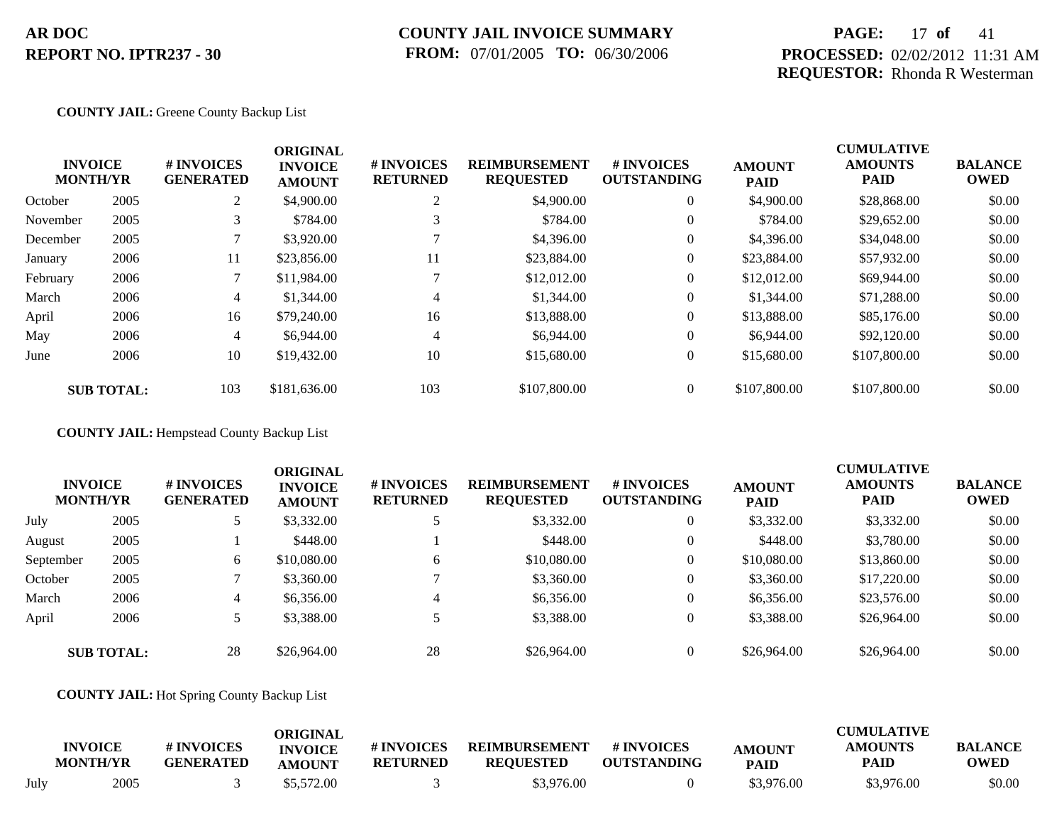## **COUNTY JAIL INVOICE SUMMARY FROM:** 07/01/2005 **TO:** 06/30/2006

# **PAGE:** 17 **of** 41 **PROCESSED:** 02/02/2012 11:31 AM **REQUESTOR:** Rhonda R Westerman

### **COUNTY JAIL:** Greene County Backup List

|          | <b>INVOICE</b><br><b>MONTH/YR</b> | # INVOICES<br><b>GENERATED</b> | <b>ORIGINAL</b><br><b>INVOICE</b><br><b>AMOUNT</b> | # INVOICES<br><b>RETURNED</b> | <b>REIMBURSEMENT</b><br><b>REQUESTED</b> | <b>#INVOICES</b><br><b>OUTSTANDING</b> | <b>AMOUNT</b><br><b>PAID</b> | <b>CUMULATIVE</b><br><b>AMOUNTS</b><br><b>PAID</b> | <b>BALANCE</b><br><b>OWED</b> |
|----------|-----------------------------------|--------------------------------|----------------------------------------------------|-------------------------------|------------------------------------------|----------------------------------------|------------------------------|----------------------------------------------------|-------------------------------|
| October  | 2005                              | 2                              | \$4,900.00                                         | ◠<br>$\overline{ }$           | \$4,900.00                               | $\overline{0}$                         | \$4,900.00                   | \$28,868,00                                        | \$0.00                        |
| November | 2005                              | 3                              | \$784.00                                           | 3                             | \$784.00                                 | $\overline{0}$                         | \$784.00                     | \$29,652.00                                        | \$0.00                        |
| December | 2005                              |                                | \$3,920.00                                         |                               | \$4,396.00                               | $\overline{0}$                         | \$4,396.00                   | \$34,048.00                                        | \$0.00                        |
| January  | 2006                              | 11                             | \$23,856.00                                        | 11                            | \$23,884.00                              | $\overline{0}$                         | \$23,884.00                  | \$57,932.00                                        | \$0.00                        |
| February | 2006                              | $\mathcal{L}$                  | \$11,984.00                                        |                               | \$12,012.00                              | $\overline{0}$                         | \$12,012.00                  | \$69,944.00                                        | \$0.00                        |
| March    | 2006                              | 4                              | \$1,344.00                                         | 4                             | \$1,344.00                               | $\overline{0}$                         | \$1,344.00                   | \$71,288.00                                        | \$0.00                        |
| April    | 2006                              | 16                             | \$79,240.00                                        | 16                            | \$13,888.00                              | $\overline{0}$                         | \$13,888.00                  | \$85,176.00                                        | \$0.00                        |
| May      | 2006                              | 4                              | \$6,944.00                                         | $\overline{4}$                | \$6,944.00                               | $\overline{0}$                         | \$6,944.00                   | \$92,120.00                                        | \$0.00                        |
| June     | 2006                              | 10                             | \$19,432.00                                        | 10                            | \$15,680.00                              | $\overline{0}$                         | \$15,680.00                  | \$107,800.00                                       | \$0.00                        |
|          | <b>SUB TOTAL:</b>                 | 103                            | \$181,636.00                                       | 103                           | \$107,800.00                             | $\overline{0}$                         | \$107,800.00                 | \$107,800.00                                       | \$0.00                        |

**COUNTY JAIL:** Hempstead County Backup List

|           | <b>INVOICE</b><br><b>MONTH/YR</b> | # INVOICES<br><b>GENERATED</b> | <b>ORIGINAL</b><br><b>INVOICE</b><br><b>AMOUNT</b> | # INVOICES<br><b>RETURNED</b> | <b>REIMBURSEMENT</b><br><b>REQUESTED</b> | <b>#INVOICES</b><br><b>OUTSTANDING</b> | <b>AMOUNT</b><br><b>PAID</b> | <b>CUMULATIVE</b><br><b>AMOUNTS</b><br><b>PAID</b> | <b>BALANCE</b><br><b>OWED</b> |
|-----------|-----------------------------------|--------------------------------|----------------------------------------------------|-------------------------------|------------------------------------------|----------------------------------------|------------------------------|----------------------------------------------------|-------------------------------|
| July      | 2005                              | 5                              | \$3,332.00                                         |                               | \$3,332.00                               | $\overline{0}$                         | \$3,332.00                   | \$3,332.00                                         | \$0.00                        |
| August    | 2005                              |                                | \$448.00                                           |                               | \$448.00                                 | $\overline{0}$                         | \$448.00                     | \$3,780.00                                         | \$0.00                        |
| September | 2005                              | 6                              | \$10,080.00                                        | 6                             | \$10,080.00                              | $\overline{0}$                         | \$10,080.00                  | \$13,860.00                                        | \$0.00                        |
| October   | 2005                              |                                | \$3,360.00                                         |                               | \$3,360.00                               | $\overline{0}$                         | \$3,360.00                   | \$17,220.00                                        | \$0.00                        |
| March     | 2006                              | 4                              | \$6,356.00                                         | 4                             | \$6,356.00                               | $\overline{0}$                         | \$6,356.00                   | \$23,576.00                                        | \$0.00                        |
| April     | 2006                              |                                | \$3,388.00                                         |                               | \$3,388.00                               | $\overline{0}$                         | \$3,388.00                   | \$26,964.00                                        | \$0.00                        |
|           | <b>SUB TOTAL:</b>                 | 28                             | \$26,964.00                                        | 28                            | \$26,964.00                              | $\Omega$                               | \$26,964.00                  | \$26,964.00                                        | \$0.00                        |

### **COUNTY JAIL:** Hot Spring County Backup List

|      | <b>INVOICE</b><br><b>MONTH/YR</b> | # INVOICES<br><b>GENERATED</b> | ORIGINAL<br><b>INVOICE</b> | # INVOICES<br><b>RETURNED</b> | <b>REIMBURSEMENT</b><br><b>REQUESTED</b> | # INVOICES<br><b>OUTSTANDING</b> | <b>AMOUNT</b> | CUMULATIVE<br><b>AMOUNTS</b><br>PAID | <b>BALANCE</b><br><b>OWED</b> |
|------|-----------------------------------|--------------------------------|----------------------------|-------------------------------|------------------------------------------|----------------------------------|---------------|--------------------------------------|-------------------------------|
|      |                                   |                                | AMOUNT                     |                               |                                          |                                  | PAID          |                                      |                               |
| July | 2005                              |                                | \$5,572.00                 |                               | \$3,976.00                               |                                  | \$3,976.00    | \$3,976.00                           | \$0.00                        |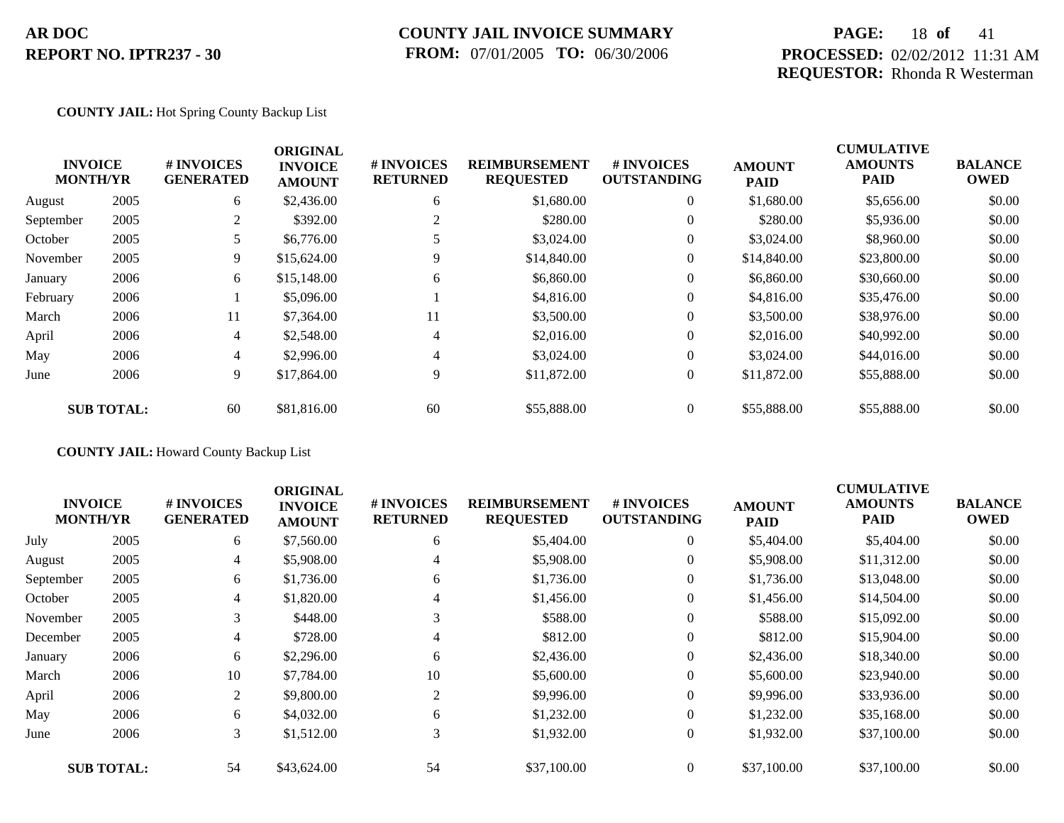## **COUNTY JAIL INVOICE SUMMARY FROM:** 07/01/2005 **TO:** 06/30/2006

## **PAGE:** 18 **of** 41 **PROCESSED:** 02/02/2012 11:31 AM **REQUESTOR:** Rhonda R Westerman

### **COUNTY JAIL:** Hot Spring County Backup List

|           |                                   |                                | <b>ORIGINAL</b>                 |                               |                                          |                                        |                              | <b>CUMULATIVE</b>             |                               |
|-----------|-----------------------------------|--------------------------------|---------------------------------|-------------------------------|------------------------------------------|----------------------------------------|------------------------------|-------------------------------|-------------------------------|
|           | <b>INVOICE</b><br><b>MONTH/YR</b> | # INVOICES<br><b>GENERATED</b> | <b>INVOICE</b><br><b>AMOUNT</b> | # INVOICES<br><b>RETURNED</b> | <b>REIMBURSEMENT</b><br><b>REQUESTED</b> | <b>#INVOICES</b><br><b>OUTSTANDING</b> | <b>AMOUNT</b><br><b>PAID</b> | <b>AMOUNTS</b><br><b>PAID</b> | <b>BALANCE</b><br><b>OWED</b> |
| August    | 2005                              | 6                              | \$2,436.00                      | 6                             | \$1,680.00                               | $\overline{0}$                         | \$1,680.00                   | \$5,656.00                    | \$0.00                        |
| September | 2005                              | 2                              | \$392.00                        | 2                             | \$280.00                                 | $\overline{0}$                         | \$280.00                     | \$5,936.00                    | \$0.00                        |
| October   | 2005                              | 5.                             | \$6,776.00                      |                               | \$3,024.00                               | $\overline{0}$                         | \$3,024.00                   | \$8,960.00                    | \$0.00                        |
| November  | 2005                              | 9                              | \$15,624.00                     | 9                             | \$14,840.00                              | $\overline{0}$                         | \$14,840.00                  | \$23,800.00                   | \$0.00                        |
| January   | 2006                              | 6                              | \$15,148.00                     | 6                             | \$6,860.00                               | $\overline{0}$                         | \$6,860.00                   | \$30,660.00                   | \$0.00                        |
| February  | 2006                              |                                | \$5,096.00                      |                               | \$4,816.00                               | $\overline{0}$                         | \$4,816.00                   | \$35,476.00                   | \$0.00                        |
| March     | 2006                              | 11                             | \$7,364.00                      | 11                            | \$3,500.00                               | $\overline{0}$                         | \$3,500.00                   | \$38,976.00                   | \$0.00                        |
| April     | 2006                              | $\overline{4}$                 | \$2,548.00                      | 4                             | \$2,016.00                               | $\overline{0}$                         | \$2,016.00                   | \$40,992.00                   | \$0.00                        |
| May       | 2006                              | $\overline{4}$                 | \$2,996.00                      | 4                             | \$3,024.00                               | $\overline{0}$                         | \$3,024.00                   | \$44,016.00                   | \$0.00                        |
| June      | 2006                              | 9                              | \$17,864.00                     | 9                             | \$11,872.00                              | $\overline{0}$                         | \$11,872.00                  | \$55,888.00                   | \$0.00                        |
|           | <b>SUB TOTAL:</b>                 | 60                             | \$81,816.00                     | 60                            | \$55,888.00                              | $\overline{0}$                         | \$55,888.00                  | \$55,888.00                   | \$0.00                        |

**COUNTY JAIL:** Howard County Backup List

|           |                                   |                                | <b>ORIGINAL</b>                 |                               |                                          |                                         |                              | <b>CUMULATIVE</b>             |                               |
|-----------|-----------------------------------|--------------------------------|---------------------------------|-------------------------------|------------------------------------------|-----------------------------------------|------------------------------|-------------------------------|-------------------------------|
|           | <b>INVOICE</b><br><b>MONTH/YR</b> | # INVOICES<br><b>GENERATED</b> | <b>INVOICE</b><br><b>AMOUNT</b> | # INVOICES<br><b>RETURNED</b> | <b>REIMBURSEMENT</b><br><b>REQUESTED</b> | <b># INVOICES</b><br><b>OUTSTANDING</b> | <b>AMOUNT</b><br><b>PAID</b> | <b>AMOUNTS</b><br><b>PAID</b> | <b>BALANCE</b><br><b>OWED</b> |
| July      | 2005                              | 6                              | \$7,560.00                      | 6                             | \$5,404.00                               | $\theta$                                | \$5,404.00                   | \$5,404.00                    | \$0.00                        |
| August    | 2005                              | 4                              | \$5,908.00                      |                               | \$5,908.00                               |                                         | \$5,908.00                   | \$11,312.00                   | \$0.00                        |
| September | 2005                              | 6                              | \$1,736.00                      | 6                             | \$1,736.00                               |                                         | \$1,736.00                   | \$13,048.00                   | \$0.00                        |
| October   | 2005                              | 4                              | \$1,820.00                      | 4                             | \$1,456.00                               | $\overline{0}$                          | \$1,456.00                   | \$14,504.00                   | \$0.00                        |
| November  | 2005                              | 3                              | \$448.00                        | 3                             | \$588.00                                 | $\theta$                                | \$588.00                     | \$15,092.00                   | \$0.00                        |
| December  | 2005                              | 4                              | \$728.00                        | 4                             | \$812.00                                 | $\theta$                                | \$812.00                     | \$15,904.00                   | \$0.00                        |
| January   | 2006                              | 6                              | \$2,296.00                      | 6                             | \$2,436.00                               | $\overline{0}$                          | \$2,436.00                   | \$18,340.00                   | \$0.00                        |
| March     | 2006                              | 10                             | \$7,784.00                      | 10                            | \$5,600.00                               | $\overline{0}$                          | \$5,600.00                   | \$23,940.00                   | \$0.00                        |
| April     | 2006                              | 2                              | \$9,800.00                      | 2                             | \$9,996.00                               | $\overline{0}$                          | \$9,996.00                   | \$33,936.00                   | \$0.00                        |
| May       | 2006                              | 6                              | \$4,032.00                      | 6                             | \$1,232.00                               | $\overline{0}$                          | \$1,232.00                   | \$35,168.00                   | \$0.00                        |
| June      | 2006                              | 3                              | \$1,512.00                      | 3                             | \$1,932.00                               | $\overline{0}$                          | \$1,932.00                   | \$37,100.00                   | \$0.00                        |
|           | <b>SUB TOTAL:</b>                 | 54                             | \$43,624.00                     | 54                            | \$37,100.00                              |                                         | \$37,100.00                  | \$37,100.00                   | \$0.00                        |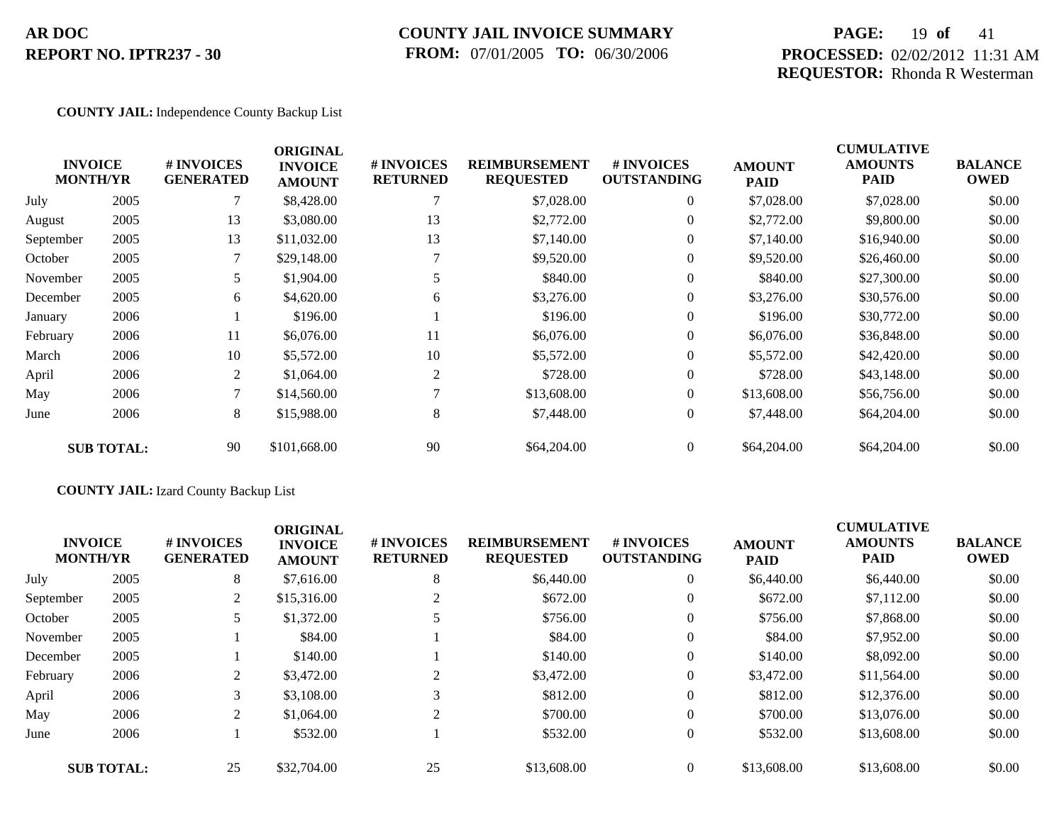## **COUNTY JAIL INVOICE SUMMARY FROM:** 07/01/2005 **TO:** 06/30/2006

## **PAGE:** 19 **of** 41 **PROCESSED:** 02/02/2012 11:31 AM **REQUESTOR:** Rhonda R Westerman

### **COUNTY JAIL:** Independence County Backup List

|           | <b>INVOICE</b><br><b>MONTH/YR</b> | # INVOICES<br><b>GENERATED</b> | <b>ORIGINAL</b><br><b>INVOICE</b><br><b>AMOUNT</b> | # INVOICES<br><b>RETURNED</b> | <b>REIMBURSEMENT</b><br><b>REQUESTED</b> | # INVOICES<br><b>OUTSTANDING</b> | <b>AMOUNT</b><br><b>PAID</b> | <b>CUMULATIVE</b><br><b>AMOUNTS</b><br><b>PAID</b> | <b>BALANCE</b><br><b>OWED</b> |
|-----------|-----------------------------------|--------------------------------|----------------------------------------------------|-------------------------------|------------------------------------------|----------------------------------|------------------------------|----------------------------------------------------|-------------------------------|
| July      | 2005                              |                                | \$8,428.00                                         |                               | \$7,028.00                               | $\overline{0}$                   | \$7,028.00                   | \$7,028.00                                         | \$0.00                        |
| August    | 2005                              | 13                             | \$3,080.00                                         | 13                            | \$2,772.00                               | $\Omega$                         | \$2,772.00                   | \$9,800.00                                         | \$0.00                        |
| September | 2005                              | 13                             | \$11,032.00                                        | 13                            | \$7,140.00                               | $\overline{0}$                   | \$7,140.00                   | \$16,940.00                                        | \$0.00                        |
| October   | 2005                              |                                | \$29,148.00                                        |                               | \$9,520.00                               | $\overline{0}$                   | \$9,520.00                   | \$26,460.00                                        | \$0.00                        |
| November  | 2005                              | 5                              | \$1,904.00                                         |                               | \$840.00                                 | $\overline{0}$                   | \$840.00                     | \$27,300.00                                        | \$0.00                        |
| December  | 2005                              | 6                              | \$4,620.00                                         | 6                             | \$3,276.00                               | $\overline{0}$                   | \$3,276.00                   | \$30,576.00                                        | \$0.00                        |
| January   | 2006                              |                                | \$196.00                                           |                               | \$196.00                                 | $\overline{0}$                   | \$196.00                     | \$30,772.00                                        | \$0.00                        |
| February  | 2006                              | 11                             | \$6,076.00                                         | 11                            | \$6,076.00                               | $\overline{0}$                   | \$6,076.00                   | \$36,848.00                                        | \$0.00                        |
| March     | 2006                              | 10                             | \$5,572.00                                         | 10                            | \$5,572.00                               | $\overline{0}$                   | \$5,572.00                   | \$42,420.00                                        | \$0.00                        |
| April     | 2006                              | 2                              | \$1,064.00                                         | 2                             | \$728.00                                 | $\overline{0}$                   | \$728.00                     | \$43,148.00                                        | \$0.00                        |
| May       | 2006                              | 7                              | \$14,560.00                                        |                               | \$13,608.00                              | $\overline{0}$                   | \$13,608.00                  | \$56,756.00                                        | \$0.00                        |
| June      | 2006                              | 8                              | \$15,988.00                                        | 8                             | \$7,448.00                               | $\overline{0}$                   | \$7,448.00                   | \$64,204.00                                        | \$0.00                        |
|           | <b>SUB TOTAL:</b>                 | 90                             | \$101,668.00                                       | 90                            | \$64,204.00                              | $\overline{0}$                   | \$64,204.00                  | \$64,204.00                                        | \$0.00                        |

## **COUNTY JAIL:** Izard County Backup List

|           | <b>INVOICE</b><br><b>MONTH/YR</b> | # INVOICES<br><b>GENERATED</b> | <b>ORIGINAL</b><br><b>INVOICE</b><br><b>AMOUNT</b> | # INVOICES<br><b>RETURNED</b> | <b>REIMBURSEMENT</b><br><b>REQUESTED</b> | <b># INVOICES</b><br><b>OUTSTANDING</b> | <b>AMOUNT</b><br><b>PAID</b> | <b>CUMULATIVE</b><br><b>AMOUNTS</b><br><b>PAID</b> | <b>BALANCE</b><br><b>OWED</b> |
|-----------|-----------------------------------|--------------------------------|----------------------------------------------------|-------------------------------|------------------------------------------|-----------------------------------------|------------------------------|----------------------------------------------------|-------------------------------|
| July      | 2005                              | 8                              | \$7,616.00                                         | 8                             | \$6,440.00                               | $\overline{0}$                          | \$6,440.00                   | \$6,440.00                                         | \$0.00                        |
| September | 2005                              | 2                              | \$15,316.00                                        |                               | \$672.00                                 | $\overline{0}$                          | \$672.00                     | \$7,112.00                                         | \$0.00                        |
| October   | 2005                              |                                | \$1,372.00                                         |                               | \$756.00                                 | $\overline{0}$                          | \$756.00                     | \$7,868.00                                         | \$0.00                        |
| November  | 2005                              |                                | \$84.00                                            |                               | \$84.00                                  | $\overline{0}$                          | \$84.00                      | \$7,952.00                                         | \$0.00                        |
| December  | 2005                              |                                | \$140.00                                           |                               | \$140.00                                 | $\overline{0}$                          | \$140.00                     | \$8,092.00                                         | \$0.00                        |
| February  | 2006                              | 2                              | \$3,472.00                                         | $\gamma$                      | \$3,472.00                               | $\overline{0}$                          | \$3,472.00                   | \$11,564.00                                        | \$0.00                        |
| April     | 2006                              | 3                              | \$3,108.00                                         | 3                             | \$812.00                                 | $\overline{0}$                          | \$812.00                     | \$12,376.00                                        | \$0.00                        |
| May       | 2006                              | 2                              | \$1,064.00                                         | 2                             | \$700.00                                 | $\overline{0}$                          | \$700.00                     | \$13,076.00                                        | \$0.00                        |
| June      | 2006                              |                                | \$532.00                                           |                               | \$532.00                                 | $\overline{0}$                          | \$532.00                     | \$13,608.00                                        | \$0.00                        |
|           | <b>SUB TOTAL:</b>                 | 25                             | \$32,704.00                                        | 25                            | \$13,608.00                              | $\theta$                                | \$13,608.00                  | \$13,608.00                                        | \$0.00                        |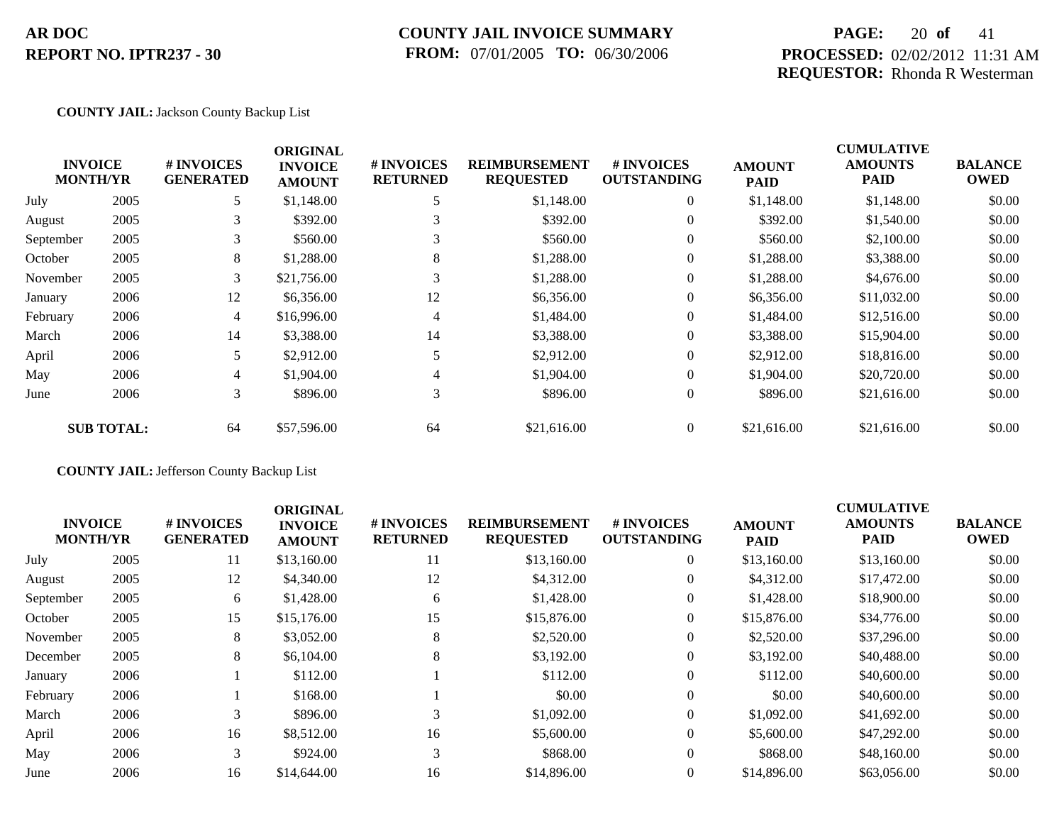## **COUNTY JAIL INVOICE SUMMARY FROM:** 07/01/2005 **TO:** 06/30/2006

## **PAGE:** 20 **of** 41 **PROCESSED:** 02/02/2012 11:31 AM **REQUESTOR:** Rhonda R Westerman

### **COUNTY JAIL:** Jackson County Backup List

|           |                                   |                                | <b>ORIGINAL</b>                 |                               |                                          |                                  |                              | <b>CUMULATIVE</b>             |                               |
|-----------|-----------------------------------|--------------------------------|---------------------------------|-------------------------------|------------------------------------------|----------------------------------|------------------------------|-------------------------------|-------------------------------|
|           | <b>INVOICE</b><br><b>MONTH/YR</b> | # INVOICES<br><b>GENERATED</b> | <b>INVOICE</b><br><b>AMOUNT</b> | # INVOICES<br><b>RETURNED</b> | <b>REIMBURSEMENT</b><br><b>REQUESTED</b> | # INVOICES<br><b>OUTSTANDING</b> | <b>AMOUNT</b><br><b>PAID</b> | <b>AMOUNTS</b><br><b>PAID</b> | <b>BALANCE</b><br><b>OWED</b> |
| July      | 2005                              | 5                              | \$1,148.00                      |                               | \$1,148.00                               | $\overline{0}$                   | \$1,148.00                   | \$1,148.00                    | \$0.00                        |
| August    | 2005                              | 3                              | \$392.00                        | 3                             | \$392.00                                 | $\overline{0}$                   | \$392.00                     | \$1,540.00                    | \$0.00                        |
| September | 2005                              | 3                              | \$560.00                        | 3                             | \$560.00                                 | $\overline{0}$                   | \$560.00                     | \$2,100.00                    | \$0.00                        |
| October   | 2005                              | 8                              | \$1,288.00                      | 8                             | \$1,288.00                               | $\overline{0}$                   | \$1,288.00                   | \$3,388.00                    | \$0.00                        |
| November  | 2005                              | 3                              | \$21,756.00                     | 3                             | \$1,288.00                               | $\overline{0}$                   | \$1,288.00                   | \$4,676.00                    | \$0.00                        |
| January   | 2006                              | 12                             | \$6,356.00                      | 12                            | \$6,356.00                               | $\overline{0}$                   | \$6,356.00                   | \$11,032.00                   | \$0.00                        |
| February  | 2006                              | $\overline{4}$                 | \$16,996.00                     | 4                             | \$1,484.00                               | $\overline{0}$                   | \$1,484.00                   | \$12,516.00                   | \$0.00                        |
| March     | 2006                              | 14                             | \$3,388.00                      | 14                            | \$3,388.00                               | $\overline{0}$                   | \$3,388.00                   | \$15,904.00                   | \$0.00                        |
| April     | 2006                              | 5.                             | \$2,912.00                      | 5                             | \$2,912.00                               | $\overline{0}$                   | \$2,912.00                   | \$18,816.00                   | \$0.00                        |
| May       | 2006                              | $\overline{4}$                 | \$1,904.00                      | 4                             | \$1,904.00                               | $\theta$                         | \$1,904.00                   | \$20,720.00                   | \$0.00                        |
| June      | 2006                              | 3                              | \$896.00                        | 3                             | \$896.00                                 | $\overline{0}$                   | \$896.00                     | \$21,616.00                   | \$0.00                        |
|           | <b>SUB TOTAL:</b>                 | 64                             | \$57,596.00                     | 64                            | \$21,616.00                              | $\overline{0}$                   | \$21,616.00                  | \$21,616.00                   | \$0.00                        |

## **COUNTY JAIL:** Jefferson County Backup List

| <b>INVOICE</b><br><b>MONTH/YR</b> |      | # INVOICES<br><b>GENERATED</b> | <b>ORIGINAL</b><br><b>INVOICE</b><br><b>AMOUNT</b> | # INVOICES<br><b>RETURNED</b> | <b>REIMBURSEMENT</b><br><b>REQUESTED</b> | # INVOICES<br><b>OUTSTANDING</b> | <b>AMOUNT</b><br><b>PAID</b> | <b>CUMULATIVE</b><br><b>AMOUNTS</b><br><b>PAID</b> | <b>BALANCE</b><br><b>OWED</b> |
|-----------------------------------|------|--------------------------------|----------------------------------------------------|-------------------------------|------------------------------------------|----------------------------------|------------------------------|----------------------------------------------------|-------------------------------|
| July                              | 2005 | 11                             | \$13,160.00                                        | 11                            | \$13,160.00                              | $\overline{0}$                   | \$13,160.00                  | \$13,160.00                                        | \$0.00                        |
| August                            | 2005 | 12                             | \$4,340.00                                         | 12                            | \$4,312.00                               | $\overline{0}$                   | \$4,312.00                   | \$17,472.00                                        | \$0.00                        |
| September                         | 2005 | 6                              | \$1,428.00                                         | 6                             | \$1,428.00                               | $\overline{0}$                   | \$1,428.00                   | \$18,900.00                                        | \$0.00                        |
| October                           | 2005 | 15                             | \$15,176.00                                        | 15                            | \$15,876.00                              | $\overline{0}$                   | \$15,876.00                  | \$34,776.00                                        | \$0.00                        |
| November                          | 2005 | 8                              | \$3,052.00                                         | 8                             | \$2,520.00                               | $\overline{0}$                   | \$2,520.00                   | \$37,296.00                                        | \$0.00                        |
| December                          | 2005 | 8                              | \$6,104.00                                         | 8                             | \$3,192.00                               | $\overline{0}$                   | \$3,192.00                   | \$40,488.00                                        | \$0.00                        |
| January                           | 2006 |                                | \$112.00                                           |                               | \$112.00                                 | $\Omega$                         | \$112.00                     | \$40,600.00                                        | \$0.00                        |
| February                          | 2006 |                                | \$168.00                                           |                               | \$0.00                                   | $\overline{0}$                   | \$0.00                       | \$40,600.00                                        | \$0.00                        |
| March                             | 2006 |                                | \$896.00                                           | 3                             | \$1,092.00                               | $\Omega$                         | \$1,092.00                   | \$41,692.00                                        | \$0.00                        |
| April                             | 2006 | 16                             | \$8,512.00                                         | 16                            | \$5,600.00                               | $\overline{0}$                   | \$5,600.00                   | \$47,292.00                                        | \$0.00                        |
| May                               | 2006 | 3                              | \$924.00                                           | 3                             | \$868.00                                 | $\Omega$                         | \$868.00                     | \$48,160.00                                        | \$0.00                        |
| June                              | 2006 | 16                             | \$14,644.00                                        | 16                            | \$14,896.00                              | $\Omega$                         | \$14,896.00                  | \$63,056.00                                        | \$0.00                        |
|                                   |      |                                |                                                    |                               |                                          |                                  |                              |                                                    |                               |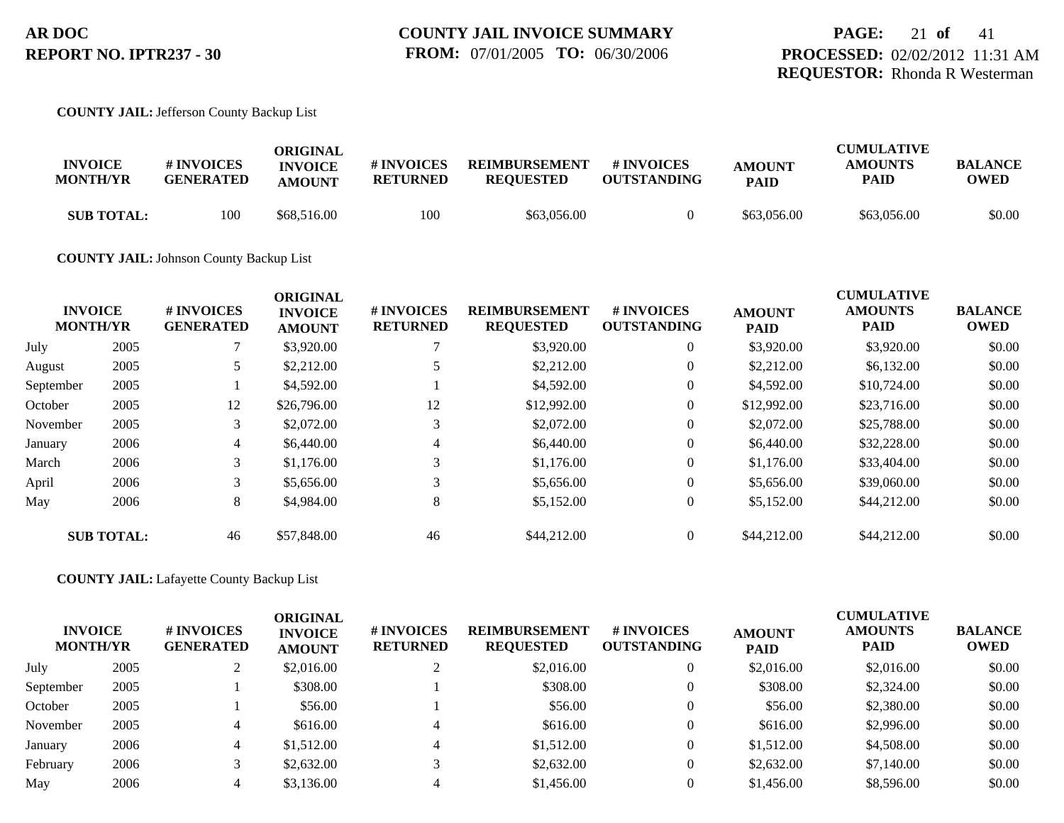### **COUNTY JAIL:** Jefferson County Backup List

| <b>INVOICE</b><br><b>MONTH/YR</b> | <b>#INVOICES</b><br><b>GENERATED</b> | ORIGINAL<br><b>INVOICE</b><br><b>AMOUNT</b> | # INVOICES<br>RETURNED | <b>REIMBURSEMENT</b><br><b>REQUESTED</b> | # INVOICES<br><b>OUTSTANDING</b> | <b>AMOUNT</b><br><b>PAID</b> | <b>CUMULATIVE</b><br><b>AMOUNTS</b><br><b>PAID</b> | <b>BALANCE</b><br>OWED |
|-----------------------------------|--------------------------------------|---------------------------------------------|------------------------|------------------------------------------|----------------------------------|------------------------------|----------------------------------------------------|------------------------|
| <b>SUB TOTAL:</b>                 | 100                                  | \$68,516.00                                 | 100                    | \$63,056.00                              |                                  | \$63,056.00                  | \$63,056.00                                        | \$0.00                 |

**COUNTY JAIL:** Johnson County Backup List

|           | <b>INVOICE</b><br><b>MONTH/YR</b> | # INVOICES<br><b>GENERATED</b> | <b>ORIGINAL</b><br><b>INVOICE</b><br><b>AMOUNT</b> | # INVOICES<br><b>RETURNED</b> | <b>REIMBURSEMENT</b><br><b>REQUESTED</b> | <b>#INVOICES</b><br><b>OUTSTANDING</b> | <b>AMOUNT</b><br><b>PAID</b> | <b>CUMULATIVE</b><br><b>AMOUNTS</b><br><b>PAID</b> | <b>BALANCE</b><br><b>OWED</b> |
|-----------|-----------------------------------|--------------------------------|----------------------------------------------------|-------------------------------|------------------------------------------|----------------------------------------|------------------------------|----------------------------------------------------|-------------------------------|
| July      | 2005                              |                                | \$3,920.00                                         |                               | \$3,920.00                               | $\overline{0}$                         | \$3,920.00                   | \$3,920.00                                         | \$0.00                        |
| August    | 2005                              |                                | \$2,212.00                                         |                               | \$2,212.00                               | $\overline{0}$                         | \$2,212.00                   | \$6.132.00                                         | \$0.00                        |
| September | 2005                              |                                | \$4,592.00                                         |                               | \$4,592.00                               | $\overline{0}$                         | \$4,592.00                   | \$10,724.00                                        | \$0.00                        |
| October   | 2005                              | 12                             | \$26,796.00                                        | 12                            | \$12,992.00                              | $\overline{0}$                         | \$12,992.00                  | \$23,716.00                                        | \$0.00                        |
| November  | 2005                              | 3                              | \$2,072.00                                         | 3                             | \$2,072.00                               | $\overline{0}$                         | \$2,072.00                   | \$25,788,00                                        | \$0.00                        |
| January   | 2006                              | 4                              | \$6,440.00                                         | 4                             | \$6,440.00                               | $\overline{0}$                         | \$6,440.00                   | \$32,228.00                                        | \$0.00                        |
| March     | 2006                              | 3 <sup>1</sup>                 | \$1,176.00                                         | 3                             | \$1,176.00                               | $\overline{0}$                         | \$1,176.00                   | \$33,404.00                                        | \$0.00                        |
| April     | 2006                              | 3                              | \$5,656.00                                         | 3                             | \$5,656.00                               | $\overline{0}$                         | \$5,656.00                   | \$39,060.00                                        | \$0.00                        |
| May       | 2006                              | 8                              | \$4,984.00                                         | 8                             | \$5,152.00                               | $\overline{0}$                         | \$5,152.00                   | \$44,212.00                                        | \$0.00                        |
|           | <b>SUB TOTAL:</b>                 | 46                             | \$57,848.00                                        | 46                            | \$44,212.00                              | $\overline{0}$                         | \$44,212.00                  | \$44,212.00                                        | \$0.00                        |

**COUNTY JAIL:** Lafayette County Backup List

| <b>INVOICE</b><br><b>MONTH/YR</b> |      | # INVOICES<br><b>GENERATED</b> | <b>ORIGINAL</b><br><b>INVOICE</b><br><b>AMOUNT</b> | # INVOICES<br><b>RETURNED</b> | <b>REIMBURSEMENT</b><br><b>REQUESTED</b> | <b># INVOICES</b><br><b>OUTSTANDING</b> | <b>AMOUNT</b><br><b>PAID</b> | <b>CUMULATIVE</b><br><b>AMOUNTS</b><br><b>PAID</b> | <b>BALANCE</b><br><b>OWED</b> |
|-----------------------------------|------|--------------------------------|----------------------------------------------------|-------------------------------|------------------------------------------|-----------------------------------------|------------------------------|----------------------------------------------------|-------------------------------|
| July                              | 2005 |                                | \$2,016.00                                         |                               | \$2,016.00                               | $\overline{0}$                          | \$2,016.00                   | \$2,016.00                                         | \$0.00                        |
| September                         | 2005 |                                | \$308.00                                           |                               | \$308.00                                 | $\overline{0}$                          | \$308.00                     | \$2,324.00                                         | \$0.00                        |
| October                           | 2005 |                                | \$56.00                                            |                               | \$56.00                                  | $\overline{0}$                          | \$56.00                      | \$2,380.00                                         | \$0.00                        |
| November                          | 2005 | 4                              | \$616.00                                           |                               | \$616.00                                 | $\Omega$                                | \$616.00                     | \$2,996.00                                         | \$0.00                        |
| January                           | 2006 | 4                              | \$1,512.00                                         |                               | \$1,512.00                               | $\Omega$                                | \$1,512.00                   | \$4,508.00                                         | \$0.00                        |
| February                          | 2006 |                                | \$2,632.00                                         |                               | \$2,632.00                               | $\overline{0}$                          | \$2,632.00                   | \$7,140.00                                         | \$0.00                        |
| May                               | 2006 |                                | \$3,136.00                                         |                               | \$1,456.00                               | $\Omega$                                | \$1,456.00                   | \$8,596.00                                         | \$0.00                        |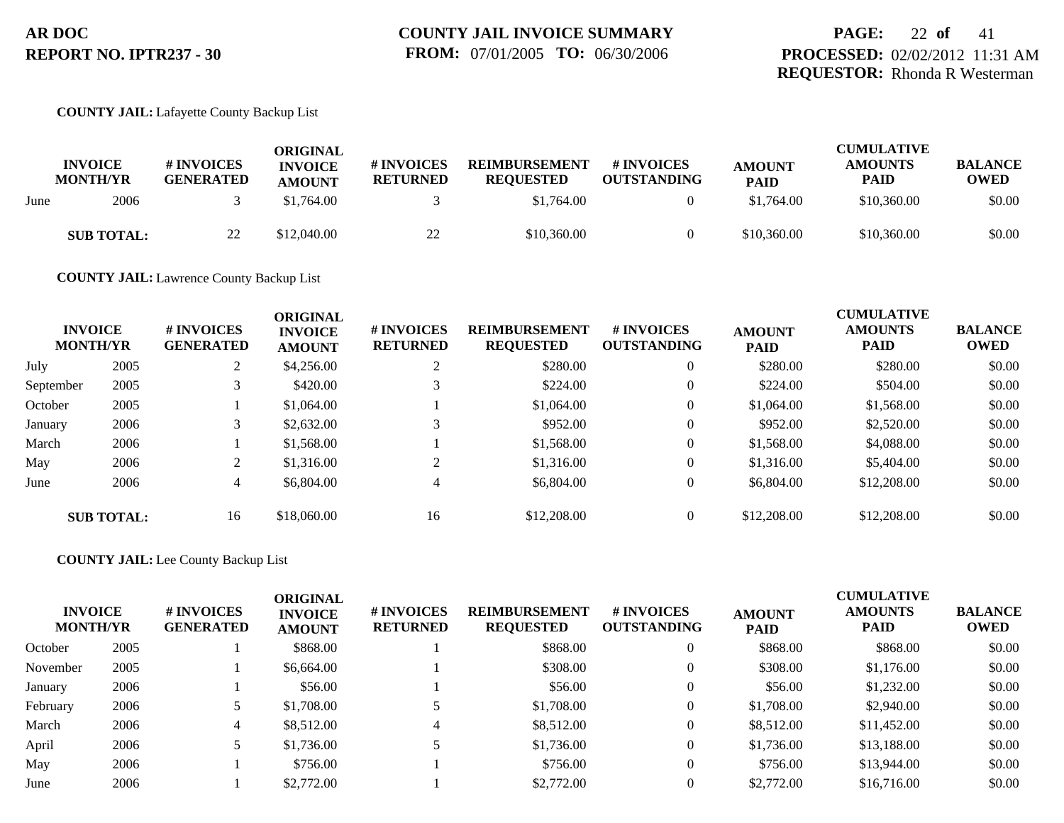### **COUNTY JAIL:** Lafayette County Backup List

|      | <b>INVOICE</b><br><b>MONTH/YR</b> | # INVOICES<br><b>GENERATED</b> | ORIGINAL<br><b>INVOICE</b><br><b>AMOUNT</b> | <b>#INVOICES</b><br><b>RETURNED</b> | <b>REIMBURSEMENT</b><br><b>REQUESTED</b> | <b>#INVOICES</b><br><b>OUTSTANDING</b> | <b>AMOUNT</b><br><b>PAID</b> | <b>CUMULATIVE</b><br><b>AMOUNTS</b><br><b>PAID</b> | <b>BALANCE</b><br><b>OWED</b> |
|------|-----------------------------------|--------------------------------|---------------------------------------------|-------------------------------------|------------------------------------------|----------------------------------------|------------------------------|----------------------------------------------------|-------------------------------|
| June | 2006                              |                                | \$1,764.00                                  |                                     | \$1,764.00                               |                                        | \$1,764.00                   | \$10,360.00                                        | \$0.00                        |
|      | <b>SUB TOTAL:</b>                 | 22                             | \$12,040.00                                 | 22                                  | \$10,360.00                              |                                        | \$10,360.00                  | \$10,360.00                                        | \$0.00                        |

**COUNTY JAIL:** Lawrence County Backup List

|           | <b>INVOICE</b><br><b>MONTH/YR</b> | <b>#INVOICES</b><br><b>GENERATED</b> | <b>ORIGINAL</b><br><b>INVOICE</b><br><b>AMOUNT</b> | # INVOICES<br><b>RETURNED</b> | <b>REIMBURSEMENT</b><br><b>REQUESTED</b> | # INVOICES<br><b>OUTSTANDING</b> | <b>AMOUNT</b><br><b>PAID</b> | <b>CUMULATIVE</b><br><b>AMOUNTS</b><br><b>PAID</b> | <b>BALANCE</b><br><b>OWED</b> |
|-----------|-----------------------------------|--------------------------------------|----------------------------------------------------|-------------------------------|------------------------------------------|----------------------------------|------------------------------|----------------------------------------------------|-------------------------------|
| July      | 2005                              | 2                                    | \$4,256.00                                         | $\bigcap$                     | \$280.00                                 | $\overline{0}$                   | \$280.00                     | \$280.00                                           | \$0.00                        |
| September | 2005                              |                                      | \$420.00                                           |                               | \$224.00                                 | $\overline{0}$                   | \$224.00                     | \$504.00                                           | \$0.00                        |
| October   | 2005                              |                                      | \$1,064.00                                         |                               | \$1,064.00                               | $\overline{0}$                   | \$1,064.00                   | \$1,568.00                                         | \$0.00                        |
| January   | 2006                              | 3                                    | \$2,632.00                                         |                               | \$952.00                                 | $\overline{0}$                   | \$952.00                     | \$2,520.00                                         | \$0.00                        |
| March     | 2006                              |                                      | \$1,568.00                                         |                               | \$1,568.00                               | $\overline{0}$                   | \$1,568.00                   | \$4,088.00                                         | \$0.00                        |
| May       | 2006                              | 2                                    | \$1,316.00                                         |                               | \$1,316.00                               | $\overline{0}$                   | \$1,316.00                   | \$5,404.00                                         | \$0.00                        |
| June      | 2006                              | 4                                    | \$6,804.00                                         | 4                             | \$6,804.00                               | $\overline{0}$                   | \$6,804.00                   | \$12,208,00                                        | \$0.00                        |
|           | <b>SUB TOTAL:</b>                 | 16                                   | \$18,060.00                                        | 16                            | \$12,208.00                              | $\overline{0}$                   | \$12,208.00                  | \$12,208.00                                        | \$0.00                        |

**COUNTY JAIL:** Lee County Backup List

| <b>INVOICE</b><br><b>MONTH/YR</b> |      | # INVOICES<br><b>GENERATED</b> | <b>ORIGINAL</b><br><b>INVOICE</b><br><b>AMOUNT</b> | # INVOICES<br><b>RETURNED</b> | <b>REIMBURSEMENT</b><br><b>REQUESTED</b> | <b>#INVOICES</b><br><b>OUTSTANDING</b> | <b>AMOUNT</b><br><b>PAID</b> | <b>CUMULATIVE</b><br><b>AMOUNTS</b><br><b>PAID</b> | <b>BALANCE</b><br><b>OWED</b> |
|-----------------------------------|------|--------------------------------|----------------------------------------------------|-------------------------------|------------------------------------------|----------------------------------------|------------------------------|----------------------------------------------------|-------------------------------|
| October                           | 2005 |                                | \$868.00                                           |                               | \$868.00                                 | 0                                      | \$868.00                     | \$868.00                                           | \$0.00                        |
| November                          | 2005 |                                | \$6,664.00                                         |                               | \$308.00                                 | 0                                      | \$308.00                     | \$1,176.00                                         | \$0.00                        |
| January                           | 2006 |                                | \$56.00                                            |                               | \$56.00                                  | 0                                      | \$56.00                      | \$1,232.00                                         | \$0.00                        |
| February                          | 2006 |                                | \$1,708.00                                         |                               | \$1,708.00                               | 0                                      | \$1,708.00                   | \$2,940.00                                         | \$0.00                        |
| March                             | 2006 | 4                              | \$8,512.00                                         |                               | \$8,512.00                               | 0                                      | \$8,512.00                   | \$11,452.00                                        | \$0.00                        |
| April                             | 2006 |                                | \$1,736.00                                         |                               | \$1,736.00                               | 0                                      | \$1,736.00                   | \$13,188.00                                        | \$0.00                        |
| May                               | 2006 |                                | \$756.00                                           |                               | \$756.00                                 | 0                                      | \$756.00                     | \$13,944.00                                        | \$0.00                        |
| June                              | 2006 |                                | \$2,772.00                                         |                               | \$2,772.00                               |                                        | \$2,772.00                   | \$16,716.00                                        | \$0.00                        |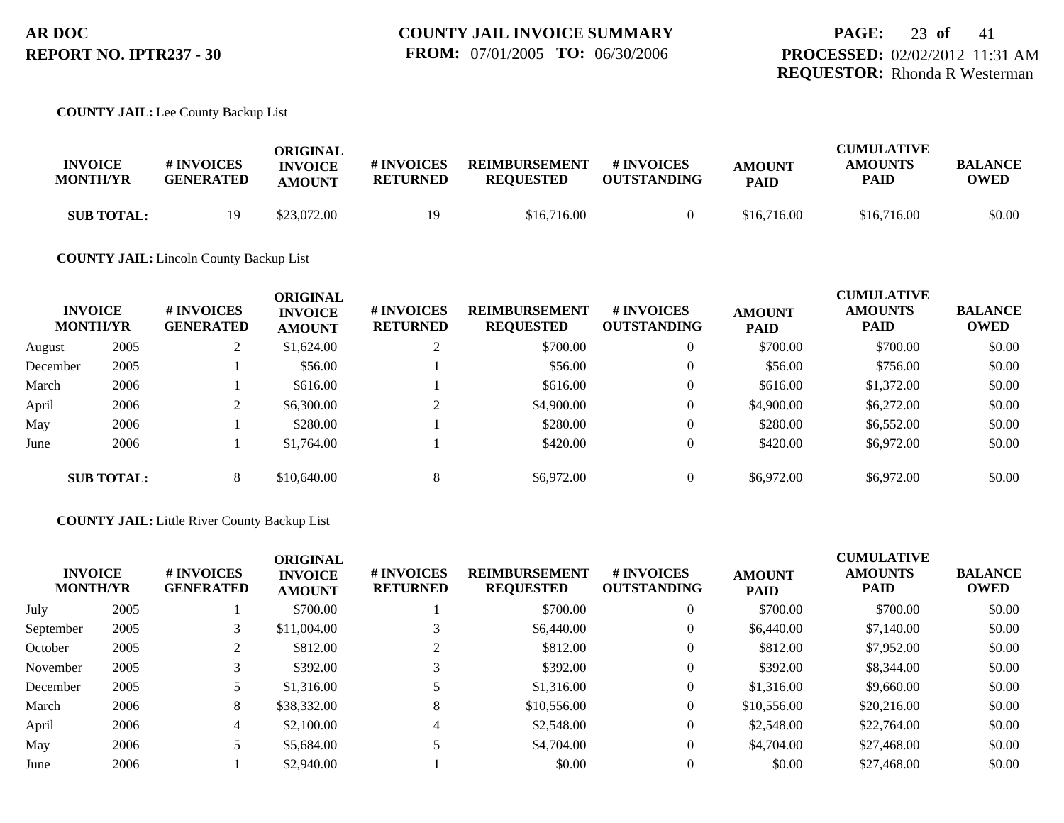### **COUNTY JAIL:** Lee County Backup List

| <b>INVOICE</b><br><b>MONTH/YR</b> | <b># INVOICES</b><br><b>GENERATED</b> | ORIGINAL<br><b>INVOICE</b><br><b>AMOUNT</b> | # INVOICES<br><b>RETURNED</b> | <b>REIMBURSEMENT</b><br><b>REOUESTED</b> | # INVOICES<br><b>OUTSTANDING</b> | <b>AMOUNT</b><br><b>PAID</b> | <b>CUMULATIVE</b><br><b>AMOUNTS</b><br>PAID | <b>BALANCE</b><br><b>OWED</b> |
|-----------------------------------|---------------------------------------|---------------------------------------------|-------------------------------|------------------------------------------|----------------------------------|------------------------------|---------------------------------------------|-------------------------------|
| <b>SUB TOTAL:</b>                 |                                       | \$23,072.00                                 | 19                            | \$16,716.00                              |                                  | \$16,716.00                  | \$16,716.00                                 | \$0.00                        |

### **COUNTY JAIL:** Lincoln County Backup List

|          | <b>INVOICE</b><br><b>MONTH/YR</b> | # INVOICES<br><b>GENERATED</b> | <b>ORIGINAL</b><br><b>INVOICE</b><br><b>AMOUNT</b> | # INVOICES<br><b>RETURNED</b> | <b>REIMBURSEMENT</b><br><b>REQUESTED</b> | # INVOICES<br><b>OUTSTANDING</b> | <b>AMOUNT</b><br><b>PAID</b> | <b>CUMULATIVE</b><br><b>AMOUNTS</b><br><b>PAID</b> | <b>BALANCE</b><br><b>OWED</b> |
|----------|-----------------------------------|--------------------------------|----------------------------------------------------|-------------------------------|------------------------------------------|----------------------------------|------------------------------|----------------------------------------------------|-------------------------------|
| August   | 2005                              | ∠                              | \$1,624.00                                         |                               | \$700.00                                 | $\theta$                         | \$700.00                     | \$700.00                                           | \$0.00                        |
| December | 2005                              |                                | \$56.00                                            |                               | \$56.00                                  | $\overline{0}$                   | \$56.00                      | \$756.00                                           | \$0.00                        |
| March    | 2006                              |                                | \$616.00                                           |                               | \$616.00                                 | $\overline{0}$                   | \$616.00                     | \$1,372.00                                         | \$0.00                        |
| April    | 2006                              | $\bigcap$<br>∠                 | \$6,300.00                                         | ◠                             | \$4,900.00                               | $\theta$                         | \$4,900.00                   | \$6,272.00                                         | \$0.00                        |
| May      | 2006                              |                                | \$280.00                                           |                               | \$280.00                                 | $\overline{0}$                   | \$280.00                     | \$6,552.00                                         | \$0.00                        |
| June     | 2006                              |                                | \$1,764.00                                         |                               | \$420.00                                 | $\theta$                         | \$420.00                     | \$6,972.00                                         | \$0.00                        |
|          | <b>SUB TOTAL:</b>                 | 8                              | \$10,640.00                                        | 8                             | \$6,972.00                               | $\theta$                         | \$6,972.00                   | \$6,972.00                                         | \$0.00                        |

### **COUNTY JAIL:** Little River County Backup List

|           | <b>INVOICE</b><br><b>MONTH/YR</b> | # INVOICES<br><b>GENERATED</b> | <b>ORIGINAL</b><br><b>INVOICE</b><br><b>AMOUNT</b> | # INVOICES<br><b>RETURNED</b> | <b>REIMBURSEMENT</b><br><b>REQUESTED</b> | # INVOICES<br><b>OUTSTANDING</b> | <b>AMOUNT</b><br><b>PAID</b> | <b>CUMULATIVE</b><br><b>AMOUNTS</b><br><b>PAID</b> | <b>BALANCE</b><br><b>OWED</b> |
|-----------|-----------------------------------|--------------------------------|----------------------------------------------------|-------------------------------|------------------------------------------|----------------------------------|------------------------------|----------------------------------------------------|-------------------------------|
| July      | 2005                              |                                | \$700.00                                           |                               | \$700.00                                 |                                  | \$700.00                     | \$700.00                                           | \$0.00                        |
| September | 2005                              |                                | \$11,004.00                                        |                               | \$6,440.00                               | $\mathbf{0}$                     | \$6,440.00                   | \$7,140.00                                         | \$0.00                        |
| October   | 2005                              |                                | \$812.00                                           |                               | \$812.00                                 | $\theta$                         | \$812.00                     | \$7,952.00                                         | \$0.00                        |
| November  | 2005                              |                                | \$392.00                                           |                               | \$392.00                                 | $\theta$                         | \$392.00                     | \$8,344.00                                         | \$0.00                        |
| December  | 2005                              |                                | \$1,316.00                                         |                               | \$1,316.00                               | $\mathbf{0}$                     | \$1,316.00                   | \$9,660.00                                         | \$0.00                        |
| March     | 2006                              | 8                              | \$38,332.00                                        | 8                             | \$10,556.00                              | $\mathbf{0}$                     | \$10,556.00                  | \$20,216.00                                        | \$0.00                        |
| April     | 2006                              | 4                              | \$2,100.00                                         | 4                             | \$2,548.00                               | $\Omega$                         | \$2,548.00                   | \$22,764.00                                        | \$0.00                        |
| May       | 2006                              |                                | \$5,684.00                                         |                               | \$4,704.00                               | $\mathbf{0}$                     | \$4,704.00                   | \$27,468.00                                        | \$0.00                        |
| June      | 2006                              |                                | \$2,940.00                                         |                               | \$0.00                                   |                                  | \$0.00                       | \$27,468.00                                        | \$0.00                        |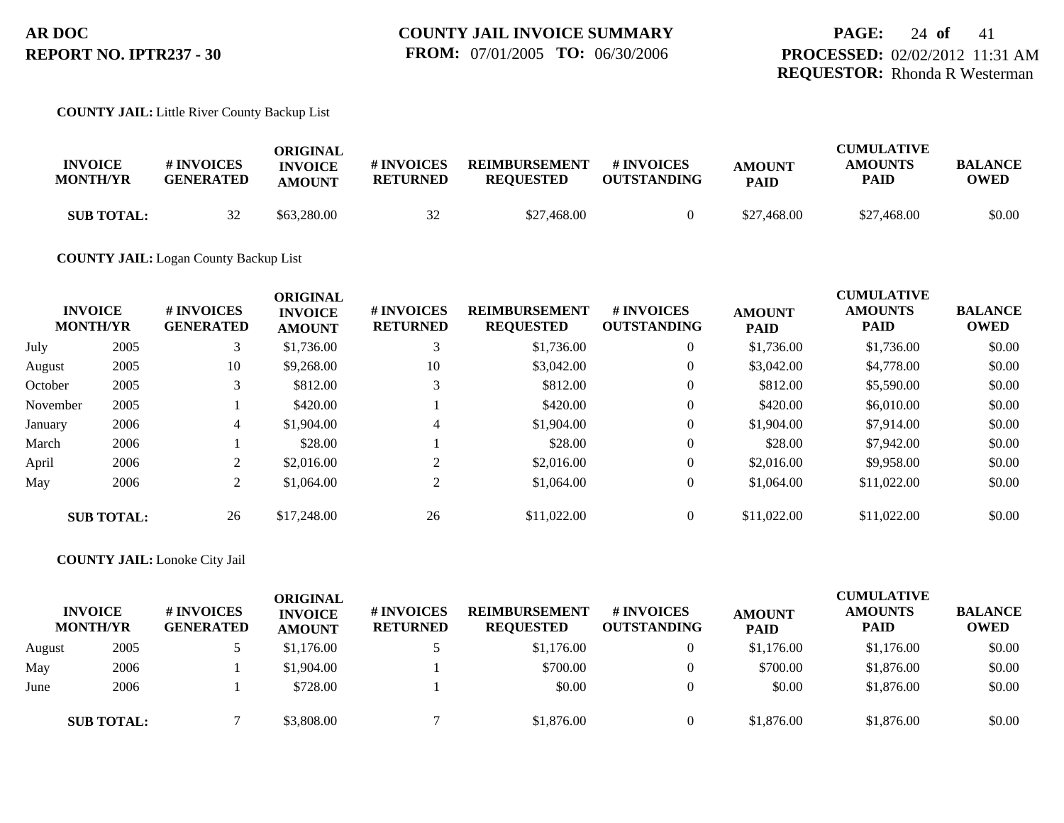## **PAGE:** 24 **of** 41 **PROCESSED:** 02/02/2012 11:31 AM **REQUESTOR:** Rhonda R Westerman

### **COUNTY JAIL:** Little River County Backup List

| <b>INVOICE</b><br><b>MONTH/YR</b> | # INVOICES<br><b>GENERATED</b> | ORIGINAL<br><b>INVOICE</b><br><b>AMOUNT</b> | # INVOICES<br><b>RETURNED</b> | <b>REIMBURSEMENT</b><br><b>REQUESTED</b> | # INVOICES<br><b>OUTSTANDING</b> | <b>AMOUNT</b><br><b>PAID</b> | <b>CUMULATIVE</b><br><b>AMOUNTS</b><br>PAID | <b>BALANCE</b><br>OWED |
|-----------------------------------|--------------------------------|---------------------------------------------|-------------------------------|------------------------------------------|----------------------------------|------------------------------|---------------------------------------------|------------------------|
| <b>SUB TOTAL:</b>                 | 32                             | \$63,280.00                                 | 32                            | \$27,468.00                              |                                  | \$27,468.00                  | \$27,468.00                                 | \$0.00                 |

## **COUNTY JAIL:** Logan County Backup List

|          | <b>INVOICE</b><br><b>MONTH/YR</b> | # INVOICES<br><b>GENERATED</b> | <b>ORIGINAL</b><br><b>INVOICE</b><br><b>AMOUNT</b> | # INVOICES<br><b>RETURNED</b> | <b>REIMBURSEMENT</b><br><b>REQUESTED</b> | <b>#INVOICES</b><br><b>OUTSTANDING</b> | <b>AMOUNT</b><br><b>PAID</b> | <b>CUMULATIVE</b><br><b>AMOUNTS</b><br><b>PAID</b> | <b>BALANCE</b><br><b>OWED</b> |
|----------|-----------------------------------|--------------------------------|----------------------------------------------------|-------------------------------|------------------------------------------|----------------------------------------|------------------------------|----------------------------------------------------|-------------------------------|
| July     | 2005                              | 3                              | \$1,736.00                                         | 3                             | \$1,736.00                               | $\overline{0}$                         | \$1,736.00                   | \$1,736.00                                         | \$0.00                        |
| August   | 2005                              | 10                             | \$9,268.00                                         | 10                            | \$3,042.00                               | $\overline{0}$                         | \$3,042.00                   | \$4,778.00                                         | \$0.00                        |
| October  | 2005                              |                                | \$812.00                                           |                               | \$812.00                                 | $\overline{0}$                         | \$812.00                     | \$5,590.00                                         | \$0.00                        |
| November | 2005                              |                                | \$420.00                                           |                               | \$420.00                                 | $\overline{0}$                         | \$420.00                     | \$6,010.00                                         | \$0.00                        |
| January  | 2006                              | 4                              | \$1,904.00                                         | $\overline{4}$                | \$1,904.00                               | $\overline{0}$                         | \$1,904.00                   | \$7,914.00                                         | \$0.00                        |
| March    | 2006                              |                                | \$28.00                                            |                               | \$28.00                                  | $\overline{0}$                         | \$28.00                      | \$7,942.00                                         | \$0.00                        |
| April    | 2006                              | 2                              | \$2,016.00                                         | $\overline{2}$                | \$2,016.00                               | $\overline{0}$                         | \$2,016.00                   | \$9,958.00                                         | \$0.00                        |
| May      | 2006                              | $\overline{2}$                 | \$1,064.00                                         | 2                             | \$1,064.00                               | $\overline{0}$                         | \$1,064.00                   | \$11,022.00                                        | \$0.00                        |
|          | <b>SUB TOTAL:</b>                 | 26                             | \$17,248.00                                        | 26                            | \$11,022.00                              | $\overline{0}$                         | \$11,022.00                  | \$11,022.00                                        | \$0.00                        |

### **COUNTY JAIL:** Lonoke City Jail

|        | <b>INVOICE</b><br><b>MONTH/YR</b> | <b># INVOICES</b><br><b>GENERATED</b> | ORIGINAL<br><b>INVOICE</b><br><b>AMOUNT</b> | # INVOICES<br><b>RETURNED</b> | <b>REIMBURSEMENT</b><br><b>REQUESTED</b> | <b>#INVOICES</b><br><b>OUTSTANDING</b> | <b>AMOUNT</b><br><b>PAID</b> | <b>CUMULATIVE</b><br><b>AMOUNTS</b><br><b>PAID</b> | <b>BALANCE</b><br><b>OWED</b> |
|--------|-----------------------------------|---------------------------------------|---------------------------------------------|-------------------------------|------------------------------------------|----------------------------------------|------------------------------|----------------------------------------------------|-------------------------------|
| August | 2005                              |                                       | \$1,176.00                                  |                               | \$1,176.00                               | $\overline{0}$                         | \$1,176.00                   | \$1,176.00                                         | \$0.00                        |
| May    | 2006                              |                                       | \$1,904.00                                  |                               | \$700.00                                 |                                        | \$700.00                     | \$1,876.00                                         | \$0.00                        |
| June   | 2006                              |                                       | \$728.00                                    |                               | \$0.00                                   |                                        | \$0.00                       | \$1,876.00                                         | \$0.00                        |
|        | <b>SUB TOTAL:</b>                 |                                       | \$3,808.00                                  |                               | \$1,876.00                               | 0                                      | \$1,876.00                   | \$1,876.00                                         | \$0.00                        |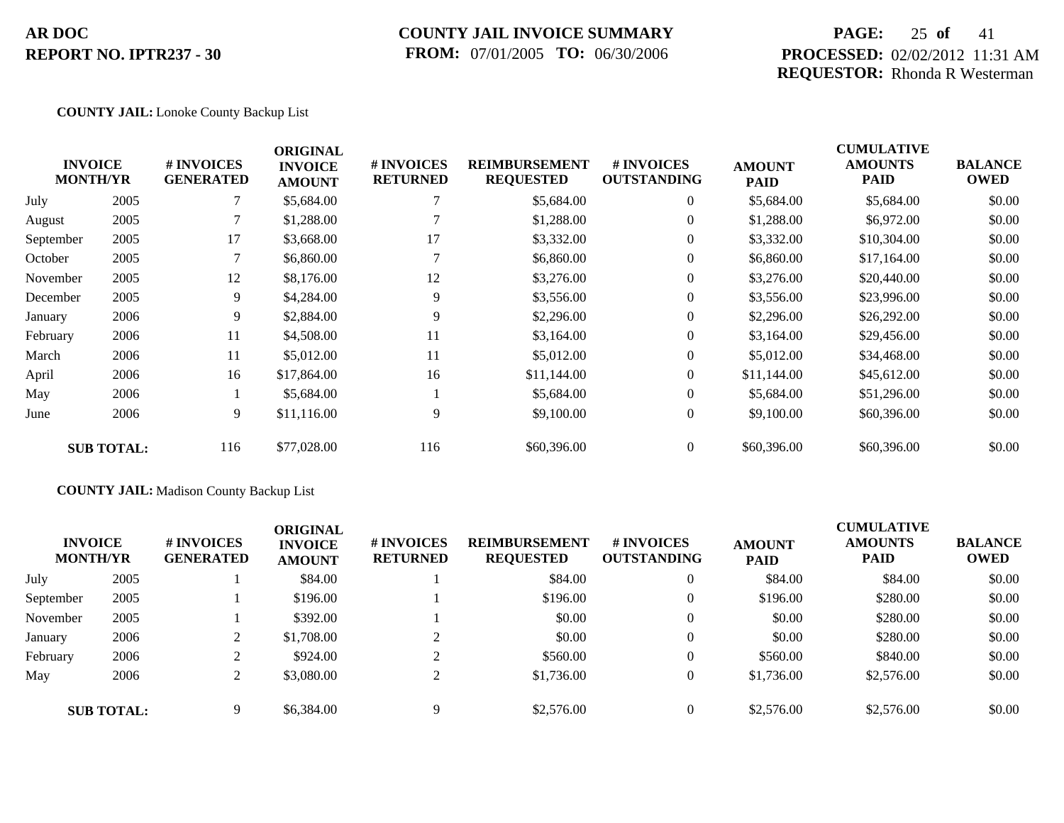## **COUNTY JAIL INVOICE SUMMARY FROM:** 07/01/2005 **TO:** 06/30/2006

## **PAGE:** 25 **of** 41 **PROCESSED:** 02/02/2012 11:31 AM **REQUESTOR:** Rhonda R Westerman

### **COUNTY JAIL:** Lonoke County Backup List

|           | <b>INVOICE</b><br><b>MONTH/YR</b> | # INVOICES<br><b>GENERATED</b> | <b>ORIGINAL</b><br><b>INVOICE</b><br><b>AMOUNT</b> | # INVOICES<br><b>RETURNED</b> | <b>REIMBURSEMENT</b><br><b>REQUESTED</b> | # INVOICES<br><b>OUTSTANDING</b> | <b>AMOUNT</b><br><b>PAID</b> | <b>CUMULATIVE</b><br><b>AMOUNTS</b><br>PAID | <b>BALANCE</b><br><b>OWED</b> |
|-----------|-----------------------------------|--------------------------------|----------------------------------------------------|-------------------------------|------------------------------------------|----------------------------------|------------------------------|---------------------------------------------|-------------------------------|
| July      | 2005                              |                                | \$5,684.00                                         |                               | \$5,684.00                               | $\overline{0}$                   | \$5,684.00                   | \$5,684.00                                  | \$0.00                        |
| August    | 2005                              |                                | \$1,288.00                                         |                               | \$1,288.00                               | $\overline{0}$                   | \$1,288.00                   | \$6,972.00                                  | \$0.00                        |
| September | 2005                              | 17                             | \$3,668.00                                         | 17                            | \$3,332.00                               | $\overline{0}$                   | \$3,332.00                   | \$10,304.00                                 | \$0.00                        |
| October   | 2005                              |                                | \$6,860.00                                         |                               | \$6,860.00                               | $\overline{0}$                   | \$6,860.00                   | \$17,164.00                                 | \$0.00                        |
| November  | 2005                              | 12                             | \$8,176.00                                         | 12                            | \$3,276.00                               | $\overline{0}$                   | \$3,276.00                   | \$20,440.00                                 | \$0.00                        |
| December  | 2005                              | 9                              | \$4,284.00                                         | 9                             | \$3,556.00                               | $\overline{0}$                   | \$3,556.00                   | \$23,996.00                                 | \$0.00                        |
| January   | 2006                              | 9                              | \$2,884.00                                         | 9                             | \$2,296.00                               | $\overline{0}$                   | \$2,296.00                   | \$26,292.00                                 | \$0.00                        |
| February  | 2006                              | 11                             | \$4,508.00                                         | 11                            | \$3,164.00                               | $\overline{0}$                   | \$3,164.00                   | \$29,456.00                                 | \$0.00                        |
| March     | 2006                              | 11                             | \$5,012.00                                         | 11                            | \$5,012.00                               | $\overline{0}$                   | \$5,012.00                   | \$34,468.00                                 | \$0.00                        |
| April     | 2006                              | 16                             | \$17,864.00                                        | 16                            | \$11,144.00                              | $\overline{0}$                   | \$11,144.00                  | \$45,612.00                                 | \$0.00                        |
| May       | 2006                              |                                | \$5,684.00                                         |                               | \$5,684.00                               | $\overline{0}$                   | \$5,684.00                   | \$51,296.00                                 | \$0.00                        |
| June      | 2006                              | 9                              | \$11,116.00                                        | 9                             | \$9,100.00                               | $\boldsymbol{0}$                 | \$9,100.00                   | \$60,396.00                                 | \$0.00                        |
|           | <b>SUB TOTAL:</b>                 | 116                            | \$77,028.00                                        | 116                           | \$60,396.00                              | $\overline{0}$                   | \$60,396.00                  | \$60,396.00                                 | \$0.00                        |

## **COUNTY JAIL:** Madison County Backup List

| <b>INVOICE</b><br><b>MONTH/YR</b> |                   | # INVOICES<br><b>GENERATED</b> | <b>ORIGINAL</b><br><b>INVOICE</b><br><b>AMOUNT</b> | # INVOICES<br><b>RETURNED</b> | <b>REIMBURSEMENT</b><br><b>REQUESTED</b> | # INVOICES<br><b>OUTSTANDING</b> | <b>AMOUNT</b><br><b>PAID</b> | <b>CUMULATIVE</b><br><b>AMOUNTS</b><br><b>PAID</b> | <b>BALANCE</b><br><b>OWED</b> |
|-----------------------------------|-------------------|--------------------------------|----------------------------------------------------|-------------------------------|------------------------------------------|----------------------------------|------------------------------|----------------------------------------------------|-------------------------------|
| July                              | 2005              |                                | \$84.00                                            |                               | \$84.00                                  | $\overline{0}$                   | \$84.00                      | \$84.00                                            | \$0.00                        |
| September                         | 2005              |                                | \$196.00                                           |                               | \$196.00                                 | $\theta$                         | \$196.00                     | \$280.00                                           | \$0.00                        |
| November                          | 2005              |                                | \$392.00                                           |                               | \$0.00                                   | $\theta$                         | \$0.00                       | \$280.00                                           | \$0.00                        |
| January                           | 2006              |                                | \$1,708.00                                         | $\bigcap$                     | \$0.00                                   | $\theta$                         | \$0.00                       | \$280.00                                           | \$0.00                        |
| February                          | 2006              |                                | \$924.00                                           | $\bigcap$                     | \$560.00                                 | $\theta$                         | \$560.00                     | \$840.00                                           | \$0.00                        |
| May                               | 2006              |                                | \$3,080.00                                         | $\bigcap$                     | \$1,736.00                               | $\theta$                         | \$1,736.00                   | \$2,576.00                                         | \$0.00                        |
|                                   | <b>SUB TOTAL:</b> | Q                              | \$6,384.00                                         | $\mathbf Q$                   | \$2,576.00                               | $\theta$                         | \$2,576.00                   | \$2,576.00                                         | \$0.00                        |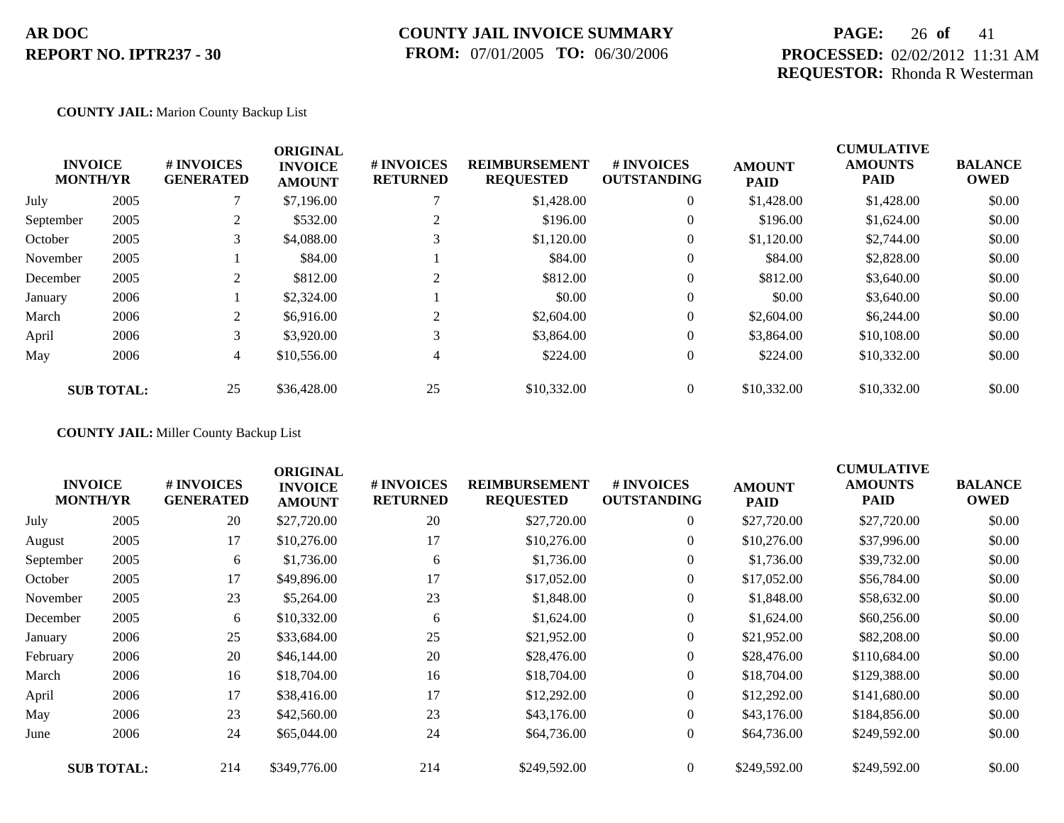## **COUNTY JAIL INVOICE SUMMARY FROM:** 07/01/2005 **TO:** 06/30/2006

## **PAGE:** 26 **of** 41 **PROCESSED:** 02/02/2012 11:31 AM **REQUESTOR:** Rhonda R Westerman

### **COUNTY JAIL:** Marion County Backup List

| <b>INVOICE</b><br><b>MONTH/YR</b> | <b>#INVOICES</b><br><b>GENERATED</b> | <b>ORIGINAL</b><br><b>INVOICE</b><br><b>AMOUNT</b> | # INVOICES<br><b>RETURNED</b> | <b>REIMBURSEMENT</b><br><b>REQUESTED</b> | <b>#INVOICES</b><br><b>OUTSTANDING</b> | <b>AMOUNT</b><br><b>PAID</b> | <b>CUMULATIVE</b><br><b>AMOUNTS</b><br><b>PAID</b> | <b>BALANCE</b><br><b>OWED</b> |
|-----------------------------------|--------------------------------------|----------------------------------------------------|-------------------------------|------------------------------------------|----------------------------------------|------------------------------|----------------------------------------------------|-------------------------------|
| 2005                              |                                      | \$7,196.00                                         |                               | \$1,428.00                               | $\overline{0}$                         | \$1,428.00                   | \$1,428.00                                         | \$0.00                        |
| 2005                              | 2                                    | \$532.00                                           | ∠                             | \$196.00                                 | $\overline{0}$                         | \$196.00                     | \$1,624.00                                         | \$0.00                        |
| 2005                              | 3                                    | \$4,088.00                                         |                               | \$1,120.00                               | $\overline{0}$                         | \$1,120.00                   | \$2,744.00                                         | \$0.00                        |
| 2005                              |                                      | \$84.00                                            |                               | \$84.00                                  | $\boldsymbol{0}$                       | \$84.00                      | \$2,828.00                                         | \$0.00                        |
| 2005                              | 2                                    | \$812.00                                           | $\sim$                        | \$812.00                                 | $\overline{0}$                         | \$812.00                     | \$3,640.00                                         | \$0.00                        |
| 2006                              |                                      | \$2,324.00                                         |                               | \$0.00                                   | $\overline{0}$                         | \$0.00                       | \$3,640.00                                         | \$0.00                        |
| 2006                              | 2                                    | \$6,916.00                                         |                               | \$2,604.00                               | $\overline{0}$                         | \$2,604.00                   | \$6,244.00                                         | \$0.00                        |
| 2006                              | 3                                    | \$3,920.00                                         | 3                             | \$3,864.00                               | $\overline{0}$                         | \$3,864.00                   | \$10,108.00                                        | \$0.00                        |
| 2006                              | 4                                    | \$10,556.00                                        | 4                             | \$224.00                                 | $\overline{0}$                         | \$224.00                     | \$10,332.00                                        | \$0.00                        |
| <b>SUB TOTAL:</b>                 | 25                                   | \$36,428.00                                        | 25                            | \$10,332.00                              | $\overline{0}$                         | \$10,332.00                  | \$10,332.00                                        | \$0.00                        |
|                                   |                                      |                                                    |                               |                                          |                                        |                              |                                                    |                               |

**COUNTY JAIL:** Miller County Backup List

|           | <b>INVOICE</b><br><b>MONTH/YR</b> | # INVOICES<br><b>GENERATED</b> | <b>ORIGINAL</b><br><b>INVOICE</b><br><b>AMOUNT</b> | # INVOICES<br><b>RETURNED</b> | <b>REIMBURSEMENT</b><br><b>REQUESTED</b> | # INVOICES<br><b>OUTSTANDING</b> | <b>AMOUNT</b><br><b>PAID</b> | <b>CUMULATIVE</b><br><b>AMOUNTS</b><br><b>PAID</b> | <b>BALANCE</b><br><b>OWED</b> |
|-----------|-----------------------------------|--------------------------------|----------------------------------------------------|-------------------------------|------------------------------------------|----------------------------------|------------------------------|----------------------------------------------------|-------------------------------|
| July      | 2005                              | 20                             | \$27,720.00                                        | 20                            | \$27,720.00                              | $\overline{0}$                   | \$27,720.00                  | \$27,720.00                                        | \$0.00                        |
| August    | 2005                              | 17                             | \$10,276.00                                        | 17                            | \$10,276.00                              | $\overline{0}$                   | \$10,276.00                  | \$37,996.00                                        | \$0.00                        |
| September | 2005                              | 6                              | \$1,736.00                                         | 6                             | \$1,736.00                               | $\overline{0}$                   | \$1,736.00                   | \$39,732.00                                        | \$0.00                        |
| October   | 2005                              | 17                             | \$49,896.00                                        | 17                            | \$17,052.00                              | $\boldsymbol{0}$                 | \$17,052.00                  | \$56,784.00                                        | \$0.00                        |
| November  | 2005                              | 23                             | \$5,264.00                                         | 23                            | \$1,848.00                               | $\boldsymbol{0}$                 | \$1,848.00                   | \$58,632.00                                        | \$0.00                        |
| December  | 2005                              | 6                              | \$10,332.00                                        | 6                             | \$1,624.00                               | $\overline{0}$                   | \$1,624.00                   | \$60,256.00                                        | \$0.00                        |
| January   | 2006                              | 25                             | \$33,684.00                                        | 25                            | \$21,952.00                              | $\boldsymbol{0}$                 | \$21,952.00                  | \$82,208.00                                        | \$0.00                        |
| February  | 2006                              | 20                             | \$46,144.00                                        | 20                            | \$28,476.00                              | $\overline{0}$                   | \$28,476.00                  | \$110,684.00                                       | \$0.00                        |
| March     | 2006                              | 16                             | \$18,704.00                                        | 16                            | \$18,704.00                              | $\overline{0}$                   | \$18,704.00                  | \$129,388.00                                       | \$0.00                        |
| April     | 2006                              | 17                             | \$38,416.00                                        | 17                            | \$12,292.00                              | $\boldsymbol{0}$                 | \$12,292.00                  | \$141,680.00                                       | \$0.00                        |
| May       | 2006                              | 23                             | \$42,560.00                                        | 23                            | \$43,176.00                              | $\overline{0}$                   | \$43,176.00                  | \$184,856.00                                       | \$0.00                        |
| June      | 2006                              | 24                             | \$65,044.00                                        | 24                            | \$64,736.00                              | $\overline{0}$                   | \$64,736.00                  | \$249,592.00                                       | \$0.00                        |
|           | <b>SUB TOTAL:</b>                 | 214                            | \$349,776.00                                       | 214                           | \$249,592.00                             | $\overline{0}$                   | \$249,592.00                 | \$249,592.00                                       | \$0.00                        |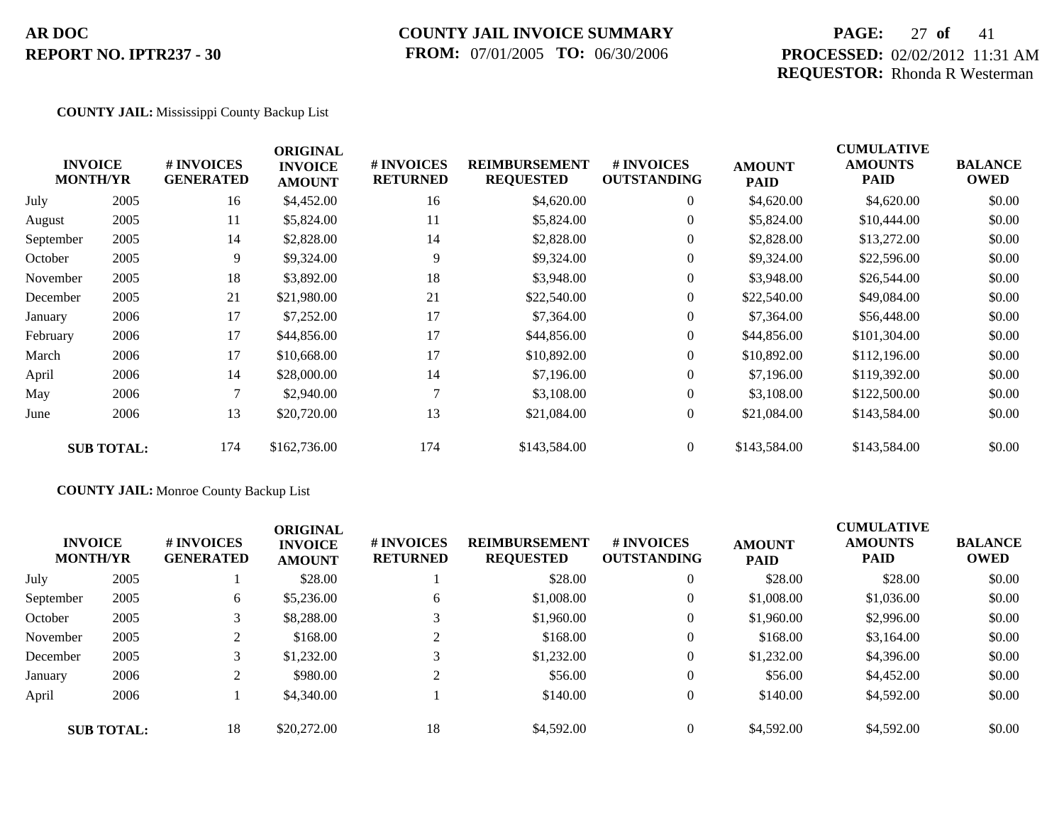## **COUNTY JAIL INVOICE SUMMARY FROM:** 07/01/2005 **TO:** 06/30/2006

## **PAGE:** 27 **of** 41 **PROCESSED:** 02/02/2012 11:31 AM **REQUESTOR:** Rhonda R Westerman

CUMU<del>LATIVE</del>

### **COUNTY JAIL:** Mississippi County Backup List

|           | <b>INVOICE</b><br><b>MONTH/YR</b> | # INVOICES<br><b>GENERATED</b> | <b>ORIGINAL</b><br><b>INVOICE</b><br><b>AMOUNT</b> | # INVOICES<br><b>RETURNED</b> | <b>REIMBURSEMENT</b><br><b>REQUESTED</b> | <b># INVOICES</b><br><b>OUTSTANDING</b> | <b>AMOUNT</b><br><b>PAID</b> | <b>CUMULATIVE</b><br><b>AMOUNTS</b><br><b>PAID</b> | <b>BALANCE</b><br><b>OWED</b> |
|-----------|-----------------------------------|--------------------------------|----------------------------------------------------|-------------------------------|------------------------------------------|-----------------------------------------|------------------------------|----------------------------------------------------|-------------------------------|
| July      | 2005                              | 16                             | \$4,452.00                                         | 16                            | \$4,620.00                               | $\overline{0}$                          | \$4,620.00                   | \$4,620.00                                         | \$0.00                        |
| August    | 2005                              | 11                             | \$5,824.00                                         | 11                            | \$5,824.00                               | $\overline{0}$                          | \$5,824.00                   | \$10,444.00                                        | \$0.00                        |
| September | 2005                              | 14                             | \$2,828.00                                         | 14                            | \$2,828.00                               | $\overline{0}$                          | \$2,828.00                   | \$13,272.00                                        | \$0.00                        |
| October   | 2005                              | 9                              | \$9,324.00                                         | 9                             | \$9,324.00                               | $\overline{0}$                          | \$9,324.00                   | \$22,596.00                                        | \$0.00                        |
| November  | 2005                              | 18                             | \$3,892.00                                         | 18                            | \$3,948.00                               | $\overline{0}$                          | \$3,948.00                   | \$26,544.00                                        | \$0.00                        |
| December  | 2005                              | 21                             | \$21,980.00                                        | 21                            | \$22,540.00                              | $\overline{0}$                          | \$22,540.00                  | \$49,084.00                                        | \$0.00                        |
| January   | 2006                              | 17                             | \$7,252.00                                         | 17                            | \$7,364.00                               | $\overline{0}$                          | \$7,364.00                   | \$56,448.00                                        | \$0.00                        |
| February  | 2006                              | 17                             | \$44,856.00                                        | 17                            | \$44,856.00                              | $\overline{0}$                          | \$44,856.00                  | \$101,304.00                                       | \$0.00                        |
| March     | 2006                              | 17                             | \$10,668.00                                        | 17                            | \$10,892.00                              | $\overline{0}$                          | \$10,892.00                  | \$112,196.00                                       | \$0.00                        |
| April     | 2006                              | 14                             | \$28,000.00                                        | 14                            | \$7,196.00                               | $\overline{0}$                          | \$7,196.00                   | \$119,392.00                                       | \$0.00                        |
| May       | 2006                              | 7                              | \$2,940.00                                         |                               | \$3,108.00                               | $\overline{0}$                          | \$3,108.00                   | \$122,500.00                                       | \$0.00                        |
| June      | 2006                              | 13                             | \$20,720.00                                        | 13                            | \$21,084.00                              | $\overline{0}$                          | \$21,084.00                  | \$143,584.00                                       | \$0.00                        |
|           | <b>SUB TOTAL:</b>                 | 174                            | \$162,736.00                                       | 174                           | \$143,584.00                             | $\Omega$                                | \$143,584.00                 | \$143,584.00                                       | \$0.00                        |

## **COUNTY JAIL:** Monroe County Backup List

| <b>INVOICE</b><br><b>MONTH/YR</b> |                   | # INVOICES<br><b>GENERATED</b> | <b>ORIGINAL</b><br><b>INVOICE</b><br><b>AMOUNT</b> | # INVOICES<br><b>RETURNED</b> | <b>REIMBURSEMENT</b><br><b>REQUESTED</b> | # INVOICES<br><b>OUTSTANDING</b> | <b>AMOUNT</b><br><b>PAID</b> | <b>CUMULATIVE</b><br><b>AMOUNTS</b><br>PAID | <b>BALANCE</b><br><b>OWED</b> |
|-----------------------------------|-------------------|--------------------------------|----------------------------------------------------|-------------------------------|------------------------------------------|----------------------------------|------------------------------|---------------------------------------------|-------------------------------|
| July                              | 2005              |                                | \$28.00                                            |                               | \$28.00                                  | $\overline{0}$                   | \$28.00                      | \$28.00                                     | \$0.00                        |
| September                         | 2005              | 6                              | \$5,236.00                                         | 6                             | \$1,008.00                               | $\overline{0}$                   | \$1,008.00                   | \$1,036.00                                  | \$0.00                        |
| October                           | 2005              |                                | \$8,288.00                                         |                               | \$1,960.00                               | $\boldsymbol{0}$                 | \$1,960.00                   | \$2,996.00                                  | \$0.00                        |
| November                          | 2005              |                                | \$168.00                                           | $\gamma$                      | \$168.00                                 | $\overline{0}$                   | \$168.00                     | \$3,164.00                                  | \$0.00                        |
| December                          | 2005              | 3                              | \$1,232.00                                         |                               | \$1,232.00                               | $\overline{0}$                   | \$1,232.00                   | \$4,396.00                                  | \$0.00                        |
| January                           | 2006              |                                | \$980.00                                           | $\overline{2}$                | \$56.00                                  | $\overline{0}$                   | \$56.00                      | \$4,452.00                                  | \$0.00                        |
| April                             | 2006              |                                | \$4,340.00                                         |                               | \$140.00                                 | $\overline{0}$                   | \$140.00                     | \$4,592.00                                  | \$0.00                        |
|                                   | <b>SUB TOTAL:</b> | 18                             | \$20,272.00                                        | 18                            | \$4,592.00                               | $\mathbf{0}$                     | \$4,592.00                   | \$4,592.00                                  | \$0.00                        |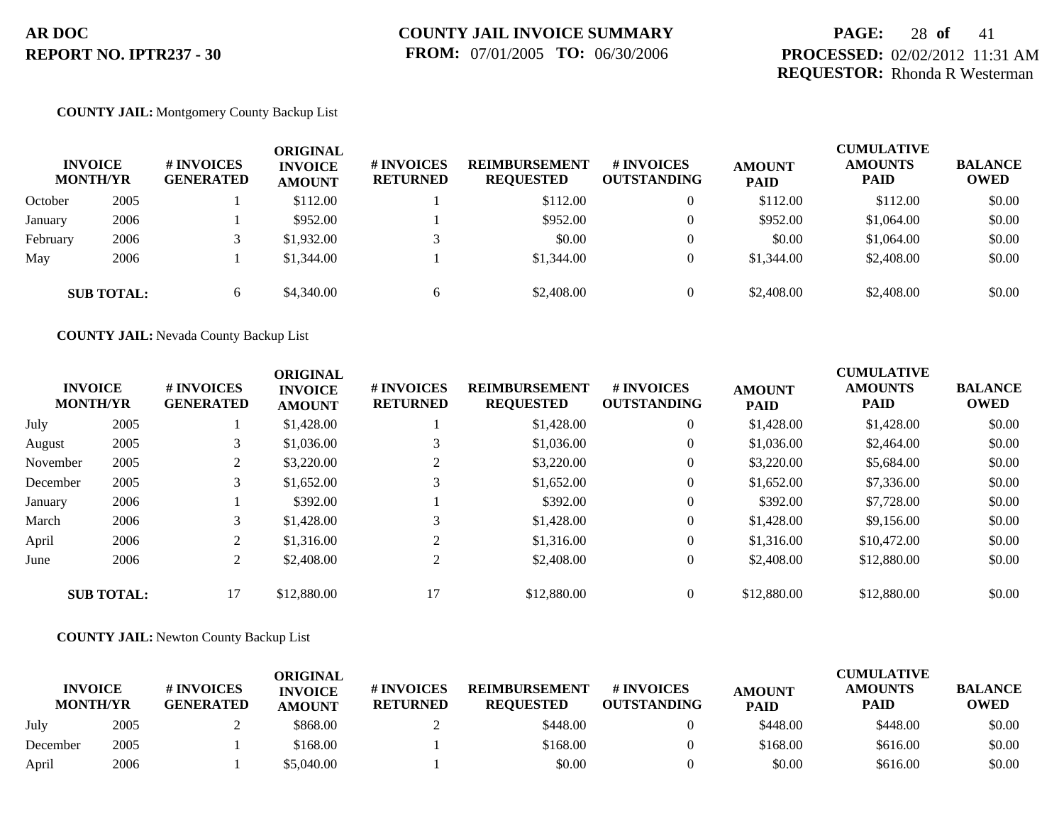## **PAGE:** 28 **of** 41 **PROCESSED:** 02/02/2012 11:31 AM **REQUESTOR:** Rhonda R Westerman

### **COUNTY JAIL:** Montgomery County Backup List

|          | <b>INVOICE</b><br><b>MONTH/YR</b> | <b>#INVOICES</b><br><b>GENERATED</b> | ORIGINAL<br><b>INVOICE</b><br><b>AMOUNT</b> | <b># INVOICES</b><br><b>RETURNED</b> | <b>REIMBURSEMENT</b><br><b>REQUESTED</b> | # INVOICES<br><b>OUTSTANDING</b> | <b>AMOUNT</b><br><b>PAID</b> | <b>CUMULATIVE</b><br><b>AMOUNTS</b><br><b>PAID</b> | <b>BALANCE</b><br><b>OWED</b> |
|----------|-----------------------------------|--------------------------------------|---------------------------------------------|--------------------------------------|------------------------------------------|----------------------------------|------------------------------|----------------------------------------------------|-------------------------------|
| October  | 2005                              |                                      | \$112.00                                    |                                      | \$112.00                                 | 0                                | \$112.00                     | \$112.00                                           | \$0.00                        |
| January  | 2006                              |                                      | \$952.00                                    |                                      | \$952.00                                 | $\theta$                         | \$952.00                     | \$1,064.00                                         | \$0.00                        |
| February | 2006                              |                                      | \$1,932.00                                  |                                      | \$0.00                                   |                                  | \$0.00                       | \$1,064.00                                         | \$0.00                        |
| May      | 2006                              |                                      | \$1,344.00                                  |                                      | \$1,344.00                               | $\theta$                         | \$1,344.00                   | \$2,408.00                                         | \$0.00                        |
|          | <b>SUB TOTAL:</b>                 | 6                                    | \$4,340.00                                  | 6                                    | \$2,408.00                               | $\mathbf{0}$                     | \$2,408.00                   | \$2,408.00                                         | \$0.00                        |

**COUNTY JAIL:** Nevada County Backup List

| <b>INVOICE</b><br><b>MONTH/YR</b> |                   | <b>#INVOICES</b><br><b>GENERATED</b> | <b>ORIGINAL</b><br><b>INVOICE</b><br><b>AMOUNT</b> | <b>#INVOICES</b><br><b>RETURNED</b> | <b>REIMBURSEMENT</b><br><b>REQUESTED</b> | # INVOICES<br><b>OUTSTANDING</b> | <b>AMOUNT</b><br><b>PAID</b> | <b>CUMULATIVE</b><br><b>AMOUNTS</b><br><b>PAID</b> | <b>BALANCE</b><br><b>OWED</b> |
|-----------------------------------|-------------------|--------------------------------------|----------------------------------------------------|-------------------------------------|------------------------------------------|----------------------------------|------------------------------|----------------------------------------------------|-------------------------------|
| July                              | 2005              |                                      | \$1,428.00                                         |                                     | \$1,428.00                               | $\theta$                         | \$1,428.00                   | \$1,428.00                                         | \$0.00                        |
| August                            | 2005              |                                      | \$1,036.00                                         |                                     | \$1,036.00                               | $\overline{0}$                   | \$1,036.00                   | \$2,464.00                                         | \$0.00                        |
| November                          | 2005              | 2                                    | \$3,220.00                                         | 2                                   | \$3,220.00                               | $\theta$                         | \$3,220.00                   | \$5,684.00                                         | \$0.00                        |
| December                          | 2005              | 3                                    | \$1,652.00                                         | 3                                   | \$1,652.00                               | $\theta$                         | \$1,652.00                   | \$7,336.00                                         | \$0.00                        |
| January                           | 2006              |                                      | \$392.00                                           |                                     | \$392.00                                 | $\theta$                         | \$392.00                     | \$7,728.00                                         | \$0.00                        |
| March                             | 2006              | 3                                    | \$1,428.00                                         | 3                                   | \$1,428.00                               | $\theta$                         | \$1,428.00                   | \$9,156.00                                         | \$0.00                        |
| April                             | 2006              | 2                                    | \$1,316.00                                         | $\mathfrak{D}$                      | \$1,316.00                               | $\theta$                         | \$1,316.00                   | \$10,472.00                                        | \$0.00                        |
| June                              | 2006              | 2                                    | \$2,408.00                                         | 2                                   | \$2,408.00                               | $\theta$                         | \$2,408.00                   | \$12,880.00                                        | \$0.00                        |
|                                   | <b>SUB TOTAL:</b> | 17                                   | \$12,880.00                                        | 17                                  | \$12,880.00                              | $\overline{0}$                   | \$12,880.00                  | \$12,880.00                                        | \$0.00                        |

### **COUNTY JAIL:** Newton County Backup List

|                                   |      |                                      | ORIGINAL                        |                                     |                                          |                                  |                              | <b>CUMULATIVE</b>      |                               |
|-----------------------------------|------|--------------------------------------|---------------------------------|-------------------------------------|------------------------------------------|----------------------------------|------------------------------|------------------------|-------------------------------|
| <b>INVOICE</b><br><b>MONTH/YR</b> |      | <b>#INVOICES</b><br><b>GENERATED</b> | <b>INVOICE</b><br><b>AMOUNT</b> | <b>#INVOICES</b><br><b>RETURNED</b> | <b>REIMBURSEMENT</b><br><b>REOUESTED</b> | # INVOICES<br><b>OUTSTANDING</b> | <b>AMOUNT</b><br><b>PAID</b> | <b>AMOUNTS</b><br>PAID | <b>BALANCE</b><br><b>OWED</b> |
| July                              | 2005 |                                      | \$868.00                        |                                     | \$448.00                                 |                                  | \$448.00                     | \$448.00               | \$0.00                        |
| December                          | 2005 |                                      | \$168.00                        |                                     | \$168.00                                 |                                  | \$168.00                     | \$616.00               | \$0.00                        |
| April                             | 2006 |                                      | \$5,040.00                      |                                     | \$0.00                                   |                                  | \$0.00                       | \$616.00               | \$0.00                        |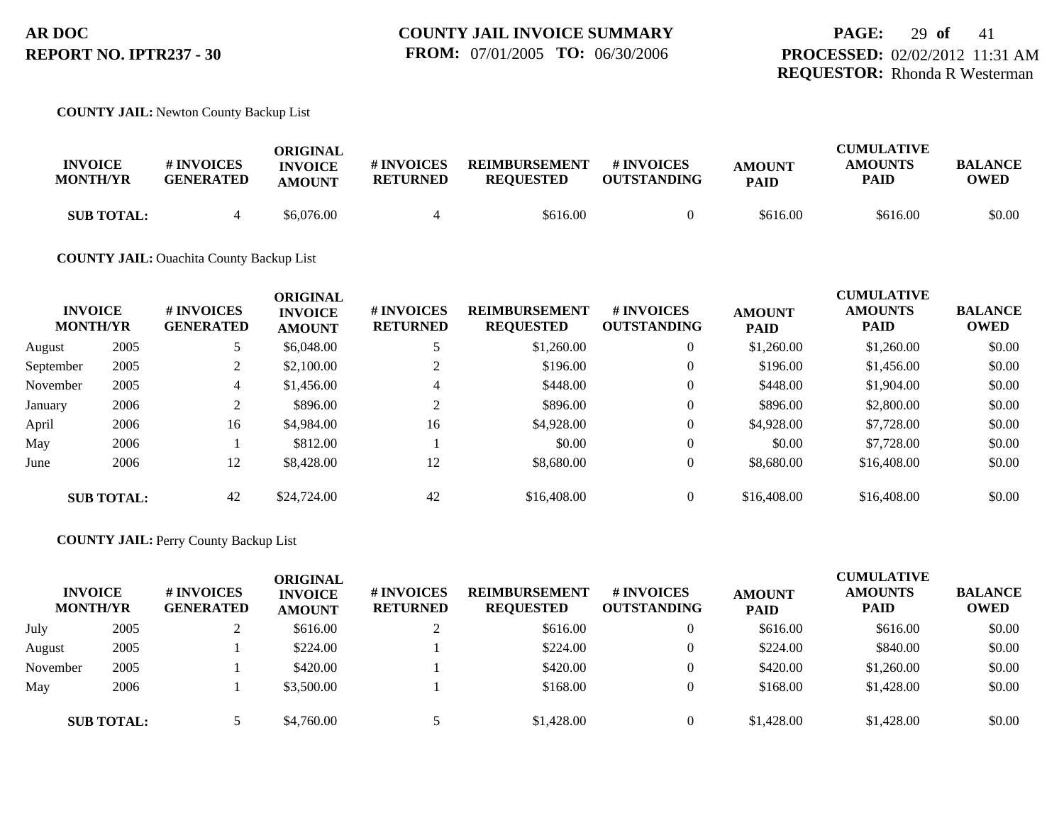# **PAGE:** 29 **of** 41 **PROCESSED:** 02/02/2012 11:31 AM **REQUESTOR:** Rhonda R Westerman

### **COUNTY JAIL:** Newton County Backup List

| <b>INVOICE</b><br><b>MONTH/YR</b> | # INVOICES<br><b>GENERATED</b> | ORIGINAL<br><b>INVOICE</b><br><b>AMOUNT</b> | # INVOICES<br><b>RETURNED</b> | <b>REIMBURSEMENT</b><br><b>REOUESTED</b> | # INVOICES<br><b>OUTSTANDING</b> | <b>AMOUNT</b><br><b>PAID</b> | <b>CUMULATIVE</b><br><b>AMOUNTS</b><br>PAID | <b>BALANCE</b><br><b>OWED</b> |
|-----------------------------------|--------------------------------|---------------------------------------------|-------------------------------|------------------------------------------|----------------------------------|------------------------------|---------------------------------------------|-------------------------------|
| <b>SUB TOTAL:</b>                 |                                | \$6,076.00                                  |                               | \$616.00                                 |                                  | \$616.00                     | \$616.00                                    | \$0.00                        |

### **COUNTY JAIL:** Ouachita County Backup List

|           | <b>INVOICE</b><br><b>MONTH/YR</b> | # INVOICES<br><b>GENERATED</b> | <b>ORIGINAL</b><br><b>INVOICE</b><br><b>AMOUNT</b> | # INVOICES<br><b>RETURNED</b> | <b>REIMBURSEMENT</b><br><b>REQUESTED</b> | # INVOICES<br><b>OUTSTANDING</b> | <b>AMOUNT</b><br><b>PAID</b> | <b>CUMULATIVE</b><br><b>AMOUNTS</b><br><b>PAID</b> | <b>BALANCE</b><br><b>OWED</b> |
|-----------|-----------------------------------|--------------------------------|----------------------------------------------------|-------------------------------|------------------------------------------|----------------------------------|------------------------------|----------------------------------------------------|-------------------------------|
| August    | 2005                              |                                | \$6,048.00                                         |                               | \$1,260.00                               | $\mathbf{0}$                     | \$1,260.00                   | \$1,260.00                                         | \$0.00                        |
| September | 2005                              | 2                              | \$2,100.00                                         |                               | \$196.00                                 | $\theta$                         | \$196.00                     | \$1,456.00                                         | \$0.00                        |
| November  | 2005                              | 4                              | \$1,456.00                                         | 4                             | \$448.00                                 | $\theta$                         | \$448.00                     | \$1,904.00                                         | \$0.00                        |
| January   | 2006                              | ◠                              | \$896.00                                           | ◠                             | \$896.00                                 | $\theta$                         | \$896.00                     | \$2,800.00                                         | \$0.00                        |
| April     | 2006                              | 16                             | \$4,984.00                                         | 16                            | \$4,928.00                               | $\theta$                         | \$4,928.00                   | \$7,728.00                                         | \$0.00                        |
| May       | 2006                              |                                | \$812.00                                           |                               | \$0.00                                   | $\theta$                         | \$0.00                       | \$7,728.00                                         | \$0.00                        |
| June      | 2006                              | 12                             | \$8,428.00                                         | 12                            | \$8,680.00                               | $\theta$                         | \$8,680.00                   | \$16,408.00                                        | \$0.00                        |
|           | <b>SUB TOTAL:</b>                 | 42                             | \$24,724.00                                        | 42                            | \$16,408.00                              | $\overline{0}$                   | \$16,408.00                  | \$16,408.00                                        | \$0.00                        |

### **COUNTY JAIL:** Perry County Backup List

| <b>MONTH/YR</b> | <b>INVOICE</b>    | # INVOICES<br><b>GENERATED</b> | ORIGINAL<br><b>INVOICE</b><br><b>AMOUNT</b> | <b># INVOICES</b><br><b>RETURNED</b> | <b>REIMBURSEMENT</b><br><b>REQUESTED</b> | # INVOICES<br><b>OUTSTANDING</b> | <b>AMOUNT</b><br><b>PAID</b> | <b>CUMULATIVE</b><br><b>AMOUNTS</b><br><b>PAID</b> | <b>BALANCE</b><br><b>OWED</b> |
|-----------------|-------------------|--------------------------------|---------------------------------------------|--------------------------------------|------------------------------------------|----------------------------------|------------------------------|----------------------------------------------------|-------------------------------|
| July            | 2005              |                                | \$616.00                                    |                                      | \$616.00                                 | 0                                | \$616.00                     | \$616.00                                           | \$0.00                        |
| August          | 2005              |                                | \$224.00                                    |                                      | \$224.00                                 | 0                                | \$224.00                     | \$840.00                                           | \$0.00                        |
| November        | 2005              |                                | \$420.00                                    |                                      | \$420.00                                 | 0                                | \$420.00                     | \$1,260.00                                         | \$0.00                        |
| May             | 2006              |                                | \$3,500.00                                  |                                      | \$168.00                                 | 0                                | \$168.00                     | \$1,428.00                                         | \$0.00                        |
|                 | <b>SUB TOTAL:</b> |                                | \$4,760.00                                  |                                      | \$1,428.00                               | 0                                | \$1,428.00                   | \$1,428.00                                         | \$0.00                        |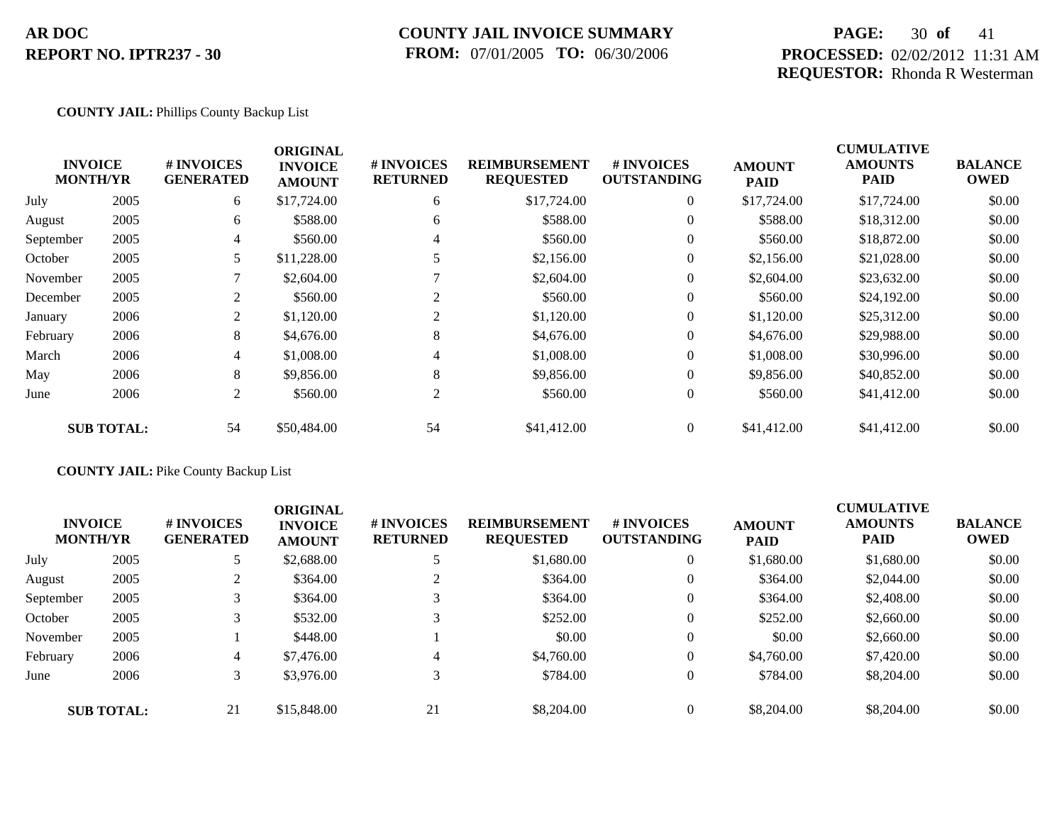## **COUNTY JAIL INVOICE SUMMARY FROM:** 07/01/2005 **TO:** 06/30/2006

## **PAGE:** 30 **of** 41 **PROCESSED:** 02/02/2012 11:31 AM **REQUESTOR:** Rhonda R Westerman

### **COUNTY JAIL:** Phillips County Backup List

|           |                                   |                                | <b>ORIGINAL</b>                 |                               |                                          |                                  |                              | <b>CUMULATIVE</b>             |                               |
|-----------|-----------------------------------|--------------------------------|---------------------------------|-------------------------------|------------------------------------------|----------------------------------|------------------------------|-------------------------------|-------------------------------|
|           | <b>INVOICE</b><br><b>MONTH/YR</b> | # INVOICES<br><b>GENERATED</b> | <b>INVOICE</b><br><b>AMOUNT</b> | # INVOICES<br><b>RETURNED</b> | <b>REIMBURSEMENT</b><br><b>REQUESTED</b> | # INVOICES<br><b>OUTSTANDING</b> | <b>AMOUNT</b><br><b>PAID</b> | <b>AMOUNTS</b><br><b>PAID</b> | <b>BALANCE</b><br><b>OWED</b> |
| July      | 2005                              | 6                              | \$17,724.00                     | 6                             | \$17,724.00                              | $\overline{0}$                   | \$17,724.00                  | \$17,724.00                   | \$0.00                        |
| August    | 2005                              | 6                              | \$588.00                        | 6                             | \$588.00                                 | $\overline{0}$                   | \$588.00                     | \$18,312.00                   | \$0.00                        |
| September | 2005                              | 4                              | \$560.00                        | 4                             | \$560.00                                 | $\overline{0}$                   | \$560.00                     | \$18,872.00                   | \$0.00                        |
| October   | 2005                              | 5                              | \$11,228.00                     |                               | \$2,156.00                               | $\overline{0}$                   | \$2,156.00                   | \$21,028.00                   | \$0.00                        |
| November  | 2005                              |                                | \$2,604.00                      |                               | \$2,604.00                               | $\overline{0}$                   | \$2,604.00                   | \$23,632.00                   | \$0.00                        |
| December  | 2005                              | 2                              | \$560.00                        | $\overline{c}$                | \$560.00                                 | $\overline{0}$                   | \$560.00                     | \$24,192.00                   | \$0.00                        |
| January   | 2006                              | 2                              | \$1,120.00                      | $\overline{c}$                | \$1,120.00                               | $\overline{0}$                   | \$1,120.00                   | \$25,312.00                   | \$0.00                        |
| February  | 2006                              | 8                              | \$4,676.00                      | 8                             | \$4,676.00                               | $\overline{0}$                   | \$4,676.00                   | \$29,988.00                   | \$0.00                        |
| March     | 2006                              | $\overline{4}$                 | \$1,008.00                      | 4                             | \$1,008.00                               | $\overline{0}$                   | \$1,008.00                   | \$30,996.00                   | \$0.00                        |
| May       | 2006                              | 8                              | \$9,856.00                      | 8                             | \$9,856.00                               | $\theta$                         | \$9,856.00                   | \$40,852.00                   | \$0.00                        |
| June      | 2006                              | 2                              | \$560.00                        | 2                             | \$560.00                                 | $\overline{0}$                   | \$560.00                     | \$41,412.00                   | \$0.00                        |
|           | <b>SUB TOTAL:</b>                 | 54                             | \$50,484.00                     | 54                            | \$41,412.00                              | $\overline{0}$                   | \$41,412.00                  | \$41,412.00                   | \$0.00                        |

## **COUNTY JAIL:** Pike County Backup List

| <b>INVOICE</b><br><b>MONTH/YR</b> |                   | <b>#INVOICES</b><br><b>GENERATED</b> | <b>ORIGINAL</b><br><b>INVOICE</b><br><b>AMOUNT</b> | <b># INVOICES</b><br><b>RETURNED</b> | <b>REIMBURSEMENT</b><br><b>REQUESTED</b> | <b>#INVOICES</b><br><b>OUTSTANDING</b> | <b>AMOUNT</b><br><b>PAID</b> | <b>CUMULATIVE</b><br><b>AMOUNTS</b><br><b>PAID</b> | <b>BALANCE</b><br><b>OWED</b> |
|-----------------------------------|-------------------|--------------------------------------|----------------------------------------------------|--------------------------------------|------------------------------------------|----------------------------------------|------------------------------|----------------------------------------------------|-------------------------------|
| July                              | 2005              |                                      | \$2,688.00                                         |                                      | \$1,680.00                               | $\theta$                               | \$1,680.00                   | \$1,680.00                                         | \$0.00                        |
| August                            | 2005              |                                      | \$364.00                                           | $\bigcap$                            | \$364.00                                 | $\overline{0}$                         | \$364.00                     | \$2,044.00                                         | \$0.00                        |
| September                         | 2005              |                                      | \$364.00                                           |                                      | \$364.00                                 | $\theta$                               | \$364.00                     | \$2,408.00                                         | \$0.00                        |
| October                           | 2005              |                                      | \$532.00                                           |                                      | \$252.00                                 | $\Omega$                               | \$252.00                     | \$2,660.00                                         | \$0.00                        |
| November                          | 2005              |                                      | \$448.00                                           |                                      | \$0.00                                   | $\overline{0}$                         | \$0.00                       | \$2,660.00                                         | \$0.00                        |
| February                          | 2006              | 4                                    | \$7,476.00                                         | 4                                    | \$4,760.00                               | $\overline{0}$                         | \$4,760.00                   | \$7,420.00                                         | \$0.00                        |
| June                              | 2006              | 3                                    | \$3,976.00                                         | 3                                    | \$784.00                                 | $\theta$                               | \$784.00                     | \$8,204.00                                         | \$0.00                        |
|                                   | <b>SUB TOTAL:</b> | 21                                   | \$15,848.00                                        | 21                                   | \$8,204.00                               | $\Omega$                               | \$8,204.00                   | \$8,204.00                                         | \$0.00                        |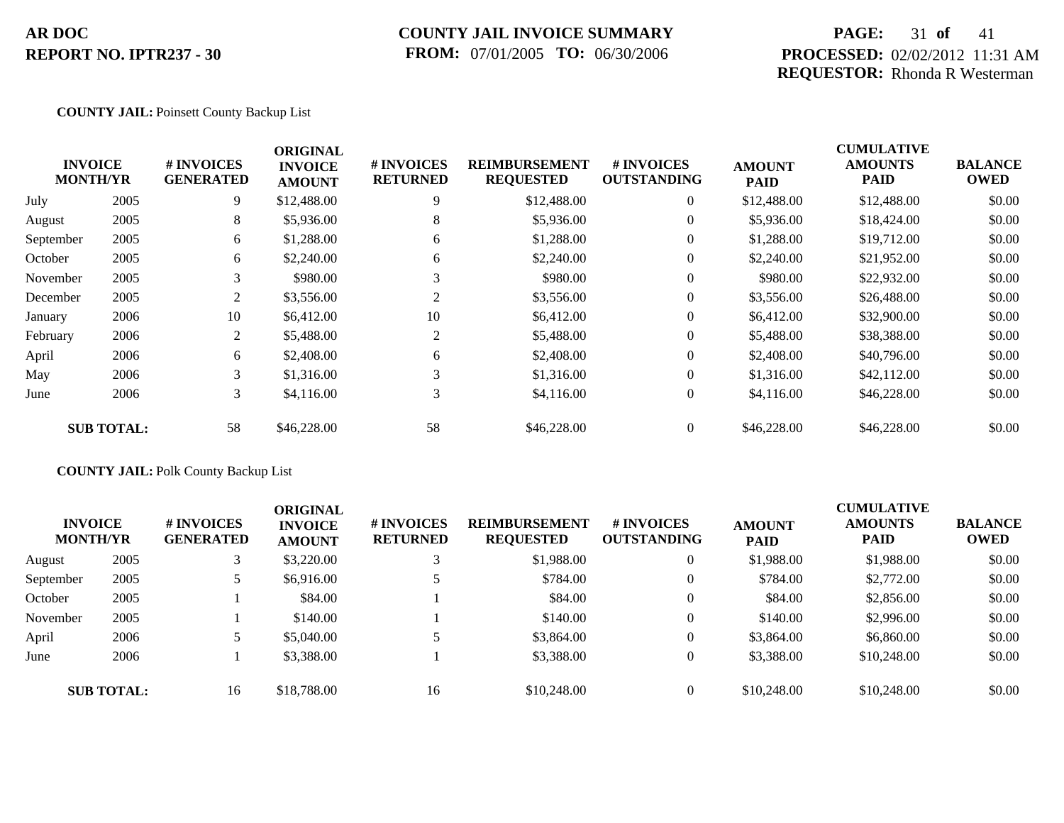## **COUNTY JAIL INVOICE SUMMARY FROM:** 07/01/2005 **TO:** 06/30/2006

## **PAGE:** 31 **of** 41 **PROCESSED:** 02/02/2012 11:31 AM **REQUESTOR:** Rhonda R Westerman

### **COUNTY JAIL:** Poinsett County Backup List

|           |                                   |                                | <b>ORIGINAL</b>                 |                               |                                          |                                  |                              | <b>CUMULATIVE</b>             |                               |
|-----------|-----------------------------------|--------------------------------|---------------------------------|-------------------------------|------------------------------------------|----------------------------------|------------------------------|-------------------------------|-------------------------------|
|           | <b>INVOICE</b><br><b>MONTH/YR</b> | # INVOICES<br><b>GENERATED</b> | <b>INVOICE</b><br><b>AMOUNT</b> | # INVOICES<br><b>RETURNED</b> | <b>REIMBURSEMENT</b><br><b>REQUESTED</b> | # INVOICES<br><b>OUTSTANDING</b> | <b>AMOUNT</b><br><b>PAID</b> | <b>AMOUNTS</b><br><b>PAID</b> | <b>BALANCE</b><br><b>OWED</b> |
| July      | 2005                              | 9                              | \$12,488.00                     | 9                             | \$12,488.00                              | $\overline{0}$                   | \$12,488.00                  | \$12,488.00                   | \$0.00                        |
| August    | 2005                              | 8                              | \$5,936.00                      | 8                             | \$5,936.00                               | $\overline{0}$                   | \$5,936.00                   | \$18,424.00                   | \$0.00                        |
| September | 2005                              | 6                              | \$1,288.00                      | 6                             | \$1,288.00                               | $\overline{0}$                   | \$1,288.00                   | \$19,712.00                   | \$0.00                        |
| October   | 2005                              | 6                              | \$2,240.00                      | 6                             | \$2,240.00                               | $\overline{0}$                   | \$2,240.00                   | \$21,952.00                   | \$0.00                        |
| November  | 2005                              | 3                              | \$980.00                        | 3                             | \$980.00                                 | $\overline{0}$                   | \$980.00                     | \$22,932.00                   | \$0.00                        |
| December  | 2005                              | 2                              | \$3,556.00                      | 2                             | \$3,556.00                               | $\overline{0}$                   | \$3,556.00                   | \$26,488.00                   | \$0.00                        |
| January   | 2006                              | 10                             | \$6,412.00                      | 10                            | \$6,412.00                               | $\overline{0}$                   | \$6,412.00                   | \$32,900.00                   | \$0.00                        |
| February  | 2006                              | 2                              | \$5,488.00                      | 2                             | \$5,488.00                               | $\overline{0}$                   | \$5,488.00                   | \$38,388.00                   | \$0.00                        |
| April     | 2006                              | 6                              | \$2,408.00                      | 6                             | \$2,408.00                               | $\overline{0}$                   | \$2,408.00                   | \$40,796.00                   | \$0.00                        |
| May       | 2006                              | 3                              | \$1,316.00                      | 3                             | \$1,316.00                               | $\overline{0}$                   | \$1,316.00                   | \$42,112.00                   | \$0.00                        |
| June      | 2006                              | 3                              | \$4,116.00                      | 3                             | \$4,116.00                               | $\overline{0}$                   | \$4,116.00                   | \$46,228.00                   | \$0.00                        |
|           | <b>SUB TOTAL:</b>                 | 58                             | \$46,228.00                     | 58                            | \$46,228.00                              | $\overline{0}$                   | \$46,228.00                  | \$46,228.00                   | \$0.00                        |

## **COUNTY JAIL:** Polk County Backup List

| <b>INVOICE</b><br><b>MONTH/YR</b> |                   | # INVOICES<br><b>GENERATED</b> | <b>ORIGINAL</b><br><b>INVOICE</b><br><b>AMOUNT</b> | <b>#INVOICES</b><br><b>RETURNED</b> | <b>REIMBURSEMENT</b><br><b>REQUESTED</b> | <b>#INVOICES</b><br><b>OUTSTANDING</b> | <b>AMOUNT</b><br><b>PAID</b> | <b>CUMULATIVE</b><br><b>AMOUNTS</b><br><b>PAID</b> | <b>BALANCE</b><br><b>OWED</b> |
|-----------------------------------|-------------------|--------------------------------|----------------------------------------------------|-------------------------------------|------------------------------------------|----------------------------------------|------------------------------|----------------------------------------------------|-------------------------------|
| August                            | 2005              |                                | \$3,220.00                                         | 3                                   | \$1,988.00                               |                                        | \$1,988.00                   | \$1,988.00                                         | \$0.00                        |
| September                         | 2005              |                                | \$6,916.00                                         |                                     | \$784.00                                 |                                        | \$784.00                     | \$2,772.00                                         | \$0.00                        |
| October                           | 2005              |                                | \$84.00                                            |                                     | \$84.00                                  |                                        | \$84.00                      | \$2,856.00                                         | \$0.00                        |
| November                          | 2005              |                                | \$140.00                                           |                                     | \$140.00                                 |                                        | \$140.00                     | \$2,996.00                                         | \$0.00                        |
| April                             | 2006              |                                | \$5,040.00                                         |                                     | \$3,864.00                               |                                        | \$3,864.00                   | \$6,860.00                                         | \$0.00                        |
| June                              | 2006              |                                | \$3,388.00                                         |                                     | \$3,388.00                               |                                        | \$3,388.00                   | \$10,248.00                                        | \$0.00                        |
|                                   | <b>SUB TOTAL:</b> | 16                             | \$18,788.00                                        | 16                                  | \$10,248.00                              |                                        | \$10,248.00                  | \$10,248.00                                        | \$0.00                        |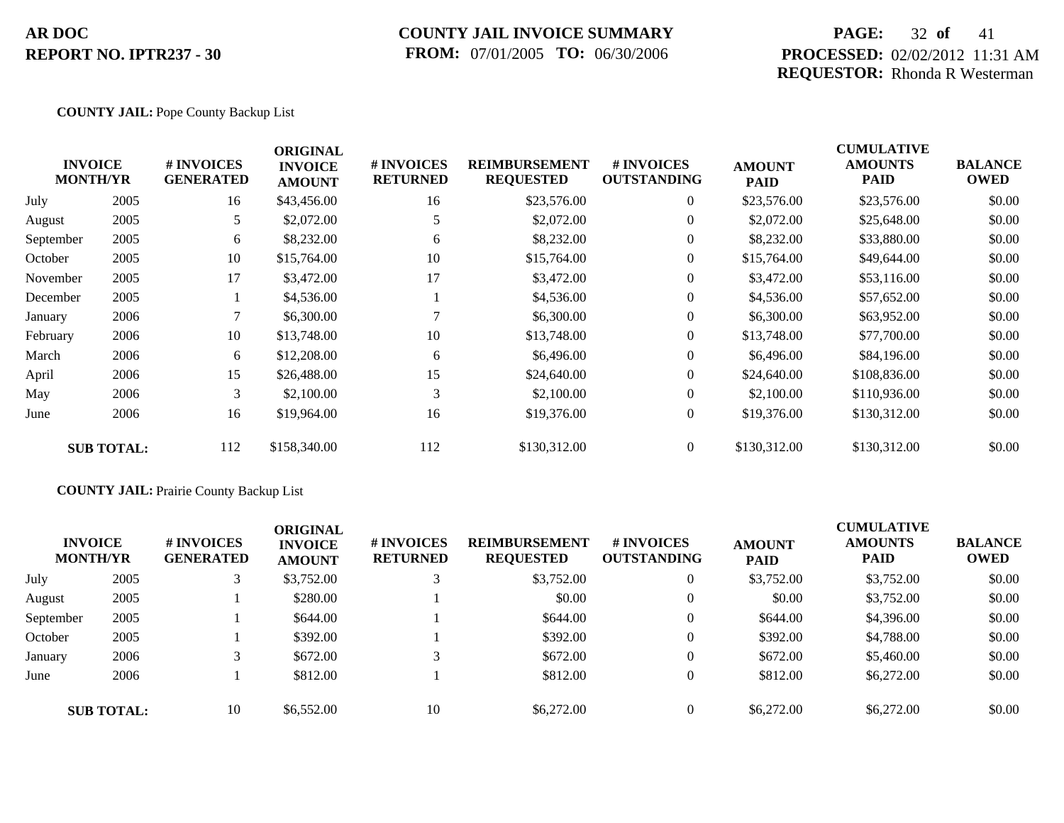## **COUNTY JAIL INVOICE SUMMARY FROM:** 07/01/2005 **TO:** 06/30/2006

## **PAGE:** 32 of 41 **PROCESSED:** 02/02/2012 11:31 AM **REQUESTOR:** Rhonda R Westerman

### **COUNTY JAIL:** Pope County Backup List

|           | <b>INVOICE</b><br><b>MONTH/YR</b> | # INVOICES<br><b>GENERATED</b> | <b>ORIGINAL</b><br><b>INVOICE</b><br><b>AMOUNT</b> | # INVOICES<br><b>RETURNED</b> | <b>REIMBURSEMENT</b><br><b>REQUESTED</b> | # INVOICES<br><b>OUTSTANDING</b> | <b>AMOUNT</b><br><b>PAID</b> | <b>CUMULATIVE</b><br><b>AMOUNTS</b><br><b>PAID</b> | <b>BALANCE</b><br><b>OWED</b> |
|-----------|-----------------------------------|--------------------------------|----------------------------------------------------|-------------------------------|------------------------------------------|----------------------------------|------------------------------|----------------------------------------------------|-------------------------------|
| July      | 2005                              | 16                             | \$43,456.00                                        | 16                            | \$23,576.00                              | $\boldsymbol{0}$                 | \$23,576.00                  | \$23,576.00                                        | \$0.00                        |
| August    | 2005                              | 5                              | \$2,072.00                                         | 5                             | \$2,072.00                               | $\overline{0}$                   | \$2,072.00                   | \$25,648.00                                        | \$0.00                        |
| September | 2005                              | 6                              | \$8,232.00                                         | 6                             | \$8,232.00                               | $\overline{0}$                   | \$8,232.00                   | \$33,880.00                                        | \$0.00                        |
| October   | 2005                              | 10                             | \$15,764.00                                        | 10                            | \$15,764.00                              | $\overline{0}$                   | \$15,764.00                  | \$49,644.00                                        | \$0.00                        |
| November  | 2005                              | 17                             | \$3,472.00                                         | 17                            | \$3,472.00                               | $\overline{0}$                   | \$3,472.00                   | \$53,116.00                                        | \$0.00                        |
| December  | 2005                              |                                | \$4,536.00                                         |                               | \$4,536.00                               | $\overline{0}$                   | \$4,536.00                   | \$57,652.00                                        | \$0.00                        |
| January   | 2006                              |                                | \$6,300.00                                         | $\mathbf{r}$                  | \$6,300.00                               | $\overline{0}$                   | \$6,300.00                   | \$63,952.00                                        | \$0.00                        |
| February  | 2006                              | 10                             | \$13,748.00                                        | 10                            | \$13,748.00                              | $\boldsymbol{0}$                 | \$13,748.00                  | \$77,700.00                                        | \$0.00                        |
| March     | 2006                              | 6                              | \$12,208.00                                        | 6                             | \$6,496.00                               | $\overline{0}$                   | \$6,496.00                   | \$84,196.00                                        | \$0.00                        |
| April     | 2006                              | 15                             | \$26,488.00                                        | 15                            | \$24,640.00                              | $\overline{0}$                   | \$24,640.00                  | \$108,836.00                                       | \$0.00                        |
| May       | 2006                              | 3                              | \$2,100.00                                         | 3                             | \$2,100.00                               | $\overline{0}$                   | \$2,100.00                   | \$110,936.00                                       | \$0.00                        |
| June      | 2006                              | 16                             | \$19,964.00                                        | 16                            | \$19,376.00                              | $\overline{0}$                   | \$19,376.00                  | \$130,312.00                                       | \$0.00                        |
|           | <b>SUB TOTAL:</b>                 | 112                            | \$158,340.00                                       | 112                           | \$130,312.00                             | $\overline{0}$                   | \$130,312.00                 | \$130,312.00                                       | \$0.00                        |

## **COUNTY JAIL:** Prairie County Backup List

| <b>INVOICE</b><br><b>MONTH/YR</b> |                   | # INVOICES<br><b>GENERATED</b> | <b>ORIGINAL</b><br><b>INVOICE</b><br><b>AMOUNT</b> | # INVOICES<br><b>RETURNED</b> | <b>REIMBURSEMENT</b><br><b>REQUESTED</b> | # INVOICES<br><b>OUTSTANDING</b> | <b>AMOUNT</b><br><b>PAID</b> | <b>CUMULATIVE</b><br><b>AMOUNTS</b><br><b>PAID</b> | <b>BALANCE</b><br><b>OWED</b> |
|-----------------------------------|-------------------|--------------------------------|----------------------------------------------------|-------------------------------|------------------------------------------|----------------------------------|------------------------------|----------------------------------------------------|-------------------------------|
| July                              | 2005              |                                | \$3,752.00                                         | 3                             | \$3,752.00                               | $\theta$                         | \$3,752.00                   | \$3,752.00                                         | \$0.00                        |
| August                            | 2005              |                                | \$280.00                                           |                               | \$0.00                                   | $\theta$                         | \$0.00                       | \$3,752.00                                         | \$0.00                        |
| September                         | 2005              |                                | \$644.00                                           |                               | \$644.00                                 | $\theta$                         | \$644.00                     | \$4,396.00                                         | \$0.00                        |
| October                           | 2005              |                                | \$392.00                                           |                               | \$392.00                                 | $\theta$                         | \$392.00                     | \$4,788.00                                         | \$0.00                        |
| January                           | 2006              |                                | \$672.00                                           | 3                             | \$672.00                                 | $\theta$                         | \$672.00                     | \$5,460.00                                         | \$0.00                        |
| June                              | 2006              |                                | \$812.00                                           |                               | \$812.00                                 | $\overline{0}$                   | \$812.00                     | \$6,272.00                                         | \$0.00                        |
|                                   | <b>SUB TOTAL:</b> | 10                             | \$6,552.00                                         | 10                            | \$6,272.00                               | $\overline{0}$                   | \$6,272.00                   | \$6,272.00                                         | \$0.00                        |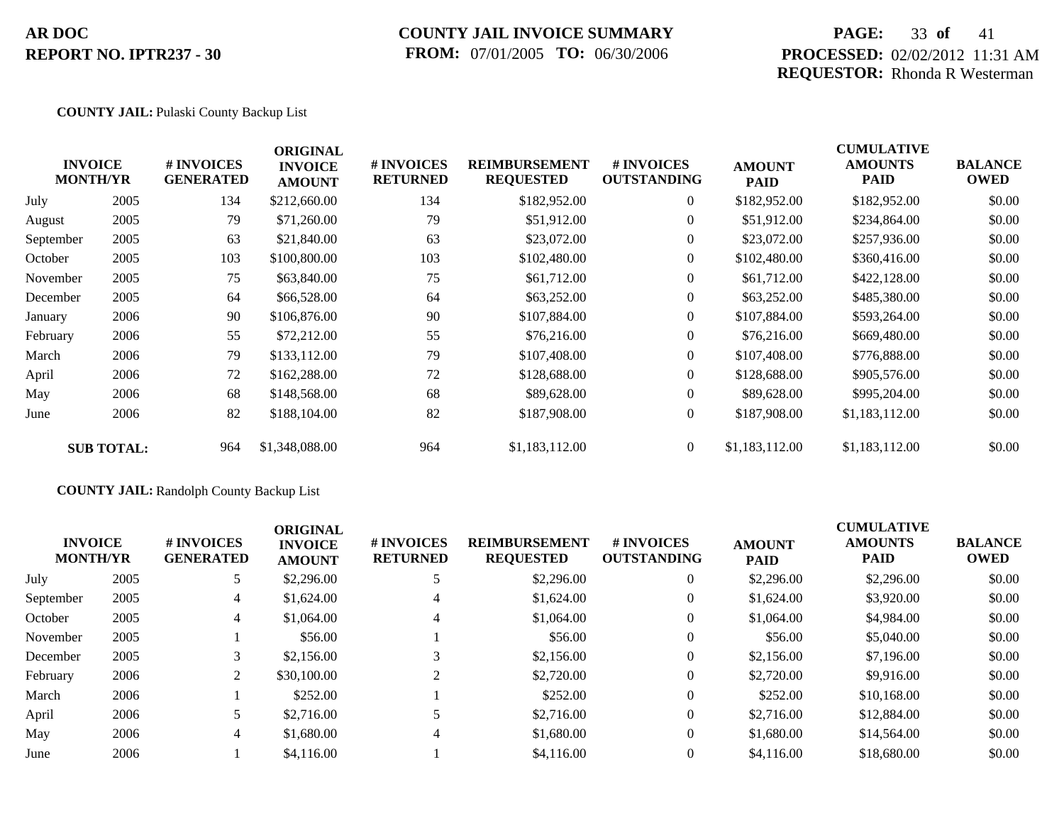## **COUNTY JAIL INVOICE SUMMARY FROM:** 07/01/2005 **TO:** 06/30/2006

## **PAGE:** 33 **of** 41 **PROCESSED:** 02/02/2012 11:31 AM **REQUESTOR:** Rhonda R Westerman

### **COUNTY JAIL:** Pulaski County Backup List

| <b>INVOICE</b><br><b>MONTH/YR</b> |                   | # INVOICES<br><b>GENERATED</b> | <b>ORIGINAL</b><br><b>INVOICE</b><br><b>AMOUNT</b> | # INVOICES<br><b>RETURNED</b> | <b>REIMBURSEMENT</b><br><b>REQUESTED</b> | <b>#INVOICES</b><br><b>OUTSTANDING</b> | <b>AMOUNT</b><br><b>PAID</b> | <b>CUMULATIVE</b><br><b>AMOUNTS</b><br>PAID | <b>BALANCE</b><br><b>OWED</b> |
|-----------------------------------|-------------------|--------------------------------|----------------------------------------------------|-------------------------------|------------------------------------------|----------------------------------------|------------------------------|---------------------------------------------|-------------------------------|
| July                              | 2005              | 134                            | \$212,660.00                                       | 134                           | \$182,952.00                             | $\overline{0}$                         | \$182,952.00                 | \$182,952.00                                | \$0.00                        |
| August                            | 2005              | 79                             | \$71,260.00                                        | 79                            | \$51,912.00                              | $\overline{0}$                         | \$51,912.00                  | \$234,864.00                                | \$0.00                        |
| September                         | 2005              | 63                             | \$21,840.00                                        | 63                            | \$23,072.00                              | $\overline{0}$                         | \$23,072.00                  | \$257,936.00                                | \$0.00                        |
| October                           | 2005              | 103                            | \$100,800.00                                       | 103                           | \$102,480.00                             | $\overline{0}$                         | \$102,480.00                 | \$360,416.00                                | \$0.00                        |
| November                          | 2005              | 75                             | \$63,840.00                                        | 75                            | \$61,712.00                              | $\overline{0}$                         | \$61,712.00                  | \$422,128.00                                | \$0.00                        |
| December                          | 2005              | 64                             | \$66,528.00                                        | 64                            | \$63,252.00                              | $\overline{0}$                         | \$63,252.00                  | \$485,380.00                                | \$0.00                        |
| January                           | 2006              | 90                             | \$106,876.00                                       | 90                            | \$107,884.00                             | $\theta$                               | \$107,884.00                 | \$593,264.00                                | \$0.00                        |
| February                          | 2006              | 55                             | \$72,212.00                                        | 55                            | \$76,216.00                              | $\overline{0}$                         | \$76,216.00                  | \$669,480.00                                | \$0.00                        |
| March                             | 2006              | 79                             | \$133,112.00                                       | 79                            | \$107,408.00                             | $\overline{0}$                         | \$107,408.00                 | \$776,888.00                                | \$0.00                        |
| April                             | 2006              | 72                             | \$162,288.00                                       | 72                            | \$128,688.00                             | $\theta$                               | \$128,688.00                 | \$905,576.00                                | \$0.00                        |
| May                               | 2006              | 68                             | \$148,568.00                                       | 68                            | \$89,628.00                              | $\overline{0}$                         | \$89,628.00                  | \$995,204.00                                | \$0.00                        |
| June                              | 2006              | 82                             | \$188,104.00                                       | 82                            | \$187,908.00                             | $\boldsymbol{0}$                       | \$187,908.00                 | \$1,183,112.00                              | \$0.00                        |
|                                   | <b>SUB TOTAL:</b> | 964                            | \$1,348,088.00                                     | 964                           | \$1,183,112.00                           | $\overline{0}$                         | \$1,183,112.00               | \$1,183,112.00                              | \$0.00                        |
|                                   |                   |                                |                                                    |                               |                                          |                                        |                              |                                             |                               |

## **COUNTY JAIL:** Randolph County Backup List

| <b>INVOICE</b><br><b>MONTH/YR</b> |      | # INVOICES<br><b>GENERATED</b> | <b>ORIGINAL</b><br><b>INVOICE</b><br><b>AMOUNT</b> | # INVOICES<br><b>RETURNED</b> | <b>REIMBURSEMENT</b><br><b>REQUESTED</b> | <b>#INVOICES</b><br><b>OUTSTANDING</b> | <b>AMOUNT</b><br><b>PAID</b> | <b>CUMULATIVE</b><br><b>AMOUNTS</b><br><b>PAID</b> | <b>BALANCE</b><br><b>OWED</b> |
|-----------------------------------|------|--------------------------------|----------------------------------------------------|-------------------------------|------------------------------------------|----------------------------------------|------------------------------|----------------------------------------------------|-------------------------------|
| July                              | 2005 |                                | \$2,296.00                                         |                               | \$2,296.00                               | $\overline{0}$                         | \$2,296.00                   | \$2,296.00                                         | \$0.00                        |
| September                         | 2005 | 4                              | \$1,624.00                                         | 4                             | \$1,624.00                               | $\overline{0}$                         | \$1,624.00                   | \$3,920.00                                         | \$0.00                        |
| October                           | 2005 | 4                              | \$1,064.00                                         | 4                             | \$1,064.00                               | 0                                      | \$1,064.00                   | \$4,984.00                                         | \$0.00                        |
| November                          | 2005 |                                | \$56.00                                            |                               | \$56.00                                  | $\overline{0}$                         | \$56.00                      | \$5,040.00                                         | \$0.00                        |
| December                          | 2005 |                                | \$2,156.00                                         | 3                             | \$2,156.00                               | $\overline{0}$                         | \$2,156.00                   | \$7,196.00                                         | \$0.00                        |
| February                          | 2006 | 2                              | \$30,100.00                                        |                               | \$2,720.00                               | $\overline{0}$                         | \$2,720.00                   | \$9,916.00                                         | \$0.00                        |
| March                             | 2006 |                                | \$252.00                                           |                               | \$252.00                                 | $\overline{0}$                         | \$252.00                     | \$10,168,00                                        | \$0.00                        |
| April                             | 2006 |                                | \$2,716.00                                         |                               | \$2,716.00                               | $\overline{0}$                         | \$2,716.00                   | \$12,884.00                                        | \$0.00                        |
| May                               | 2006 | 4                              | \$1,680.00                                         | 4                             | \$1,680.00                               | $\overline{0}$                         | \$1,680.00                   | \$14,564.00                                        | \$0.00                        |
| June                              | 2006 |                                | \$4,116.00                                         |                               | \$4,116.00                               | 0                                      | \$4,116.00                   | \$18,680.00                                        | \$0.00                        |
|                                   |      |                                |                                                    |                               |                                          |                                        |                              |                                                    |                               |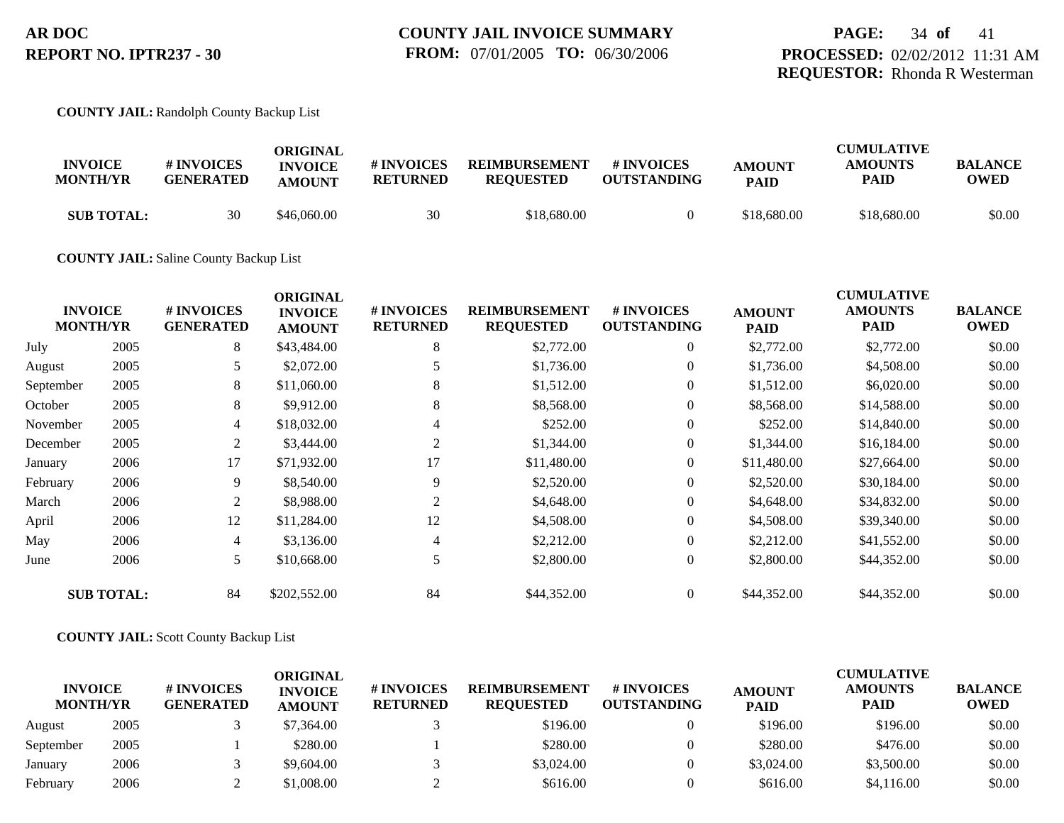### **COUNTY JAIL:** Randolph County Backup List

| <b>INVOICE</b><br><b>MONTH/YR</b> | # INVOICES<br><b>GENERATED</b> | ORIGINAL<br><b>INVOICE</b><br><b>AMOUNT</b> | # INVOICES<br><b>RETURNED</b> | <b>REIMBURSEMENT</b><br><b>REOUESTED</b> | # INVOICES<br><b>OUTSTANDING</b> | <b>AMOUNT</b><br><b>PAID</b> | <b>CUMULATIVE</b><br><b>AMOUNTS</b><br>PAID | <b>BALANCE</b><br>OWED |
|-----------------------------------|--------------------------------|---------------------------------------------|-------------------------------|------------------------------------------|----------------------------------|------------------------------|---------------------------------------------|------------------------|
| <b>SUB TOTAL:</b>                 | 30                             | \$46,060.00                                 | 30                            | \$18,680.00                              |                                  | \$18,680.00                  | \$18,680.00                                 | \$0.00                 |

### **COUNTY JAIL:** Saline County Backup List

|           | <b>INVOICE</b><br><b>MONTH/YR</b> | # INVOICES<br><b>GENERATED</b> | <b>ORIGINAL</b><br><b>INVOICE</b><br><b>AMOUNT</b> | # INVOICES<br><b>RETURNED</b> | <b>REIMBURSEMENT</b><br><b>REQUESTED</b> | # INVOICES<br><b>OUTSTANDING</b> | <b>AMOUNT</b><br><b>PAID</b> | <b>CUMULATIVE</b><br><b>AMOUNTS</b><br><b>PAID</b> | <b>BALANCE</b><br><b>OWED</b> |
|-----------|-----------------------------------|--------------------------------|----------------------------------------------------|-------------------------------|------------------------------------------|----------------------------------|------------------------------|----------------------------------------------------|-------------------------------|
| July      | 2005                              | 8                              | \$43,484.00                                        | 8                             | \$2,772.00                               | $\overline{0}$                   | \$2,772.00                   | \$2,772.00                                         | \$0.00                        |
| August    | 2005                              | 5                              | \$2,072.00                                         |                               | \$1,736.00                               | $\overline{0}$                   | \$1,736.00                   | \$4,508.00                                         | \$0.00                        |
| September | 2005                              | 8                              | \$11,060.00                                        | 8                             | \$1,512.00                               | $\theta$                         | \$1,512.00                   | \$6,020.00                                         | \$0.00                        |
| October   | 2005                              | 8                              | \$9,912.00                                         | 8                             | \$8,568.00                               | $\overline{0}$                   | \$8,568.00                   | \$14,588.00                                        | \$0.00                        |
| November  | 2005                              | 4                              | \$18,032.00                                        | 4                             | \$252.00                                 | $\overline{0}$                   | \$252.00                     | \$14,840.00                                        | \$0.00                        |
| December  | 2005                              | 2                              | \$3,444.00                                         | 2                             | \$1,344.00                               | $\overline{0}$                   | \$1,344.00                   | \$16,184.00                                        | \$0.00                        |
| January   | 2006                              | 17                             | \$71,932.00                                        | 17                            | \$11,480.00                              | $\overline{0}$                   | \$11,480.00                  | \$27,664.00                                        | \$0.00                        |
| February  | 2006                              | 9                              | \$8,540.00                                         | 9                             | \$2,520.00                               | $\theta$                         | \$2,520.00                   | \$30,184.00                                        | \$0.00                        |
| March     | 2006                              | 2                              | \$8,988.00                                         | 2                             | \$4,648.00                               | $\overline{0}$                   | \$4,648.00                   | \$34,832.00                                        | \$0.00                        |
| April     | 2006                              | 12                             | \$11,284.00                                        | 12                            | \$4,508.00                               | $\Omega$                         | \$4,508.00                   | \$39,340.00                                        | \$0.00                        |
| May       | 2006                              | $\overline{4}$                 | \$3,136.00                                         | 4                             | \$2,212.00                               | $\overline{0}$                   | \$2,212.00                   | \$41,552.00                                        | \$0.00                        |
| June      | 2006                              | 5                              | \$10,668.00                                        | 5                             | \$2,800.00                               | $\overline{0}$                   | \$2,800.00                   | \$44,352.00                                        | \$0.00                        |
|           | <b>SUB TOTAL:</b>                 | 84                             | \$202,552.00                                       | 84                            | \$44,352.00                              | $\overline{0}$                   | \$44,352.00                  | \$44,352.00                                        | \$0.00                        |

### **COUNTY JAIL:** Scott County Backup List

| <b>INVOICE</b><br><b>MONTH/YR</b> |      | <b># INVOICES</b><br><b>GENERATED</b> | ORIGINAL<br><b>INVOICE</b><br><b>AMOUNT</b> | # INVOICES<br><b>RETURNED</b> | <b>REIMBURSEMENT</b><br><b>REOUESTED</b> | <b>#INVOICES</b><br><b>OUTSTANDING</b> | <b>AMOUNT</b><br><b>PAID</b> | <b>CUMULATIVE</b><br><b>AMOUNTS</b><br>PAID | <b>BALANCE</b><br><b>OWED</b> |
|-----------------------------------|------|---------------------------------------|---------------------------------------------|-------------------------------|------------------------------------------|----------------------------------------|------------------------------|---------------------------------------------|-------------------------------|
| August                            | 2005 |                                       | \$7,364.00                                  |                               | \$196.00                                 |                                        | \$196.00                     | \$196.00                                    | \$0.00                        |
| September                         | 2005 |                                       | \$280.00                                    |                               | \$280.00                                 |                                        | \$280.00                     | \$476.00                                    | \$0.00                        |
| January                           | 2006 |                                       | \$9,604.00                                  |                               | \$3,024.00                               |                                        | \$3,024.00                   | \$3,500.00                                  | \$0.00                        |
| February                          | 2006 |                                       | \$1.008.00                                  |                               | \$616.00                                 |                                        | \$616.00                     | \$4,116.00                                  | \$0.00                        |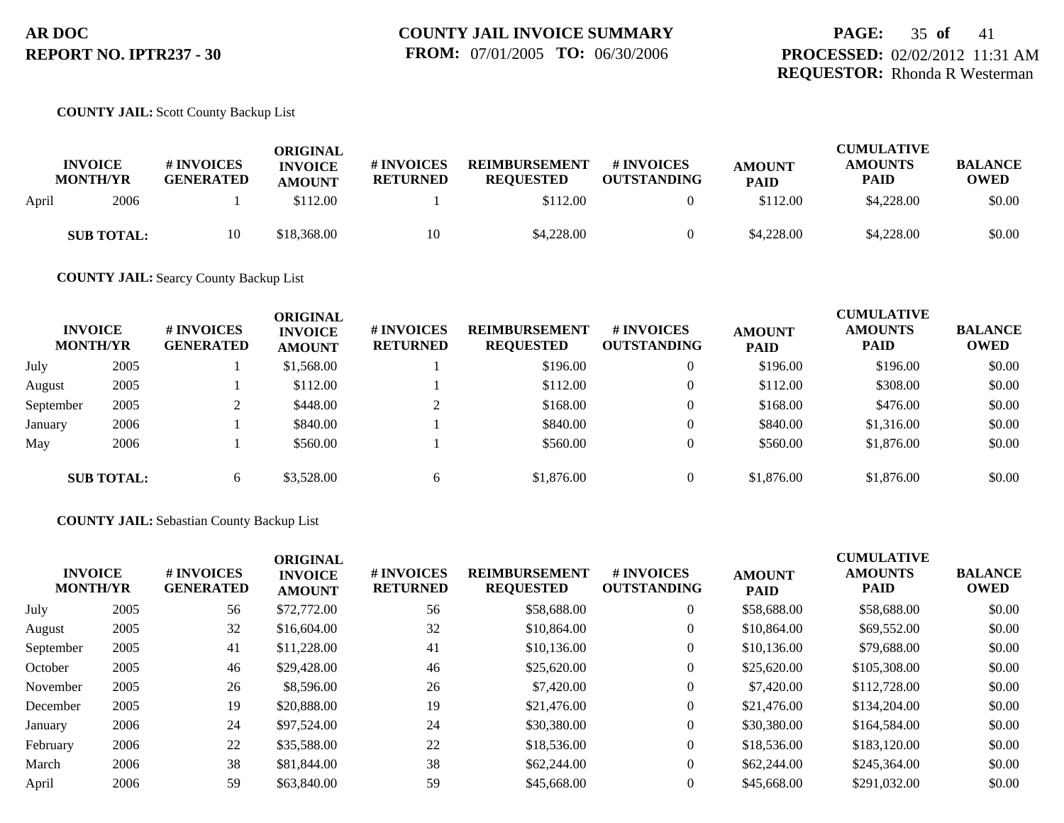## **PAGE:** 35 **of** 41 **PROCESSED:** 02/02/2012 11:31 AM **REQUESTOR:** Rhonda R Westerman

### **COUNTY JAIL:** Scott County Backup List

|       | <b>INVOICE</b><br><b>MONTH/YR</b> | # INVOICES<br><b>GENERATED</b> | ORIGINAL<br><b>INVOICE</b><br><b>AMOUNT</b> | # INVOICES<br><b>RETURNED</b> | <b>REIMBURSEMENT</b><br><b>REQUESTED</b> | <b>#INVOICES</b><br><b>OUTSTANDING</b> | <b>AMOUNT</b><br><b>PAID</b> | <b>CUMULATIVE</b><br><b>AMOUNTS</b><br><b>PAID</b> | <b>BALANCE</b><br>OWED |
|-------|-----------------------------------|--------------------------------|---------------------------------------------|-------------------------------|------------------------------------------|----------------------------------------|------------------------------|----------------------------------------------------|------------------------|
| April | 2006                              |                                | \$112.00                                    |                               | \$112.00                                 |                                        | \$112.00                     | \$4,228,00                                         | \$0.00                 |
|       | <b>SUB TOTAL:</b>                 | 10                             | \$18,368.00                                 | 10                            | \$4,228.00                               |                                        | \$4,228.00                   | \$4,228,00                                         | \$0.00                 |

**COUNTY JAIL:** Searcy County Backup List

| <b>INVOICE</b><br><b>MONTH/YR</b> |                   | # INVOICES<br><b>GENERATED</b> | <b>ORIGINAL</b><br><b>INVOICE</b><br><b>AMOUNT</b> | # INVOICES<br><b>RETURNED</b> | <b>REIMBURSEMENT</b><br><b>REQUESTED</b> | # INVOICES<br><b>OUTSTANDING</b> | <b>AMOUNT</b><br><b>PAID</b> | <b>CUMULATIVE</b><br><b>AMOUNTS</b><br><b>PAID</b> | <b>BALANCE</b><br><b>OWED</b> |
|-----------------------------------|-------------------|--------------------------------|----------------------------------------------------|-------------------------------|------------------------------------------|----------------------------------|------------------------------|----------------------------------------------------|-------------------------------|
| July                              | 2005              |                                | \$1,568.00                                         |                               | \$196.00                                 | $\theta$                         | \$196.00                     | \$196.00                                           | \$0.00                        |
| August                            | 2005              |                                | \$112.00                                           |                               | \$112.00                                 | $\overline{0}$                   | \$112.00                     | \$308.00                                           | \$0.00                        |
| September                         | 2005              |                                | \$448.00                                           |                               | \$168.00                                 | $\theta$                         | \$168.00                     | \$476.00                                           | \$0.00                        |
| January                           | 2006              |                                | \$840.00                                           |                               | \$840.00                                 |                                  | \$840.00                     | \$1,316.00                                         | \$0.00                        |
| May                               | 2006              |                                | \$560.00                                           |                               | \$560.00                                 |                                  | \$560.00                     | \$1,876.00                                         | \$0.00                        |
|                                   | <b>SUB TOTAL:</b> | 6                              | \$3,528.00                                         | h.                            | \$1,876.00                               | $\Omega$                         | \$1,876.00                   | \$1,876.00                                         | \$0.00                        |

**COUNTY JAIL:** Sebastian County Backup List

| <b>INVOICE</b><br><b>MONTH/YR</b> | <b>#INVOICES</b><br><b>GENERATED</b> | <b>ORIGINAL</b><br><b>INVOICE</b><br><b>AMOUNT</b> | # INVOICES<br><b>RETURNED</b> | <b>REIMBURSEMENT</b><br><b>REQUESTED</b> | # INVOICES<br><b>OUTSTANDING</b> | <b>AMOUNT</b><br><b>PAID</b> | <b>CUMULATIVE</b><br><b>AMOUNTS</b><br><b>PAID</b> | <b>BALANCE</b><br><b>OWED</b> |
|-----------------------------------|--------------------------------------|----------------------------------------------------|-------------------------------|------------------------------------------|----------------------------------|------------------------------|----------------------------------------------------|-------------------------------|
| 2005                              | 56                                   | \$72,772.00                                        | 56                            | \$58,688.00                              | $\theta$                         | \$58,688.00                  | \$58,688.00                                        | \$0.00                        |
| 2005                              | 32                                   | \$16,604.00                                        | 32                            | \$10,864.00                              | $\theta$                         | \$10,864.00                  | \$69,552.00                                        | \$0.00                        |
| 2005                              | 41                                   | \$11,228.00                                        | 41                            | \$10,136.00                              | $\theta$                         | \$10,136.00                  | \$79,688.00                                        | \$0.00                        |
| 2005                              | 46                                   | \$29,428.00                                        | 46                            | \$25,620.00                              | $\overline{0}$                   | \$25,620.00                  | \$105,308.00                                       | \$0.00                        |
| 2005                              | 26                                   | \$8,596.00                                         | 26                            | \$7,420.00                               | $\overline{0}$                   | \$7,420.00                   | \$112,728.00                                       | \$0.00                        |
| 2005                              | 19                                   | \$20,888.00                                        | 19                            | \$21,476.00                              | $\overline{0}$                   | \$21,476.00                  | \$134,204.00                                       | \$0.00                        |
| 2006                              | 24                                   | \$97,524.00                                        | 24                            | \$30,380.00                              | $\overline{0}$                   | \$30,380.00                  | \$164,584.00                                       | \$0.00                        |
| 2006                              | 22                                   | \$35,588.00                                        | 22                            | \$18,536.00                              | $\overline{0}$                   | \$18,536.00                  | \$183,120.00                                       | \$0.00                        |
| 2006                              | 38                                   | \$81,844.00                                        | 38                            | \$62,244.00                              | $\overline{0}$                   | \$62,244.00                  | \$245,364.00                                       | \$0.00                        |
| 2006                              | 59                                   | \$63,840.00                                        | 59                            | \$45,668.00                              | $\theta$                         | \$45,668.00                  | \$291,032.00                                       | \$0.00                        |
|                                   |                                      |                                                    |                               |                                          |                                  |                              |                                                    |                               |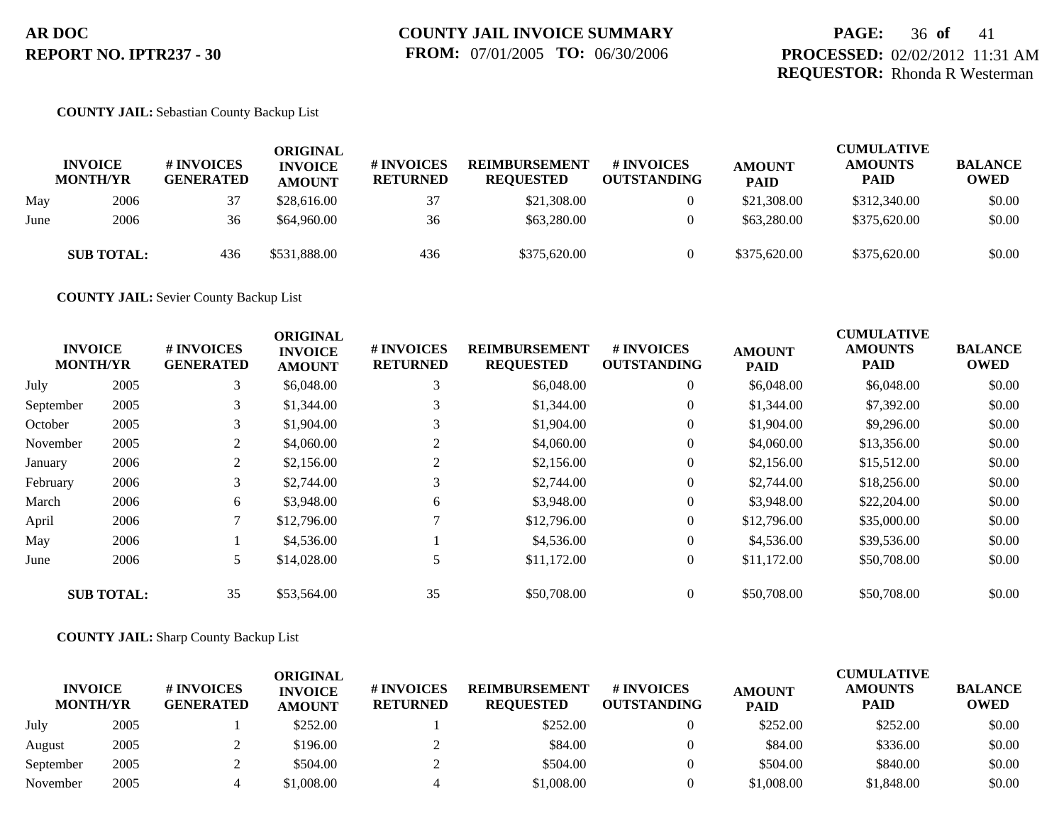## **PAGE:** 36 **of** 41 **PROCESSED:** 02/02/2012 11:31 AM **REQUESTOR:** Rhonda R Westerman

### **COUNTY JAIL:** Sebastian County Backup List

|      | <b>INVOICE</b><br><b>MONTH/YR</b> | <b># INVOICES</b><br><b>GENERATED</b> | <b>ORIGINAL</b><br><b>INVOICE</b><br><b>AMOUNT</b> | <b>#INVOICES</b><br><b>RETURNED</b> | REIMBURSEMENT<br><b>REQUESTED</b> | <b>#INVOICES</b><br><b>OUTSTANDING</b> | <b>AMOUNT</b><br><b>PAID</b> | <b>CUMULATIVE</b><br><b>AMOUNTS</b><br>PAID | <b>BALANCE</b><br><b>OWED</b> |
|------|-----------------------------------|---------------------------------------|----------------------------------------------------|-------------------------------------|-----------------------------------|----------------------------------------|------------------------------|---------------------------------------------|-------------------------------|
| May  | 2006                              | 37                                    | \$28,616.00                                        | 37                                  | \$21,308.00                       | $\theta$                               | \$21,308.00                  | \$312,340.00                                | \$0.00                        |
| June | 2006                              | 36                                    | \$64,960.00                                        | 36                                  | \$63,280,00                       | $\overline{0}$                         | \$63,280,00                  | \$375,620.00                                | \$0.00                        |
|      | <b>SUB TOTAL:</b>                 | 436                                   | \$531,888.00                                       | 436                                 | \$375,620.00                      |                                        | \$375,620.00                 | \$375,620.00                                | \$0.00                        |

**COUNTY JAIL:** Sevier County Backup List

|           | <b>INVOICE</b><br><b>MONTH/YR</b> | <b>#INVOICES</b><br><b>GENERATED</b> | <b>ORIGINAL</b><br><b>INVOICE</b><br><b>AMOUNT</b> | # INVOICES<br><b>RETURNED</b> | <b>REIMBURSEMENT</b><br><b>REQUESTED</b> | # INVOICES<br><b>OUTSTANDING</b> | <b>AMOUNT</b><br><b>PAID</b> | <b>CUMULATIVE</b><br><b>AMOUNTS</b><br><b>PAID</b> | <b>BALANCE</b><br><b>OWED</b> |
|-----------|-----------------------------------|--------------------------------------|----------------------------------------------------|-------------------------------|------------------------------------------|----------------------------------|------------------------------|----------------------------------------------------|-------------------------------|
| July      | 2005                              | 3                                    | \$6,048.00                                         | 3                             | \$6,048.00                               | $\overline{0}$                   | \$6,048.00                   | \$6,048.00                                         | \$0.00                        |
| September | 2005                              | 3                                    | \$1,344.00                                         |                               | \$1,344.00                               | $\overline{0}$                   | \$1,344.00                   | \$7,392.00                                         | \$0.00                        |
| October   | 2005                              |                                      | \$1,904.00                                         |                               | \$1,904.00                               | $\overline{0}$                   | \$1,904.00                   | \$9,296.00                                         | \$0.00                        |
| November  | 2005                              | 2                                    | \$4,060.00                                         | 2                             | \$4,060.00                               | $\overline{0}$                   | \$4,060.00                   | \$13,356.00                                        | \$0.00                        |
| January   | 2006                              | 2                                    | \$2,156.00                                         |                               | \$2,156.00                               | $\overline{0}$                   | \$2,156.00                   | \$15,512.00                                        | \$0.00                        |
| February  | 2006                              | 3                                    | \$2,744.00                                         |                               | \$2,744.00                               | $\overline{0}$                   | \$2,744.00                   | \$18,256.00                                        | \$0.00                        |
| March     | 2006                              | 6                                    | \$3,948.00                                         | 6                             | \$3,948.00                               | $\overline{0}$                   | \$3,948.00                   | \$22,204.00                                        | \$0.00                        |
| April     | 2006                              | $\mathcal{L}$                        | \$12,796.00                                        |                               | \$12,796.00                              | $\overline{0}$                   | \$12,796.00                  | \$35,000.00                                        | \$0.00                        |
| May       | 2006                              |                                      | \$4,536.00                                         |                               | \$4,536.00                               | $\overline{0}$                   | \$4,536.00                   | \$39,536.00                                        | \$0.00                        |
| June      | 2006                              | 5                                    | \$14,028.00                                        |                               | \$11,172.00                              | $\overline{0}$                   | \$11,172.00                  | \$50,708.00                                        | \$0.00                        |
|           | <b>SUB TOTAL:</b>                 | 35                                   | \$53,564.00                                        | 35                            | \$50,708.00                              | $\overline{0}$                   | \$50,708.00                  | \$50,708.00                                        | \$0.00                        |

### **COUNTY JAIL:** Sharp County Backup List

| <b>INVOICE</b><br><b>MONTH/YR</b> |      | # INVOICES<br><b>GENERATED</b> | ORIGINAL<br><b>INVOICE</b><br><b>AMOUNT</b> | # INVOICES<br><b>RETURNED</b> | <b>REIMBURSEMENT</b><br><b>REOUESTED</b> | # INVOICES<br><b>OUTSTANDING</b> | <b>AMOUNT</b><br><b>PAID</b> | <b>CUMULATIVE</b><br><b>AMOUNTS</b><br>PAID | <b>BALANCE</b><br><b>OWED</b> |
|-----------------------------------|------|--------------------------------|---------------------------------------------|-------------------------------|------------------------------------------|----------------------------------|------------------------------|---------------------------------------------|-------------------------------|
| July                              | 2005 |                                | \$252.00                                    |                               | \$252.00                                 |                                  | \$252.00                     | \$252.00                                    | \$0.00                        |
| August                            | 2005 |                                | \$196.00                                    |                               | \$84.00                                  |                                  | \$84.00                      | \$336.00                                    | \$0.00                        |
| September                         | 2005 |                                | \$504.00                                    |                               | \$504.00                                 |                                  | \$504.00                     | \$840.00                                    | \$0.00                        |
| November                          | 2005 |                                | 1.008.00                                    |                               | \$1,008.00                               |                                  | \$1,008.00                   | \$1,848.00                                  | \$0.00                        |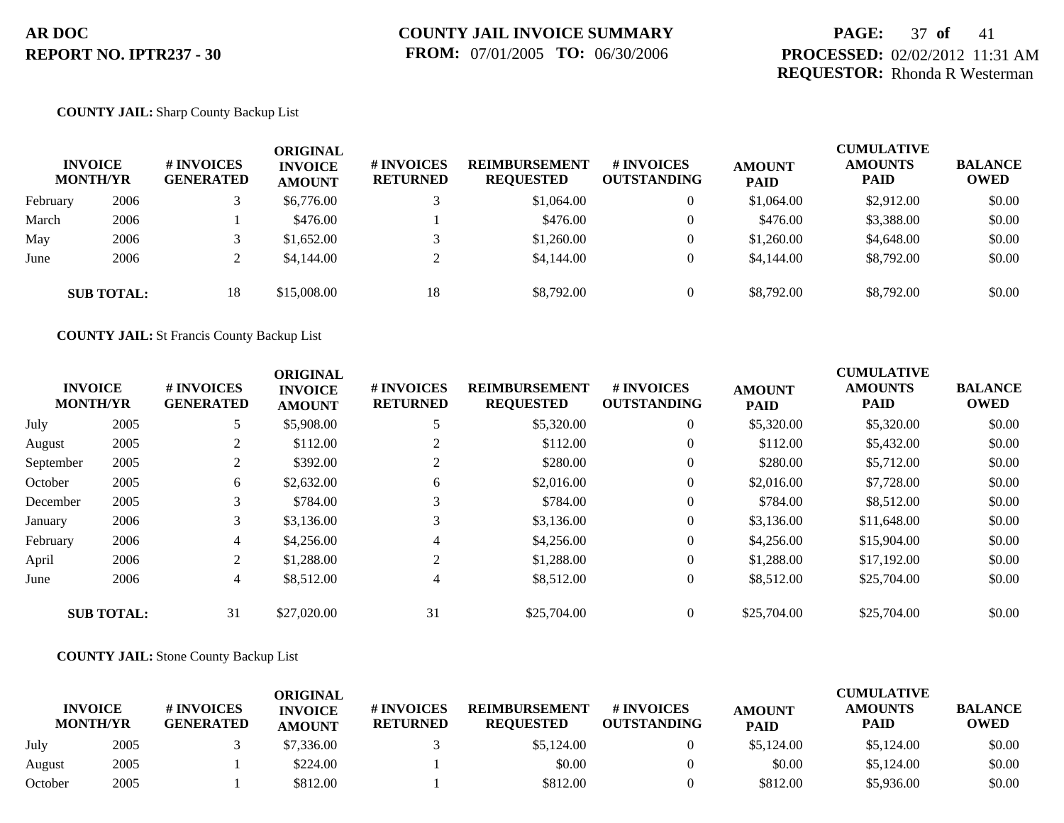## **PAGE:** 37 **of** 41 **PROCESSED:** 02/02/2012 11:31 AM **REQUESTOR:** Rhonda R Westerman

### **COUNTY JAIL:** Sharp County Backup List

|          | <b>INVOICE</b><br><b>MONTH/YR</b> | <b>#INVOICES</b><br><b>GENERATED</b> | ORIGINAL<br><b>INVOICE</b><br><b>AMOUNT</b> | <b># INVOICES</b><br><b>RETURNED</b> | <b>REIMBURSEMENT</b><br><b>REQUESTED</b> | # INVOICES<br><b>OUTSTANDING</b> | <b>AMOUNT</b><br><b>PAID</b> | <b>CUMULATIVE</b><br><b>AMOUNTS</b><br><b>PAID</b> | <b>BALANCE</b><br><b>OWED</b> |
|----------|-----------------------------------|--------------------------------------|---------------------------------------------|--------------------------------------|------------------------------------------|----------------------------------|------------------------------|----------------------------------------------------|-------------------------------|
| February | 2006                              |                                      | \$6,776.00                                  |                                      | \$1,064.00                               | 0                                | \$1,064.00                   | \$2,912.00                                         | \$0.00                        |
| March    | 2006                              |                                      | \$476.00                                    |                                      | \$476.00                                 | $\overline{0}$                   | \$476.00                     | \$3,388.00                                         | \$0.00                        |
| May      | 2006                              |                                      | \$1,652.00                                  |                                      | \$1,260.00                               | $\theta$                         | \$1,260.00                   | \$4,648.00                                         | \$0.00                        |
| June     | 2006                              |                                      | \$4,144.00                                  |                                      | \$4,144.00                               | $\theta$                         | \$4,144.00                   | \$8,792.00                                         | \$0.00                        |
|          | <b>SUB TOTAL:</b>                 | 18                                   | \$15,008.00                                 | 18                                   | \$8,792.00                               | $\overline{0}$                   | \$8,792.00                   | \$8,792.00                                         | \$0.00                        |

**COUNTY JAIL:** St Francis County Backup List

|           | <b>INVOICE</b><br><b>MONTH/YR</b> | # INVOICES<br><b>GENERATED</b> | <b>ORIGINAL</b><br><b>INVOICE</b><br><b>AMOUNT</b> | <b>#INVOICES</b><br><b>RETURNED</b> | <b>REIMBURSEMENT</b><br><b>REQUESTED</b> | # INVOICES<br><b>OUTSTANDING</b> | <b>AMOUNT</b><br><b>PAID</b> | <b>CUMULATIVE</b><br><b>AMOUNTS</b><br><b>PAID</b> | <b>BALANCE</b><br><b>OWED</b> |
|-----------|-----------------------------------|--------------------------------|----------------------------------------------------|-------------------------------------|------------------------------------------|----------------------------------|------------------------------|----------------------------------------------------|-------------------------------|
| July      | 2005                              | 5                              | \$5,908.00                                         |                                     | \$5,320.00                               | $\overline{0}$                   | \$5,320.00                   | \$5,320.00                                         | \$0.00                        |
| August    | 2005                              |                                | \$112.00                                           | $\overline{2}$                      | \$112.00                                 | $\overline{0}$                   | \$112.00                     | \$5,432.00                                         | \$0.00                        |
| September | 2005                              |                                | \$392.00                                           | $\overline{2}$                      | \$280.00                                 | $\theta$                         | \$280.00                     | \$5,712.00                                         | \$0.00                        |
| October   | 2005                              | 6                              | \$2,632.00                                         | 6                                   | \$2,016.00                               | $\theta$                         | \$2,016.00                   | \$7,728.00                                         | \$0.00                        |
| December  | 2005                              | 3                              | \$784.00                                           | 3                                   | \$784.00                                 | $\theta$                         | \$784.00                     | \$8,512.00                                         | \$0.00                        |
| January   | 2006                              | 3                              | \$3,136.00                                         | 3                                   | \$3,136.00                               | $\theta$                         | \$3,136.00                   | \$11,648.00                                        | \$0.00                        |
| February  | 2006                              | $\overline{4}$                 | \$4,256.00                                         | 4                                   | \$4,256.00                               | $\overline{0}$                   | \$4,256.00                   | \$15,904.00                                        | \$0.00                        |
| April     | 2006                              | 2                              | \$1,288.00                                         | 2                                   | \$1,288.00                               | $\overline{0}$                   | \$1,288.00                   | \$17,192,00                                        | \$0.00                        |
| June      | 2006                              | $\overline{4}$                 | \$8,512.00                                         | $\overline{4}$                      | \$8,512.00                               | $\overline{0}$                   | \$8,512.00                   | \$25,704.00                                        | \$0.00                        |
|           | <b>SUB TOTAL:</b>                 | 31                             | \$27,020.00                                        | 31                                  | \$25,704.00                              | $\overline{0}$                   | \$25,704.00                  | \$25,704.00                                        | \$0.00                        |

### **COUNTY JAIL:** Stone County Backup List

|         |                                   |                                       | <b>ORIGINAL</b>                 |                               |                                          |                                  |                              | CUMULATIVE             |                               |
|---------|-----------------------------------|---------------------------------------|---------------------------------|-------------------------------|------------------------------------------|----------------------------------|------------------------------|------------------------|-------------------------------|
|         | <b>INVOICE</b><br><b>MONTH/YR</b> | <b># INVOICES</b><br><b>GENERATED</b> | <b>INVOICE</b><br><b>AMOUNT</b> | # INVOICES<br><b>RETURNED</b> | <b>REIMBURSEMENT</b><br><b>REQUESTED</b> | # INVOICES<br><b>OUTSTANDING</b> | <b>AMOUNT</b><br><b>PAID</b> | <b>AMOUNTS</b><br>PAID | <b>BALANCE</b><br><b>OWED</b> |
| July    | 2005                              |                                       | \$7,336.00                      |                               | \$5,124.00                               |                                  | \$5,124.00                   | \$5,124.00             | \$0.00                        |
| August  | 2005                              |                                       | \$224.00                        |                               | \$0.00                                   |                                  | \$0.00                       | \$5,124.00             | \$0.00                        |
| October | 2005                              |                                       | \$812.00                        |                               | \$812.00                                 |                                  | \$812.00                     | \$5,936.00             | \$0.00                        |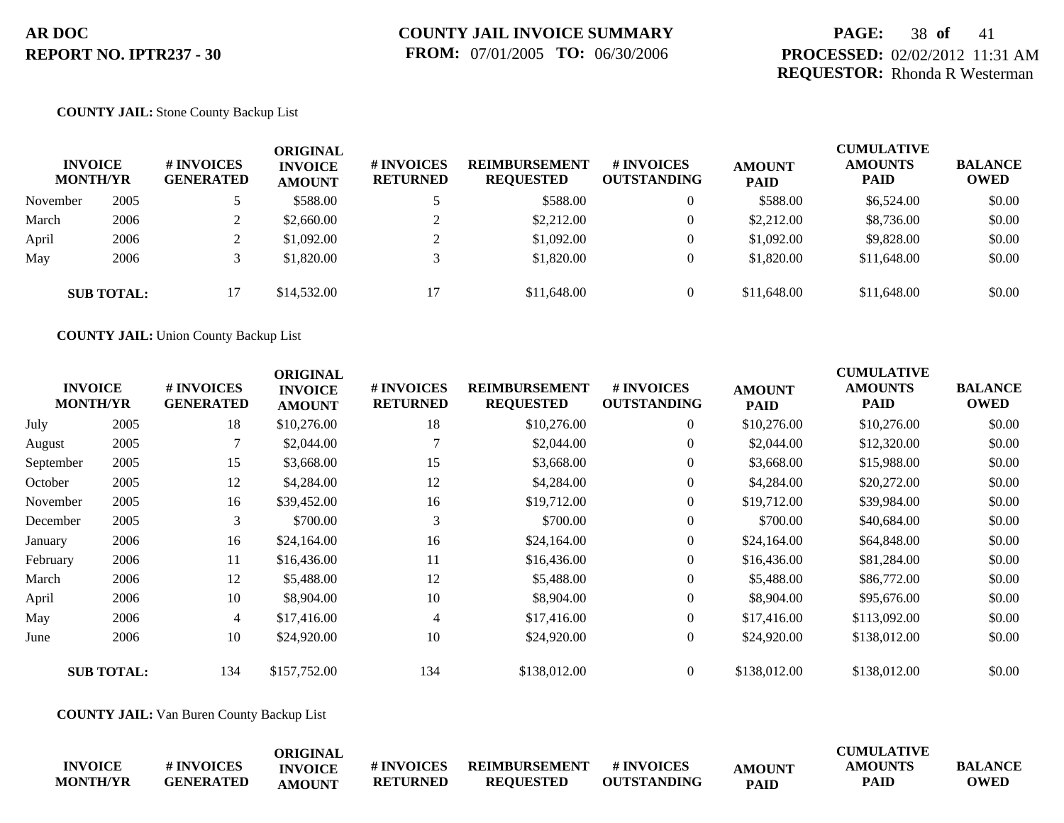## **PAGE:** 38 **of** 41 **PROCESSED:** 02/02/2012 11:31 AM **REQUESTOR:** Rhonda R Westerman

### **COUNTY JAIL:** Stone County Backup List

| <b>INVOICE</b><br><b>MONTH/YR</b> |                   | # INVOICES<br><b>GENERATED</b> | ORIGINAL<br><b>INVOICE</b><br><b>AMOUNT</b> | <b># INVOICES</b><br><b>RETURNED</b> | <b>REIMBURSEMENT</b><br><b>REQUESTED</b> | # INVOICES<br><b>OUTSTANDING</b> | <b>AMOUNT</b><br><b>PAID</b> | <b>CUMULATIVE</b><br><b>AMOUNTS</b><br><b>PAID</b> | <b>BALANCE</b><br><b>OWED</b> |
|-----------------------------------|-------------------|--------------------------------|---------------------------------------------|--------------------------------------|------------------------------------------|----------------------------------|------------------------------|----------------------------------------------------|-------------------------------|
| November                          | 2005              |                                | \$588.00                                    |                                      | \$588.00                                 | $\overline{0}$                   | \$588.00                     | \$6,524.00                                         | \$0.00                        |
| March                             | 2006              |                                | \$2,660.00                                  |                                      | \$2,212.00                               | $\overline{0}$                   | \$2,212.00                   | \$8,736.00                                         | \$0.00                        |
| April                             | 2006              |                                | \$1,092.00                                  | $\bigcap$                            | \$1,092.00                               | $\overline{0}$                   | \$1,092.00                   | \$9,828,00                                         | \$0.00                        |
| May                               | 2006              |                                | \$1,820.00                                  |                                      | \$1,820.00                               | $\overline{0}$                   | \$1,820.00                   | \$11,648.00                                        | \$0.00                        |
|                                   | <b>SUB TOTAL:</b> | 17                             | \$14,532.00                                 | 17                                   | \$11,648.00                              | $\Omega$                         | \$11,648.00                  | \$11,648.00                                        | \$0.00                        |

**COUNTY JAIL:** Union County Backup List

|           | <b>INVOICE</b><br><b>MONTH/YR</b> | # INVOICES<br><b>GENERATED</b> | <b>ORIGINAL</b><br><b>INVOICE</b><br><b>AMOUNT</b> | # INVOICES<br><b>RETURNED</b> | <b>REIMBURSEMENT</b><br><b>REQUESTED</b> | # INVOICES<br><b>OUTSTANDING</b> | <b>AMOUNT</b><br><b>PAID</b> | <b>CUMULATIVE</b><br><b>AMOUNTS</b><br><b>PAID</b> | <b>BALANCE</b><br><b>OWED</b> |
|-----------|-----------------------------------|--------------------------------|----------------------------------------------------|-------------------------------|------------------------------------------|----------------------------------|------------------------------|----------------------------------------------------|-------------------------------|
| July      | 2005                              | 18                             | \$10,276.00                                        | 18                            | \$10,276.00                              | $\boldsymbol{0}$                 | \$10,276.00                  | \$10,276.00                                        | \$0.00                        |
| August    | 2005                              |                                | \$2,044.00                                         |                               | \$2,044.00                               | $\overline{0}$                   | \$2,044.00                   | \$12,320.00                                        | \$0.00                        |
| September | 2005                              | 15                             | \$3,668.00                                         | 15                            | \$3,668.00                               | $\Omega$                         | \$3,668.00                   | \$15,988.00                                        | \$0.00                        |
| October   | 2005                              | 12                             | \$4,284.00                                         | 12                            | \$4,284.00                               | $\theta$                         | \$4,284.00                   | \$20,272.00                                        | \$0.00                        |
| November  | 2005                              | 16                             | \$39,452.00                                        | 16                            | \$19,712.00                              | $\overline{0}$                   | \$19,712.00                  | \$39,984.00                                        | \$0.00                        |
| December  | 2005                              | 3                              | \$700.00                                           | 3                             | \$700.00                                 | $\overline{0}$                   | \$700.00                     | \$40,684.00                                        | \$0.00                        |
| January   | 2006                              | 16                             | \$24,164.00                                        | 16                            | \$24,164.00                              | $\overline{0}$                   | \$24,164.00                  | \$64,848.00                                        | \$0.00                        |
| February  | 2006                              | 11                             | \$16,436.00                                        | 11                            | \$16,436.00                              | $\theta$                         | \$16,436.00                  | \$81,284.00                                        | \$0.00                        |
| March     | 2006                              | 12                             | \$5,488.00                                         | 12                            | \$5,488.00                               | $\theta$                         | \$5,488.00                   | \$86,772.00                                        | \$0.00                        |
| April     | 2006                              | 10                             | \$8,904.00                                         | 10                            | \$8,904.00                               | $\Omega$                         | \$8,904.00                   | \$95,676.00                                        | \$0.00                        |
| May       | 2006                              | $\overline{4}$                 | \$17,416.00                                        | $\overline{4}$                | \$17,416.00                              | $\theta$                         | \$17,416.00                  | \$113,092.00                                       | \$0.00                        |
| June      | 2006                              | 10                             | \$24,920.00                                        | 10                            | \$24,920.00                              | $\overline{0}$                   | \$24,920.00                  | \$138,012.00                                       | \$0.00                        |
|           | <b>SUB TOTAL:</b>                 | 134                            | \$157,752.00                                       | 134                           | \$138,012.00                             | $\overline{0}$                   | \$138,012.00                 | \$138,012.00                                       | \$0.00                        |

**COUNTY JAIL:** Van Buren County Backup List

|                 |                  | ORIGINAL       |                 |                      |                    |               | <b>CUMULATIVE</b> |                |
|-----------------|------------------|----------------|-----------------|----------------------|--------------------|---------------|-------------------|----------------|
| <b>INVOICE</b>  | # INVOICES       | <b>INVOICE</b> | # INVOICES      | <b>REIMBURSEMENT</b> | # INVOICES         | <b>AMOUNT</b> | <b>AMOUNTS</b>    | <b>BALANCE</b> |
| <b>MONTH/YR</b> | <b>GENERATED</b> | <b>AMOUNT</b>  | <b>RETURNED</b> | <b>REQUESTED</b>     | <b>OUTSTANDING</b> | <b>PAID</b>   | <b>PAID</b>       | <b>OWED</b>    |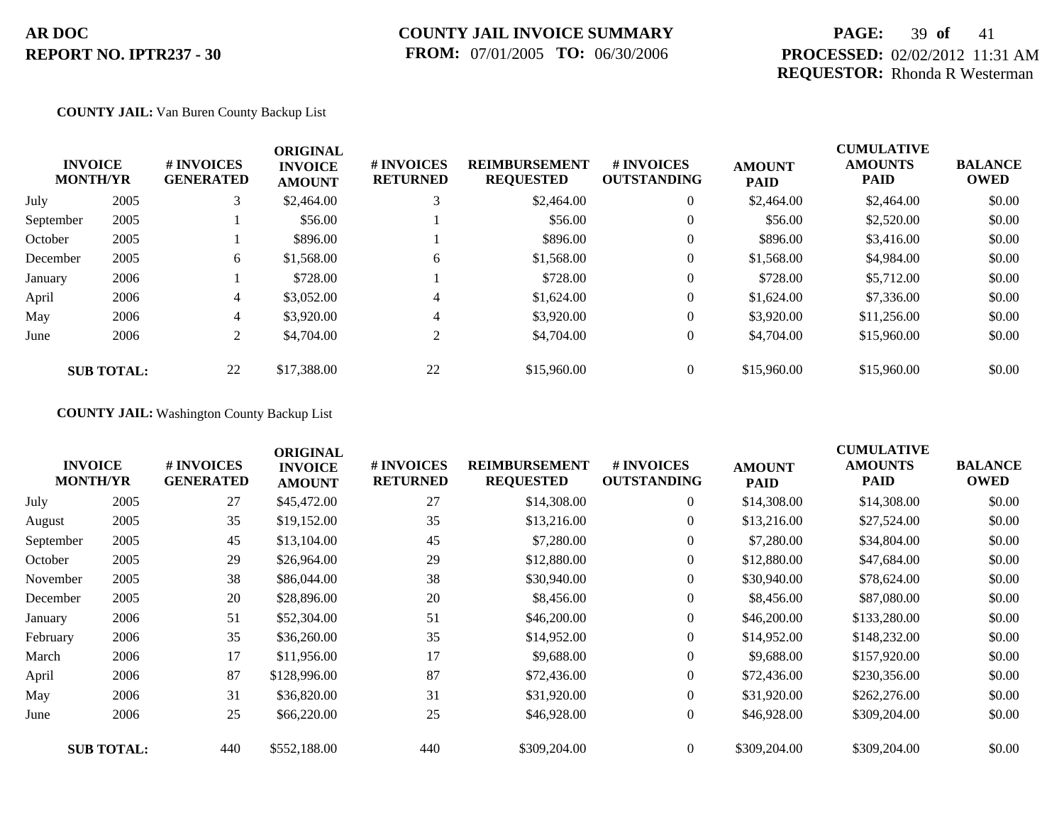## **COUNTY JAIL INVOICE SUMMARY FROM:** 07/01/2005 **TO:** 06/30/2006

## **PAGE:** 39 **of** 41 **PROCESSED:** 02/02/2012 11:31 AM **REQUESTOR:** Rhonda R Westerman

### **COUNTY JAIL:** Van Buren County Backup List

|           | <b>INVOICE</b><br><b>MONTH/YR</b> | # INVOICES<br><b>GENERATED</b> | <b>ORIGINAL</b><br><b>INVOICE</b><br><b>AMOUNT</b> | # INVOICES<br><b>RETURNED</b> | <b>REIMBURSEMENT</b><br><b>REQUESTED</b> | <b>#INVOICES</b><br><b>OUTSTANDING</b> | <b>AMOUNT</b><br><b>PAID</b> | <b>CUMULATIVE</b><br><b>AMOUNTS</b><br><b>PAID</b> | <b>BALANCE</b><br><b>OWED</b> |
|-----------|-----------------------------------|--------------------------------|----------------------------------------------------|-------------------------------|------------------------------------------|----------------------------------------|------------------------------|----------------------------------------------------|-------------------------------|
| July      | 2005                              | 3                              | \$2,464.00                                         |                               | \$2,464.00                               | $\overline{0}$                         | \$2,464.00                   | \$2,464.00                                         | \$0.00                        |
| September | 2005                              |                                | \$56.00                                            |                               | \$56.00                                  | $\overline{0}$                         | \$56.00                      | \$2,520.00                                         | \$0.00                        |
| October   | 2005                              |                                | \$896.00                                           |                               | \$896.00                                 | $\overline{0}$                         | \$896.00                     | \$3,416.00                                         | \$0.00                        |
| December  | 2005                              | 6                              | \$1,568.00                                         | 6                             | \$1,568.00                               | $\overline{0}$                         | \$1,568.00                   | \$4,984.00                                         | \$0.00                        |
| January   | 2006                              |                                | \$728.00                                           |                               | \$728.00                                 | $\overline{0}$                         | \$728.00                     | \$5,712.00                                         | \$0.00                        |
| April     | 2006                              | 4                              | \$3,052.00                                         | 4                             | \$1,624.00                               | $\overline{0}$                         | \$1,624.00                   | \$7,336.00                                         | \$0.00                        |
| May       | 2006                              | 4                              | \$3,920.00                                         | 4                             | \$3,920.00                               | $\overline{0}$                         | \$3,920.00                   | \$11,256.00                                        | \$0.00                        |
| June      | 2006                              | 2                              | \$4,704.00                                         | 2                             | \$4,704.00                               | $\overline{0}$                         | \$4,704.00                   | \$15,960.00                                        | \$0.00                        |
|           | <b>SUB TOTAL:</b>                 | 22                             | \$17,388.00                                        | 22                            | \$15,960.00                              | $\theta$                               | \$15,960.00                  | \$15,960.00                                        | \$0.00                        |

## **COUNTY JAIL:** Washington County Backup List

|           | <b>INVOICE</b><br><b>MONTH/YR</b> | # INVOICES<br><b>GENERATED</b> | <b>ORIGINAL</b><br><b>INVOICE</b><br><b>AMOUNT</b> | <b>#INVOICES</b><br><b>RETURNED</b> | <b>REIMBURSEMENT</b><br><b>REQUESTED</b> | # INVOICES<br><b>OUTSTANDING</b> | <b>AMOUNT</b><br><b>PAID</b> | <b>CUMULATIVE</b><br><b>AMOUNTS</b><br>PAID | <b>BALANCE</b><br><b>OWED</b> |
|-----------|-----------------------------------|--------------------------------|----------------------------------------------------|-------------------------------------|------------------------------------------|----------------------------------|------------------------------|---------------------------------------------|-------------------------------|
| July      | 2005                              | 27                             | \$45,472.00                                        | 27                                  | \$14,308.00                              | $\overline{0}$                   | \$14,308.00                  | \$14,308.00                                 | \$0.00                        |
| August    | 2005                              | 35                             | \$19,152.00                                        | 35                                  | \$13,216.00                              | $\overline{0}$                   | \$13,216.00                  | \$27,524.00                                 | \$0.00                        |
| September | 2005                              | 45                             | \$13,104.00                                        | 45                                  | \$7,280.00                               | $\overline{0}$                   | \$7,280.00                   | \$34,804.00                                 | \$0.00                        |
| October   | 2005                              | 29                             | \$26,964.00                                        | 29                                  | \$12,880.00                              | $\overline{0}$                   | \$12,880.00                  | \$47,684.00                                 | \$0.00                        |
| November  | 2005                              | 38                             | \$86,044.00                                        | 38                                  | \$30,940.00                              | $\overline{0}$                   | \$30,940.00                  | \$78,624.00                                 | \$0.00                        |
| December  | 2005                              | 20                             | \$28,896.00                                        | 20                                  | \$8,456.00                               | $\overline{0}$                   | \$8,456.00                   | \$87,080.00                                 | \$0.00                        |
| January   | 2006                              | 51                             | \$52,304.00                                        | 51                                  | \$46,200.00                              | $\overline{0}$                   | \$46,200.00                  | \$133,280.00                                | \$0.00                        |
| February  | 2006                              | 35                             | \$36,260.00                                        | 35                                  | \$14,952.00                              | $\overline{0}$                   | \$14,952.00                  | \$148,232.00                                | \$0.00                        |
| March     | 2006                              | 17                             | \$11,956.00                                        | 17                                  | \$9,688.00                               | $\overline{0}$                   | \$9,688.00                   | \$157,920.00                                | \$0.00                        |
| April     | 2006                              | 87                             | \$128,996.00                                       | 87                                  | \$72,436.00                              | $\overline{0}$                   | \$72,436.00                  | \$230,356.00                                | \$0.00                        |
| May       | 2006                              | 31                             | \$36,820.00                                        | 31                                  | \$31,920.00                              | $\overline{0}$                   | \$31,920.00                  | \$262,276.00                                | \$0.00                        |
| June      | 2006                              | 25                             | \$66,220.00                                        | 25                                  | \$46,928.00                              | $\overline{0}$                   | \$46,928.00                  | \$309,204.00                                | \$0.00                        |
|           | <b>SUB TOTAL:</b>                 | 440                            | \$552,188.00                                       | 440                                 | \$309,204.00                             | $\overline{0}$                   | \$309,204.00                 | \$309,204.00                                | \$0.00                        |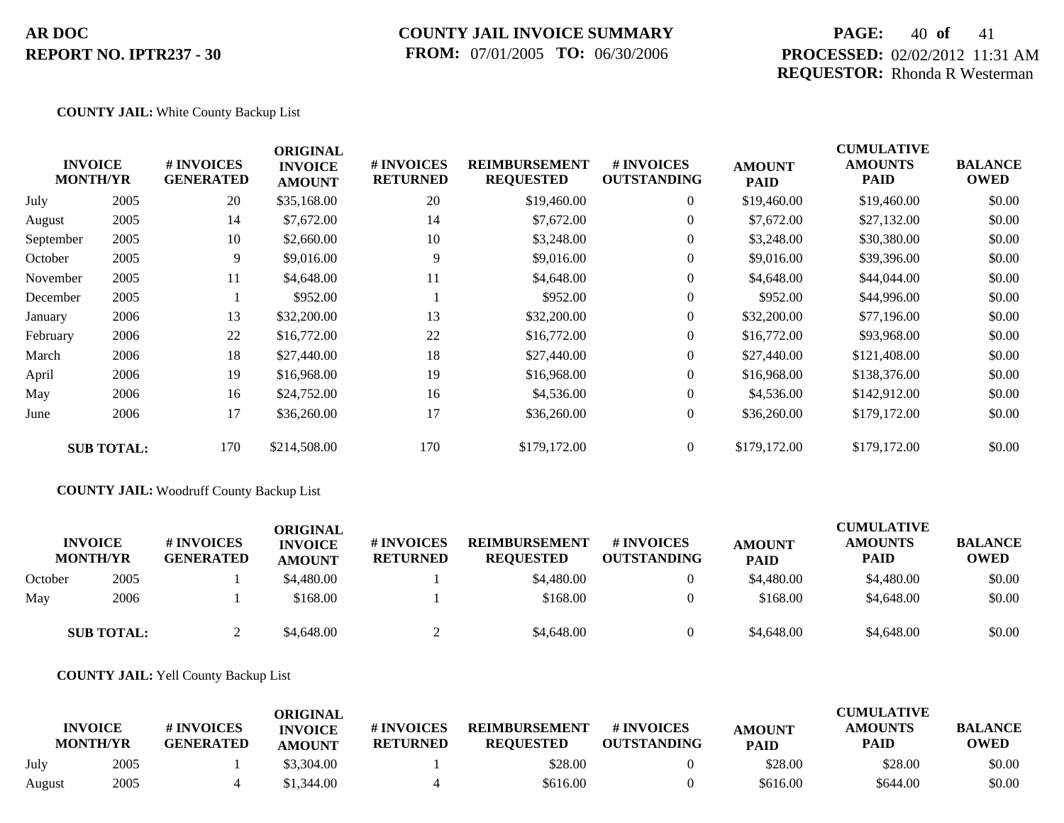## **COUNTY JAIL INVOICE SUMMARY FROM:** 07/01/2005 **TO:** 06/30/2006

## **PAGE:** 40 **of** 41 **PROCESSED:** 02/02/2012 11:31 AM **REQUESTOR:** Rhonda R Westerman

### **COUNTY JAIL:** White County Backup List

|           | <b>INVOICE</b><br><b>MONTH/YR</b> | # INVOICES<br><b>GENERATED</b> | <b>ORIGINAL</b><br><b>INVOICE</b><br><b>AMOUNT</b> | # INVOICES<br><b>RETURNED</b> | <b>REIMBURSEMENT</b><br><b>REQUESTED</b> | # INVOICES<br><b>OUTSTANDING</b> | <b>AMOUNT</b><br><b>PAID</b> | <b>CUMULATIVE</b><br><b>AMOUNTS</b><br>PAID | <b>BALANCE</b><br><b>OWED</b> |
|-----------|-----------------------------------|--------------------------------|----------------------------------------------------|-------------------------------|------------------------------------------|----------------------------------|------------------------------|---------------------------------------------|-------------------------------|
| July      | 2005                              | 20                             | \$35,168.00                                        | 20                            | \$19,460.00                              | $\overline{0}$                   | \$19,460.00                  | \$19,460.00                                 | \$0.00                        |
| August    | 2005                              | 14                             | \$7,672.00                                         | 14                            | \$7,672.00                               | $\overline{0}$                   | \$7,672.00                   | \$27,132.00                                 | \$0.00                        |
| September | 2005                              | 10                             | \$2,660.00                                         | 10                            | \$3,248.00                               | $\overline{0}$                   | \$3,248.00                   | \$30,380.00                                 | \$0.00                        |
| October   | 2005                              | 9                              | \$9,016.00                                         | 9                             | \$9,016.00                               | $\overline{0}$                   | \$9,016.00                   | \$39,396.00                                 | \$0.00                        |
| November  | 2005                              | 11                             | \$4,648.00                                         | 11                            | \$4,648.00                               | $\overline{0}$                   | \$4,648.00                   | \$44,044.00                                 | \$0.00                        |
| December  | 2005                              |                                | \$952.00                                           |                               | \$952.00                                 | $\overline{0}$                   | \$952.00                     | \$44,996.00                                 | \$0.00                        |
| January   | 2006                              | 13                             | \$32,200.00                                        | 13                            | \$32,200.00                              | $\overline{0}$                   | \$32,200.00                  | \$77,196.00                                 | \$0.00                        |
| February  | 2006                              | 22                             | \$16,772.00                                        | 22                            | \$16,772.00                              | $\overline{0}$                   | \$16,772.00                  | \$93,968.00                                 | \$0.00                        |
| March     | 2006                              | 18                             | \$27,440.00                                        | 18                            | \$27,440.00                              | $\overline{0}$                   | \$27,440.00                  | \$121,408.00                                | \$0.00                        |
| April     | 2006                              | 19                             | \$16,968.00                                        | 19                            | \$16,968.00                              | $\overline{0}$                   | \$16,968.00                  | \$138,376.00                                | \$0.00                        |
| May       | 2006                              | 16                             | \$24,752.00                                        | 16                            | \$4,536.00                               | $\overline{0}$                   | \$4,536.00                   | \$142,912.00                                | \$0.00                        |
| June      | 2006                              | 17                             | \$36,260.00                                        | 17                            | \$36,260.00                              | $\boldsymbol{0}$                 | \$36,260.00                  | \$179,172.00                                | \$0.00                        |
|           | <b>SUB TOTAL:</b>                 | 170                            | \$214,508.00                                       | 170                           | \$179,172.00                             | $\overline{0}$                   | \$179,172.00                 | \$179,172.00                                | \$0.00                        |

### **COUNTY JAIL:** Woodruff County Backup List

|         | <b>INVOICE</b><br><b>MONTH/YR</b> | # INVOICES<br><b>GENERATED</b> | ORIGINAL<br><b>INVOICE</b><br><b>AMOUNT</b> | # INVOICES<br><b>RETURNED</b> | <b>REIMBURSEMENT</b><br><b>REQUESTED</b> | # INVOICES<br><b>OUTSTANDING</b> | <b>AMOUNT</b><br><b>PAID</b> | <b>CUMULATIVE</b><br><b>AMOUNTS</b><br><b>PAID</b> | <b>BALANCE</b><br><b>OWED</b> |
|---------|-----------------------------------|--------------------------------|---------------------------------------------|-------------------------------|------------------------------------------|----------------------------------|------------------------------|----------------------------------------------------|-------------------------------|
| October | 2005                              |                                | \$4,480.00                                  |                               | \$4,480.00                               |                                  | \$4,480.00                   | \$4,480.00                                         | \$0.00                        |
| May     | 2006                              |                                | \$168.00                                    |                               | \$168.00                                 |                                  | \$168.00                     | \$4,648.00                                         | \$0.00                        |
|         | <b>SUB TOTAL:</b>                 |                                | \$4,648.00                                  |                               | \$4,648.00                               |                                  | \$4,648.00                   | \$4,648.00                                         | \$0.00                        |

### **COUNTY JAIL:** Yell County Backup List

|        | <b>INVOICE</b><br><b>MONTH/YR</b> | # INVOICES<br><b>GENERATED</b> | ORIGINAL<br><b>INVOICE</b><br><b>AMOUNT</b> | # INVOICES<br><b>RETURNED</b> | <b>REIMBURSEMENT</b><br><b>REOUESTED</b> | # INVOICES<br><b>OUTSTANDING</b> | <b>AMOUNT</b><br><b>PAID</b> | CUMULATIVE<br><b>AMOUNTS</b><br><b>PAID</b> | <b>BALANCE</b><br><b>OWED</b> |
|--------|-----------------------------------|--------------------------------|---------------------------------------------|-------------------------------|------------------------------------------|----------------------------------|------------------------------|---------------------------------------------|-------------------------------|
| July   | 2005                              |                                | \$3,304.00                                  |                               | \$28.00                                  |                                  | \$28.00                      | \$28.00                                     | \$0.00                        |
| August | 2005                              |                                | \$1,344.00                                  |                               | \$616.00                                 |                                  | \$616.00                     | \$644.00                                    | \$0.00                        |